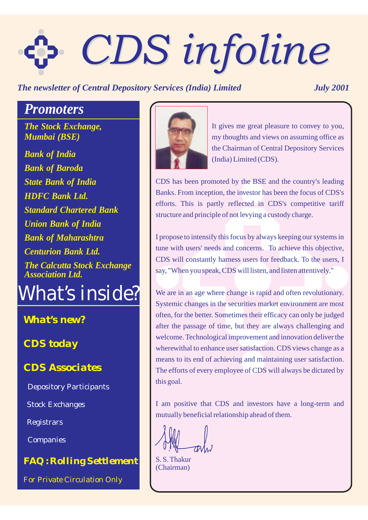# *CDS infoline CDS infoline*

# *The newsletter of Central Depository Services (India) Limited July 2001*

# *Promoters*

*The Stock Exchange, Mumbai (BSE)*

*Bank of India Bank of Baroda State Bank of India HDFC Bank Ltd. Standard Chartered Bank Union Bank of India Bank of Maharashtra Centurion Bank Ltd. The Calcutta Stock Exchange Association Ltd.*

*What's inside?*

*What's new?*

*CDS today*

*CDS Associates*

Depository Participants

Stock Exchanges

Registrars

Companies

*FAQ : Rolling Settlement*





It gives me great pleasure to convey to you, my thoughts and views on assuming office as the Chairman of Central Depository Services (India) Limited (CDS).

CDS has been promoted by the BSE and the country's leading Banks. From inception, the investor has been the focus of CDS's efforts. This is partly reflected in CDS's competitive tariff structure and principle of not levying a custody charge.

I propose to intensify this focus by always keeping our systems in tune with users' needs and concerns. To achieve this objective, CDS will constantly harness users for feedback. To the users, I say, "When you speak, CDS will listen, and listen attentively."

We are in an age where change is rapid and often revolutionary. Systemic changes in the securities market environment are most often, for the better. Sometimes their efficacy can only be judged after the passage of time, but they are always challenging and welcome. Technological improvement and innovation deliver the wherewithal to enhance user satisfaction. CDS views change as a means to its end of achieving and maintaining user satisfaction. The efforts of every employee of CDS will always be dictated by this goal.

I am positive that CDS and investors have a long-term and mutually beneficial relationship ahead of them.

S. S. Thakur (Chairman)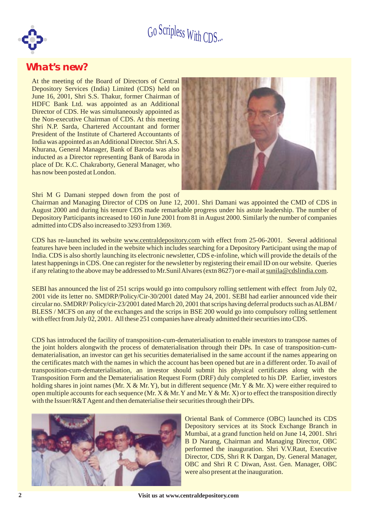

# *What's new?*

At the meeting of the Board of Directors of Central Depository Services (India) Limited (CDS) held on June 16, 2001, Shri S.S. Thakur, former Chairman of HDFC Bank Ltd. was appointed as an Additional Director of CDS. He was simultaneously appointed as the Non-executive Chairman of CDS. At this meeting Shri N.P. Sarda, Chartered Accountant and former President of the Institute of Chartered Accountants of India was appointed as an Additional Director. ShriA.S. Khurana, General Manager, Bank of Baroda was also inducted as a Director representing Bank of Baroda in place of Dr. K.C. Chakraborty, General Manager, who has now been posted at London.



Shri M G Damani stepped down from the post of

Chairman and Managing Director of CDS on June 12, 2001. Shri Damani was appointed the CMD of CDS in August 2000 and during his tenure CDS made remarkable progress under his astute leadership. The number of Depository Participants increased to 160 in June 2001 from 81 in August 2000. Similarly the number of companies admitted into CDS also increased to 3293 from 1369.

CDS has re-launched its website www.centraldepository.com with effect from 25-06-2001. Several additional features have been included in the website which includes searching for a Depository Participant using the map of India. CDS is also shortly launching its electronic newsletter, CDS e-infoline, which will provide the details of the latest happenings in CDS. One can register for the newsletter by registering their email ID on our website. Queries if any relating to the above may be addressed to Mr.Sunil Alvares (extn 8627) or e-mail at sunila@cdslindia.com.

SEBI has announced the list of 251 scrips would go into compulsory rolling settlement with effect from July 02, 2001 vide its letter no. SMDRP/Policy/Cir-30/2001 dated May 24, 2001. SEBI had earlier announced vide their circular no. SMDRP/ Policy/cir-23/2001 dated March 20, 2001 that scrips having deferral products such asALBM / BLESS / MCFS on any of the exchanges and the scrips in BSE 200 would go into compulsory rolling settlement with effect from July 02, 2001. All these 251 companies have already admitted their securities into CDS.

CDS has introduced the facility of transposition-cum-dematerialisation to enable investors to transpose names of the joint holders alongwith the process of dematerialisation through their DPs. In case of transposition-cumdematerialisation, an investor can get his securities dematerialised in the same account if the names appearing on the certificates match with the names in which the account has been opened but are in a different order. To avail of transposition-cum-dematerialisation, an investor should submit his physical certificates along with the Transposition Form and the Dematerialisation Request Form (DRF) duly completed to his DP. Earlier, investors holding shares in joint names (Mr.  $X \& Mr. Y$ ), but in different sequence (Mr.  $Y \& Mr. X$ ) were either required to open multiple accounts for each sequence (Mr.  $X \& Mr. Y$  and Mr.  $Y \& Mr. X$ ) or to effect the transposition directly with the Issuer/R&T Agent and then dematerialise their securities through their DPs.



Oriental Bank of Commerce (OBC) launched its CDS Depository services at its Stock Exchange Branch in Mumbai, at a grand function held on June 14, 2001. Shri B D Narang, Chairman and Managing Director, OBC performed the inauguration. Shri V.V.Raut, Executive Director, CDS, Shri R K Dargan, Dy. General Manager, OBC and Shri R C Diwan, Asst. Gen. Manager, OBC were also present at the inauguration.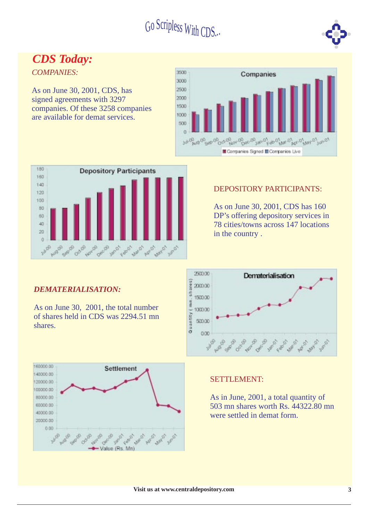

# *CDS Today:*

*COMPANIES:*

As on June 30, 2001, CDS, has signed agreements with 3297 companies. Of these 3258 companies are available for demat services.





### DEPOSITORY PARTICIPANTS:

As on June 30, 2001, CDS has 160 DP's offering depository services in 78 cities/towns across 147 locations in the country .



### SETTLEMENT:

As in June, 2001, a total quantity of 503 mn shares worth Rs. 44322.80 mn were settled in demat form.

### *DEMATERIALISATION:*

As on June 30, 2001, the total number of shares held in CDS was 2294.51 mn shares.

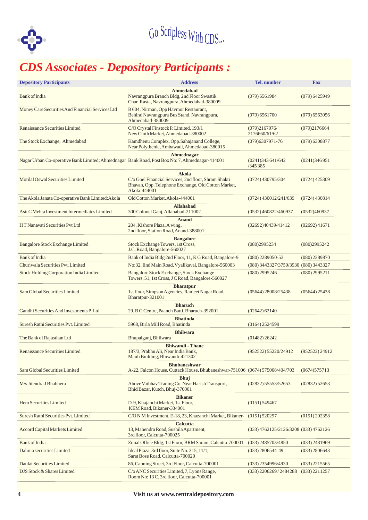

# *CDS Associates - Depository Participants :*

| <b>Depository Participants</b>                                                                   | <b>Address</b>                                                                                                                       | Tel. number                           | <b>Fax</b>                                |  |
|--------------------------------------------------------------------------------------------------|--------------------------------------------------------------------------------------------------------------------------------------|---------------------------------------|-------------------------------------------|--|
| <b>Bank of India</b>                                                                             | Ahmedabad<br>Navrangpura Branch Bldg, 2nd Floor Swastik<br>Char Rasta, Navrangpura, Ahmedabad-380009                                 | $(079)$ 6561984                       | $(079)$ 6425949                           |  |
| Money Care Securities And Financial Services Ltd                                                 | B 604, Nirman, Opp Havmor Restaurant,<br>Behind Navrangpura Bus Stand, Navrangpura,<br>Ahmedabad-380009                              | $(079)$ 6561700                       | $(079)$ 6563056                           |  |
| Renaissance Securities Limited                                                                   | C/O Crystal Finstock P. Limited, 193/1<br>New Cloth Market, Ahmedabad-380002                                                         | (079)2167976/<br>2176660/61/62        | (079)2176664                              |  |
| The Stock Exchange, Ahmedabad                                                                    | Kamdhenu Complex, Opp.Sahajanand College,<br>Near Polythenic, Ambawadi, Ahmedabad-380015                                             | $(079)6307971 - 76$                   | (079) 6308877                             |  |
| Nagar Urban Co-operative Bank Limited; Ahmednagar Bank Road, Post Box No: 7, Ahmednagar-414001   | Ahmednagar                                                                                                                           | (0241)343641/642<br>/345 385          | (0241)346951                              |  |
| Motilal Oswal Securities Limited                                                                 | Akola<br>C/o Goel Financial Services, 2nd floor, Shram Shakti<br>Bhavan, Opp. Telephone Exchange, Old Cotton Market,<br>Akola-444001 | $(0724)$ 430795/304                   | $(0724)$ 425309                           |  |
| The Akola Janata Co-operative Bank Limited; Akola                                                | Old Cotton Market, Akola-444001                                                                                                      | (0724) 430012/241/639                 | $(0724)$ 430814                           |  |
| Asit C Mehta Investment Intermediates Limited                                                    | <b>Allahabad</b><br>300 Colonel Ganj, Allahabad-211002                                                                               | $(0532)$ 460822/460937                | (0532)460937                              |  |
| HT Nanavati Securities Pvt Ltd                                                                   | Anand<br>204, Kishore Plaza, A wing,<br>2nd floor, Station Road, Anand-388001                                                        | (02692)40439/41412                    | $(02692)$ 41671                           |  |
| <b>Bangalore Stock Exchange Limited</b>                                                          | <b>Bangalore</b><br>Stock Exchange Towers, 1st Cross,<br>J.C. Road, Bangalore-560027                                                 |                                       |                                           |  |
| <b>Bank</b> of India                                                                             | Bank of India Bldg 2nd Floor, 11, K G Road, Bangalore-9                                                                              | $(080)$ 2289050-53                    | $(080)$ 2389870                           |  |
| Churiwala Securities Pvt. Limited                                                                | No:32, Iind Main Road, Vyalikaval, Bangalore-560003                                                                                  | (080) 3443327/3750/3930 (080) 3443327 |                                           |  |
| Stock Holding Corporation India Limited                                                          | Bangalore Stock Exchange, Stock Exchange<br>Towers, 51, 1st Cross, J C Road, Bangalore-560027                                        |                                       | $(080)$ 2995211                           |  |
| Sam Global Securities Limited                                                                    | <b>Bharatpur</b><br>1st floor, Simpson Agencies, Ranjeet Nagar Road,<br>Bharatpur-321001                                             |                                       |                                           |  |
| Gandhi Securities And Investments P. Ltd.                                                        | <b>Bharuch</b><br>29, B G Centre, Paanch Batti, Bharuch-392001                                                                       | (02642) 62140                         |                                           |  |
| Suresh Rathi Securities Pvt. Limited                                                             | <b>Bhatinda</b><br>5968, Birla Mill Road, Bhatinda                                                                                   | $(0164)$ 2524599                      |                                           |  |
| The Bank of Rajasthan Ltd                                                                        | <b>Bhilwara</b><br>Bhupalganj, Bhilwara                                                                                              | $(01482)$ 26242                       |                                           |  |
| <b>Renaissance Securities Limited</b>                                                            | <b>Bhiwandi - Thane</b><br>187/3, Prabhu Ali, Near India Bank,<br>Mauli Building, Bhiwandi-421302                                    | (952522) 55220/24912                  | $(952522)$ 24912                          |  |
| Sam Global Securities Limited                                                                    | <b>Bhubaneshwar</b><br>A-22, Falcon House, Cuttack House, Bhubaneshwar-751006 (0674) 575008/404/703                                  |                                       | (0674)575713                              |  |
| M/s Jitendra J Bhabhera                                                                          | <b>Bhuj</b><br>Above Vaibhav Trading Co. Near Harish Transport,<br>$(02832)$ 55553/52653<br>Bhid Bazar, Kutch, Bhuj-370001           |                                       | $(02832)$ 52653                           |  |
| Hem Securities Limited                                                                           | <b>Bikaner</b><br>D-9, Khajanchi Market, 1st Floor,<br>$(0151)$ 549467<br>KEM Road, Bikaner-334001                                   |                                       |                                           |  |
| Suresh Rathi Securities Pvt. Limited<br>C/O N M Investment, E-18, 23, Khazanchi Market, Bikaner- |                                                                                                                                      | $(0151)$ 520297                       | (0151) 202358                             |  |
| <b>Accord Capital Markets Limited</b>                                                            | <b>Calcutta</b><br>13, Mahendra Road, Sushila Apartment,<br>3rd floor, Calcutta-700025                                               |                                       | $(033)$ 4762125/2126/3208 $(033)$ 4762126 |  |
| <b>Bank of India</b>                                                                             | Zonal Office Bldg, 1st Floor, BRM Sarani, Calcutta-700001                                                                            | $(033)$ 2485703/4850                  | $(033)$ 2481969                           |  |
| Dalmia securities Limited                                                                        | Ideal Plaza, 3rd floor, Suite No. 315, 11/1,<br>Sarat Bose Road, Calcutta-700020                                                     | $(033)$ 2806544-49                    | $(033)$ 2806643                           |  |
| <b>Daulat Securities Limited</b>                                                                 | 86, Canning Street, 3rd Floor, Calcutta-700001                                                                                       | $(033)$ 2354996/4930                  | $(033)$ 2215565                           |  |
| DJS Stock & Shares Limited                                                                       | $(033)$ 2206269 / 2484288                                                                                                            | $(033)$ 2211257                       |                                           |  |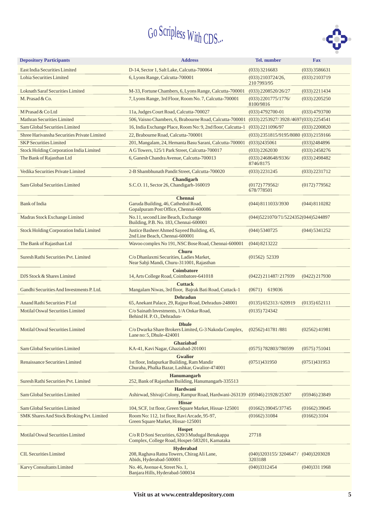

| <b>Depository Participants</b>              | <b>Address</b>                                                                                                       | <b>Tel.</b> number                      | <b>Fax</b>      |  |
|---------------------------------------------|----------------------------------------------------------------------------------------------------------------------|-----------------------------------------|-----------------|--|
| East India Securities Limited               | D-14, Sector 1, Salt Lake, Calcutta-700064                                                                           | $(033)$ 3216683                         | $(033)$ 3586631 |  |
| Lohia Securities Limited                    | 6, Lyons Range, Calcutta-700001                                                                                      | $(033)$ 2103724/26,<br>2107993/95       | $(033)$ 2103719 |  |
| Loknath Saraf Securities Limited            | M-33, Fortune Chambers, 6, Lyons Range, Calcutta-700001                                                              | $(033)$ 2208520/26/27                   | $(033)$ 2211434 |  |
| M. Prasad & Co.                             | 7, Lyons Range, 3rd Floor, Room No. 7, Calcutta-700001                                                               | $(033)$ 2201775/1776/<br>8100/9816      | $(033)$ 2205250 |  |
| M Prasad & Co Ltd                           | 11a, Judges Court Road, Calcutta-700027                                                                              | $(033)$ 4792700-01                      | $(033)$ 4793700 |  |
| <b>Mathran Securities Limited</b>           | 506, Vaisno Chambers, 6, Brabourne Road, Calcutta-700001                                                             | (033) 2253927/3928/4697(033) 2254541    |                 |  |
| <b>Sam Global Securities Limited</b>        | 16, India Exchange Place, Room No: 9, 2nd floor, Calcutta-1                                                          | $(033)$ 2211096/97                      | $(033)$ 2200820 |  |
| Shree Hariyansha Securities Private Limited | 22, Brabourne Road, Calcutta-700001                                                                                  | (033) 2351815/9195/8080 (033) 2159166   |                 |  |
| <b>SKP</b> Securities Limited               | 201, Mangalam, 24, Hemanta Basu Sarani, Calcutta-700001                                                              | (033)2435061                            | (033)2484896    |  |
| Stock Holding Corporation India Limited     | A G Towers, 125/1 Park Street, Calcutta-700017                                                                       | $(033)$ 2262030                         | $(033)$ 2458276 |  |
| The Bank of Rajasthan Ltd                   | 6, Ganesh Chandra Avenue, Calcutta-700013                                                                            | $(033)$ 2468648/9336/<br>8746/8175      | $(033)$ 2498482 |  |
| Vedika Securities Private Limited           | 2-B Shambhunath Pandit Street, Calcutta-700020                                                                       | $(033)$ 2231245                         | $(033)$ 2231712 |  |
| Sam Global Securities Limited               | <b>Chandigarh</b><br>S.C.O. 11, Sector 26, Chandigarh-160019                                                         | $(0172)$ 779562/<br>678/778501          | (0172)779562    |  |
| Bank of India                               | <b>Chennai</b><br>Garuda Building, 46, Cathedral Road,<br>Gopalpuram Post Office, Chennai-600086                     | $(044)$ 8111033/3930                    | (044) 8110282   |  |
| Madras Stock Exchange Limited               | No.11, second Line Beach, Exchange<br>Building, P.B. No. 183, Chennai-600001                                         | (044) 5221070/71/5224352 (044) 5244897  |                 |  |
| Stock Holding Corporation India Limited     | Justice Basheer Ahmed Sayeed Building, 45,<br>2nd Line Beach, Chennai-600001                                         | (044) 5340725                           | (044) 5341252   |  |
| The Bank of Rajasthan Ltd                   | Wavoo complex No 191, NSC Bose Road, Chennai-600001                                                                  | $(044)$ 8213222                         |                 |  |
| Suresh Rathi Securities Pvt. Limited        | <b>Churu</b><br>C/o Dhanlaxmi Securities, Ladies Market,<br>Near Sabji Mandi, Churu-311001, Rajasthan                | $(01562)$ 52339                         |                 |  |
| DJS Stock & Shares Limited                  | <b>Coimbatore</b><br>14, Arts College Road, Coimbatore-641018                                                        | $(0422)$ 211487/217939                  | $(0422)$ 217930 |  |
| Gandhi Securities And Investments P. Ltd.   | <b>Cuttack</b><br>Mangalam Niwas, 3rd floor, Bajrak Bati Road, Cuttack-1                                             | (0671)<br>619036                        |                 |  |
| Anand Rathi Securities P Ltd                | <b>Dehradun</b><br>65, Anekant Palace, 29, Rajpur Road, Dehradun-248001                                              |                                         | (0135) 652111   |  |
| Motilal Oswal Securities Limited            | C/o Sainath Investments, 1/A Onkar Road,                                                                             | $(0135)$ 652313/620919<br>(0135) 724342 |                 |  |
|                                             | Behind H. P. O., Dehradun-                                                                                           |                                         |                 |  |
| Motilal Oswal Securities Limited            | <b>Dhule</b><br>C/o Dwarka Share Brokers Limited, G-3 Nakoda Complex,<br>Lane no: 5, Dhule-424001                    | $(02562)$ 41781/881                     | $(02562)$ 41981 |  |
| Sam Global Securities Limited               | Ghaziabad<br>KA-41, Kavi Nagar, Ghaziabad-201001                                                                     | (0575) 782803/780599                    | (0575)751041    |  |
| Renaissance Securities Limited              | <b>Gwalior</b><br>1st floor, Indapurkar Building, Ram Mandir<br>Churaha, Phalka Bazar, Lashkar, Gwalior-474001       | (0751)431950                            | (0751)431953    |  |
| Suresh Rathi Securities Pvt. Limited        | Hanumangarh<br>252, Bank of Rajasthan Building, Hanumangarh-335513                                                   |                                         |                 |  |
| Sam Global Securities Limited               | <b>Hardwani</b><br>Ashirwad, Shivaji Colony, Rampur Road, Hardwani-263139 (05946) 21928/25307                        |                                         | $(05946)$ 23849 |  |
| Sam Global Securities Limited               | <b>Hissar</b><br>104, SCF, 1st floor, Green Square Market, Hissar-125001                                             | $(01662)$ 39045/37745                   | $(01662)$ 39045 |  |
| SMK Shares And Stock Broking Pvt. Limited   | Room No: 112, 1st floor, Ravi Arcade, 95-97,<br>Green Square Market, Hissar-125001                                   | $(01662)$ 31084                         | $(01662)$ 3104  |  |
| Motilal Oswal Securities Limited            | <b>Hospet</b><br>C/o R D Soni Securities, 620/3 Mudugal Benakappa<br>Complex, College Road, Hospet-583201, Karnataka | 27718                                   |                 |  |
| <b>CIL Securities Limited</b>               | <b>Hyderabad</b><br>208, Raghava Ratna Towers, Chirag Ali Lane,<br>Abids, Hyderabad-500001                           | (040)3203155/3204647/<br>3203188        | (040)3203028    |  |
| <b>Karvy Consultants Limited</b>            | No. 46, Avenue 4, Street No. 1,<br>Banjara Hills, Hyderabad-500034                                                   | (040)3312454                            | (040)3311968    |  |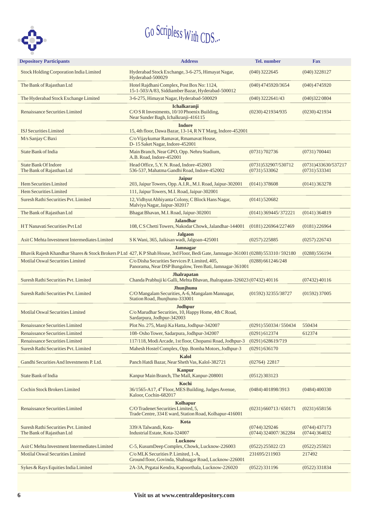

| <b>Depository Participants</b>                                                                                                          | <b>Address</b>                                                                                                                                       |                                        | <b>Fax</b>                           |  |
|-----------------------------------------------------------------------------------------------------------------------------------------|------------------------------------------------------------------------------------------------------------------------------------------------------|----------------------------------------|--------------------------------------|--|
| Stock Holding Corporation India Limited                                                                                                 | Hyderabad Stock Exchange, 3-6-275, Himayat Nagar,<br>$(040)$ 3222645<br>Hyderabad-500029                                                             |                                        | $(040)$ 3228127                      |  |
| The Bank of Rajasthan Ltd                                                                                                               | Hotel Rajdhani Complex, Post Box No: 1124,<br>15-1-503/A/83, Siddiamber Bazar, Hyderabad-500012                                                      |                                        |                                      |  |
| The Hyderabad Stock Exchange Limited                                                                                                    | 3-6-275, Himayat Nagar, Hyderabad-500029                                                                                                             | $(040)$ 3222641/43                     | (040)3220804                         |  |
| Renaissance Securities Limited                                                                                                          | Ichalkaranji<br>C/O S R Investments, 10/10 Phoenix Building,<br>Near Sunder Bagh, Ichalkranji-416115                                                 | (0230) 421934/935                      | $(0230)$ 421934                      |  |
| <b>ISJ</b> Securities Limited                                                                                                           | <b>Indore</b><br>15, 4th floor, Dawa Bazar, 13-14, R NT Marg, Indore-452001                                                                          |                                        |                                      |  |
| M/s Sanjay C Baxi                                                                                                                       | C/o Vijaykumar Ramavat, Rmamavat House,<br>D-15 Saket Nagar, Indore-452001                                                                           |                                        |                                      |  |
| State Bank of India                                                                                                                     | Main Branch, Near GPO, Opp. Nehru Stadium,<br>A.B. Road, Indore-452001                                                                               | (0731) 702736                          | (0731) 700441                        |  |
| <b>State Bank Of Indore</b><br>The Bank of Rajasthan Ltd                                                                                | Head Office, 5, Y. N. Road, Indore-452003<br>536-537, Mahatma Gandhi Road, Indore-452002                                                             | (0731)532907/530712<br>$(0731)$ 533062 | (0731)433630/537217<br>(0731) 533341 |  |
| Hem Securities Limited                                                                                                                  | <b>Jaipur</b><br>203, Jaipur Towers, Opp. A.I.R., M.I. Road, Jaipur-302001                                                                           | $(0141)$ 378608                        | $(0141)$ 363278                      |  |
| Hem Securities Limited                                                                                                                  | 111, Jaipur Towers, M.I. Road, Jaipur-302001                                                                                                         |                                        |                                      |  |
| Suresh Rathi Securities Pvt. Limited                                                                                                    | 12, Vidhyut Abhiyanta Colony, C Block Hans Nagar,<br>Malviya Nagar, Jaipur-302017                                                                    | $(0141)$ 520682                        |                                      |  |
| The Bank of Rajasthan Ltd                                                                                                               | Bhagat Bhavan, M.I. Road, Jaipur-302001                                                                                                              | (0141) 369445/372221                   | $(0141)$ 364819                      |  |
| HT Nanavati Securities Pvt Ltd                                                                                                          | <b>Jalandhar</b><br>108, C S Chetti Towers, Nakodar Chowk, Jalandhar-144001                                                                          | (0181) 226964/227469                   | $(0181)$ 226964                      |  |
| Asit C Mehta Investment Intermediates Limited                                                                                           | <b>Jalgaon</b><br>SK Wani, 365, Jaikisan wadi, Jalgoan-425001                                                                                        | $(0257)$ 225885                        | $(0257)$ 226743                      |  |
|                                                                                                                                         | <b>Jamnagar</b><br>Bhavik Rajesh Khandhar Shares & Stock Brokers PLtd 427, KP Shah House, 3rd Floor, Bedi Gate, Jamnagar-361001 (0288) 553310/592180 |                                        | (0288) 556194                        |  |
| Motilal Oswal Securities Limited                                                                                                        | C/o Disha Securities Services P. Limited, 405,<br>Panorama, Near DSP Bungalow, Teen Bati, Jamnagar-361001                                            | $(0288)$ 661246/248                    |                                      |  |
| Suresh Rathi Securities Pvt. Limited                                                                                                    | <b>Jhalrapatan</b><br>Chanda Prabhuji ki Galli, Mehta Bhavan, Jhalrapatan-326023 (07432) 40116                                                       |                                        | $(07432)$ 40116                      |  |
| Jhunjhunu<br>C/O Mangalam Securities, A-6, Mangalam Mannagar,<br>Suresh Rathi Securities Pvt. Limited<br>Station Road, Jhunjhunu-333001 |                                                                                                                                                      | (01592) 32355/38727                    | $(01592)$ 37005                      |  |
| Motilal Oswal Securities Limited                                                                                                        | <b>Jodhpur</b><br>C/o Marudhar Securities, 10, Happy Home, 4th C Road,<br>Sardarpura, Jodhpur-342003                                                 |                                        |                                      |  |
| Renaissance Securities Limited                                                                                                          | Plot No. 275, Manji Ka Hatta, Jodhpur-342007                                                                                                         | (0291) 550334/550434                   | 550434                               |  |
| Renaissance Securities Limited                                                                                                          | 108-Osho Tower, Sadarpura, Jodhpur-342007                                                                                                            | $(0291)$ 612374                        | 612374                               |  |
| Renaissance Securities Limited                                                                                                          | 117/118, Modi Arcade, 1st floor, Chopansi Road, Jodhpur-3                                                                                            | (0291)628619/719                       |                                      |  |
| Suresh Rathi Securities Pvt. Limited                                                                                                    | Mahesh Hostel Complex, Opp. Bomba Motors, Jodhpur-3                                                                                                  | (0291) 636170                          |                                      |  |
| Gandhi Securities And Investments P. Ltd.                                                                                               | Kalol<br>Panch Hatdi Bazar, Near Sheth Vas, Kalol-382721                                                                                             | $(02764)$ 22817                        |                                      |  |
| State Bank of India                                                                                                                     | <b>Kanpur</b><br>Kanpur Main Branch, The Mall, Kanpur-208001                                                                                         | $(0512)$ 303123                        |                                      |  |
| Cochin Stock Brokers Limited                                                                                                            | Kochi<br>36/1565-A17, 4 <sup>th</sup> Floor, MES Building, Judges Avenue,<br>Kaloor, Cochin-682017                                                   | (0484) 401898/3913                     | (0484)400330                         |  |
| Renaissance Securities Limited                                                                                                          | Kolhapur<br>C/O Tradenet Securities Limited, 5,<br>Trade Centre, 334 E ward, Station Road, Kolhapur-416001                                           | $(0231)$ 660713/650171                 | $(0231)$ 658156                      |  |
| Suresh Rathi Securities Pvt. Limited<br>The Bank of Rajasthan Ltd                                                                       | Kota<br>339/A Talwandi, Kota-<br>(0744) 329246<br>Industrial Estate, Kota-324007<br>(0744) 324007/362284                                             |                                        |                                      |  |
| Asit C Mehta Investment Intermediates Limited                                                                                           | Lucknow<br>C-5, KusumDeep Complex, Chowk, Lucknow-226003                                                                                             | (0522) 255022/23                       | $(0522)$ 255021                      |  |
| Motilal Oswal Securities Limited                                                                                                        | C/o MLK Securities P. Limited, 1-A,<br>Ground floor, Govinda, Shahnagar Road, Lucknow-226001                                                         | 231695/211903                          | 217492                               |  |
| Sykes & Rays Equities India Limited                                                                                                     | 2A-3A, Prgatai Kendra, Kapoorthala, Lucknow-226020                                                                                                   | $(0522)$ 331196                        | $(0522)$ 331834                      |  |
|                                                                                                                                         |                                                                                                                                                      |                                        |                                      |  |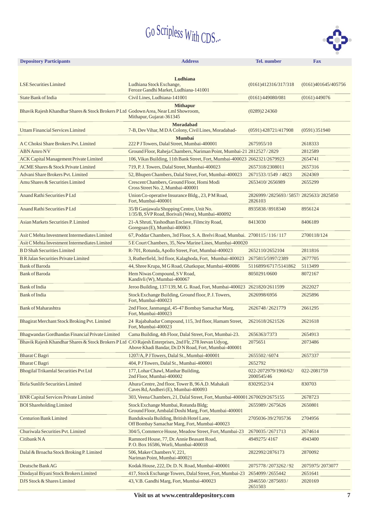

| <b>Depository Participants</b><br><b>Address</b>                                                       |                                                                                                                 | Tel. number                                     | Fax                 |
|--------------------------------------------------------------------------------------------------------|-----------------------------------------------------------------------------------------------------------------|-------------------------------------------------|---------------------|
|                                                                                                        |                                                                                                                 |                                                 |                     |
| <b>LSE Securities Limited</b>                                                                          | Ludhiana<br>Ludhiana Stock Exchange,<br>Feroze Gandhi Market, Ludhiana-141001                                   | (0161)412316/317/318                            | (0161)401645/405756 |
| State Bank of India                                                                                    | Civil Lines, Ludhiana-141001                                                                                    | $(0161)$ 449080/081                             | $(0161)$ 449076     |
| Bhavik Rajesh Khandhar Shares & Stock Brokers P Ltd Godown Area, Near Lml Showroom,                    | <b>Mithapur</b><br>Mithapur, Gujarat-361345                                                                     | (0289)224360                                    |                     |
| <b>Uttam Financial Services Limited</b>                                                                | <b>Moradabad</b><br>7-B, Dev Vihar, M D A Colony, Civil Lines, Moradabad-                                       | (0591) 428721/417908                            | $(0591)$ 351940     |
| A C Choksi Share Brokers Pvt. Limited                                                                  | <b>Mumbai</b><br>222 P J Towers, Dalal Street, Mumbai-400001                                                    | 2675955/10                                      | 2618333             |
| <b>ABN</b> Amro NV                                                                                     | Ground Floor, Raheja Chambers, Nariman Point, Mumbai-21 2812527/2829                                            |                                                 | 2812589             |
| <b>ACK Capital Management Private Limited</b>                                                          | 106, Vikas Building, 11th Bank Street, Fort, Mumbai-400023 2662321/2679923                                      |                                                 | 2654741             |
| <b>ACME Shares &amp; Stock Private Limited</b>                                                         | 719, P.J. Towers, Dalal Street, Mumbai-400023                                                                   | 2657318/2308011                                 | 2657316             |
| Advani Share Brokers Pvt. Limited                                                                      | 52, Bhupen Chambers, Dalal Street, Fort, Mumbai-400023                                                          | 2671533/1549 / 4823                             | 2624369             |
| Amu Shares & Securities Limited                                                                        | Crescent Chambers, Ground Floor, Homi Modi<br>Cross Street No. 2, Mumbai-400001                                 | 2653410/2656989                                 | 2655299             |
| Anand Rathi Securities PLtd                                                                            | Union Co-operative Insurance Bldg., 23, PM Road,<br>Fort, Mumbai-400001                                         | 2826999/2825693/5857/2825633/2825850<br>2826103 |                     |
| Anand Rathi Securities P Ltd                                                                           | 35/B Ganjawala Shopping Centre, Unit No.<br>1/35/B, SVP Road, Borivali (West), Mumbai-400092                    | 8935838/8918340                                 | 8956124             |
| Asian Markets Securities P. Limited                                                                    | 21-A Shruti, Yashodhan Enclave, Filmcity Road,<br>Goregoan (E), Mumbai-400063                                   | 8413030                                         | 8406189             |
| Asit C Mehta Investment Intermediates Limited                                                          | 67, Poddar Chambers, 3rd Floor, S.A. Brelvi Road, Mumbai. 2700115/116/117                                       |                                                 | 2700118/124         |
| Asit C Mehta Investment Intermediates Limited                                                          | 5 E Court Chambers, 35, New Marine Lines, Mumbai-400020                                                         |                                                 |                     |
| <b>B D Shah Securities Limited</b>                                                                     | R-701, Rotunda, Apollo Street, Fort, Mumbai-400023                                                              | 2652110/2652104                                 | 2811816             |
| <b>B R Jalan Securities Private Limited</b>                                                            | 3, Rutherfield, 3rd floor, Kalaghoda, Fort, Mumbai-400023                                                       | 2675815/5997/2389                               | 2677705             |
| <b>Bank of Baroda</b>                                                                                  | 44, Shree Krupa, M G Road, Ghatkopar, Mumbai-400086                                                             | 5116899/6717/5141862                            | 5113499             |
| <b>Bank of Baroda</b>                                                                                  | Hem Niwas Compound, SV Road,<br>Kandivli (W), Mumbai-400067                                                     | 8050291/0600                                    | 8072167             |
| <b>Bank of India</b>                                                                                   | Jeroo Building, 137/139, M. G. Road, Fort, Mumbai-400023 2621820/2611599                                        |                                                 | 2622027             |
| <b>Bank</b> of India                                                                                   | Stock Exchange Building, Ground floor, P.J. Towers,<br>Fort, Mumbai-400023                                      | 2626998/6956                                    | 2625896             |
| <b>Bank of Maharashtra</b>                                                                             | 2nd Floor, Janmangal, 45-47 Bombay Samachar Marg,<br>2626748/2621779<br>Fort, Mumbai-400023                     |                                                 | 2661295             |
| Bhagirat Merchant Stock Broking Pvt. Limited                                                           | 24 Rajabahadur Compound, 115, 3rd floor, Hamam Street,<br>Fort, Mumbai-400023                                   | 2621618/2621526                                 | 2621618             |
| Bhagwandas Gordhandas Financial Private Limited                                                        | Cama Building, 4th Floor, Dalal Street, Fort, Mumbai-23.                                                        | 2656363/7373                                    | 2654913             |
| Bhavik Rajesh Khandhar Shares & Stock Brokers P Ltd C/O Rajesh Enterprises, 2nd Flr, 278 Jeevan Udyog, | Above Khadi Bandar, Dr.D N Road, Fort, Mumbai-400001                                                            | 2075651                                         | 2073486             |
| <b>Bharat C Bagri</b>                                                                                  | 1207/A, PJ Towers, Dalal St., Mumbai-400001                                                                     | 2655502/6074                                    | 2657337             |
| <b>Bharat C Bagri</b>                                                                                  | 404, PJ Towers, Dalal St., Mumbai-400001                                                                        | 2652792                                         |                     |
| Bhogilal Trikamlal Securities Pvt Ltd                                                                  | 177, Lohar Chawl, Manhar Building,<br>2nd Floor, Mumbai-400002                                                  | 022-2072979/1960/62/<br>2000545/46              | 022-2081759         |
| <b>Birla Sunlife Securities Limited</b>                                                                | Ahura Centre, 2nd floor, Tower B, 96A.D. Mahakali<br>Caves Rd, Andheri (E), Mumbai-400093                       | 8302952/3/4                                     | 830703              |
| <b>BNR Capital Services Private Limited</b>                                                            | 303, Veena Chambers, 21, Dalal Street, Fort, Mumbai-400001 2670029/2675155                                      |                                                 | 2678723             |
| <b>BOI</b> Shareholding Limited                                                                        | Stock Exchange Mumbai, Rotunda Bldg;<br>Ground Floor, Ambalal Doshi Marg, Fort, Mumbai-400001                   | 2655989/2675626                                 | 2650801             |
| <b>Centurion Bank Limited</b>                                                                          | Bandukwala Building, British Hotel Lane,<br>2705036-39/2705736<br>Off Bombay Samachar Marg, Fort, Mumbai-400023 |                                                 | 2704956             |
| Churiwala Securities Pvt. Limited                                                                      | 304/5, Commerce House, Meadow Street, Fort, Mumbai-23                                                           | 2670035/2671713                                 | 2674614             |
| Citibank NA                                                                                            | Ramnord House, 77, Dr. Annie Beasant Road,<br>4949275/4167<br>P.O. Box 16586, Worli, Mumbai-400018              |                                                 | 4943400             |
| Dalal & Broacha Stock Broking P. Limited                                                               | 506, Maker Chambers V, 221,<br>Nariman Point, Mumbai-400021                                                     | 2822992/2876173                                 | 2870092             |
| Deutsche Bank AG                                                                                       | Kodak House, 222, Dr. D. N. Road, Mumbai-400001                                                                 | 2075778/2073262/92                              | 2075975/2073077     |
| Dindayal Biyani Stock Brokers Limited                                                                  | 417, Stock Exchange Towers, Dalal Street, Fort, Mumbai-23                                                       | 2654099/2655442                                 | 2651641             |
| DJS Stock & Shares Limited                                                                             | 2846550/2875693/<br>2651503                                                                                     | 2020169                                         |                     |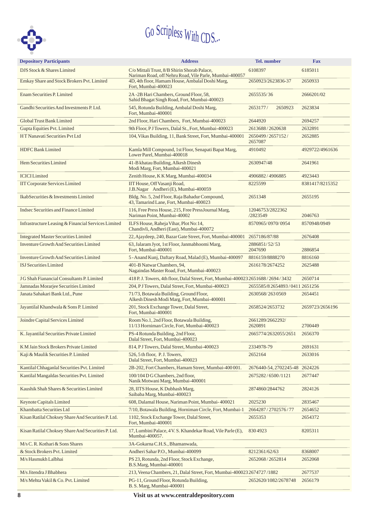

| <b>Depository Participants</b>                      | <b>Address</b><br><b>Tel.</b> number                                                                                              |                                | <b>Fax</b>      |
|-----------------------------------------------------|-----------------------------------------------------------------------------------------------------------------------------------|--------------------------------|-----------------|
| DJS Stock & Shares Limited                          | C/o Mittali Trust, 8/B Shirin Shorab Palace,                                                                                      | 6108397                        | 6185011         |
| Emkay Share and Stock Brokers Pvt. Limited          | Nariman Road, off Nehru Road, Vile Parle, Mumbai-400057<br>4D, 4th floor, Hamam House, Ambalal Doshi Marg,<br>Fort, Mumbai-400023 | 2650923/2623836-37             | 2650933         |
| <b>Enam Securities P. Limited</b>                   | 2A -2B Hari Chambers, Ground Floor, 58,<br>Sahid Bhagat Singh Road, Fort, Mumbai-400023                                           | 2655535/36                     | 2666201/02      |
| Gandhi Securities And Investments P. Ltd.           | 545, Rotunda Building, Ambalal Doshi Marg,<br>Fort, Mumbai-400001                                                                 | 2653177/<br>2650923            | 2623834         |
| Global Trust Bank Limited                           | 2nd Floor, Hari Chambers, Fort, Mumbai-400023                                                                                     | 2644920                        | 2694257         |
| Gupta Equities Pvt. Limited                         | 9th Floor, PJ Towers, Dalal St., Fort, Mumbai-400023                                                                              | 2613688/2620638                | 2632891         |
| HT Nanavati Securities Pvt Ltd                      | 104, Vikas Building, 11, Bank Street, Fort, Mumbai-400001                                                                         | 2650499/2657152/<br>2657087    | 2652885         |
| <b>HDFC</b> Bank Limited                            | Kamla Mill Compound, 1st Floor, Senapati Bapat Marg,<br>Lower Parel, Mumbai-400018                                                | 4910492                        | 4929722/4961636 |
| Hem Securities Limited                              | 41-B khatau Building, Alkesh Dinesh<br>Modi Marg, Fort, Mumbai-400021                                                             | 2630947/48                     | 2641961         |
| <b>ICICILimited</b>                                 | Zenith House, K K Marg, Mumbai-400034                                                                                             | 4906882/4906885                | 4923443         |
| <b>IIT Corporate Services Limited</b>               | IIT House, Off Vasanji Road,<br>J.B.Nagar Andheri (E), Mumbai-400059                                                              | 8225599                        | 8381417/8215352 |
| IkabSecurities & Investments Limited                | Bldg. No. 5, 2nd Floor, Raja Bahadur Compound,<br>43, Tamarind Lane, Fort, Mumbai-400023                                          | 2651348                        | 2655195         |
| Indsec Securities and Finance Limited               | 116, Free Press House, 215, Free PressJournal Marg,<br>Nariman Point, Mumbai-40002                                                | 12046753/2822362<br>/2823549   | 2046763         |
| Infrastructure Leasing & Financial Services Limited | ILFS House, Raheja Vihar, Plot No:14,<br>Chandivli, Andheri (East), Mumbai-400072                                                 | 8570965/0970/0954              | 8570948/0949    |
| <b>Integrated Master Securities Limited</b>         | 22, Ajaydeep, 240, Bazar Gate Street, Fort, Mumbai-400001                                                                         | 2657186/87/88                  | 2676408         |
| <b>Inventure Growth And Securities Limited</b>      | 63, Jalaram Jyot, 1st Floor, Janmabhoomi Marg,<br>Fort, Mumbai-400001                                                             | 2886851/52/53<br>2047690       | 2886854         |
| <b>Inventure Growth And Securities Limited</b>      | 5 - Anand Kunj, Daftary Road, Malad (E), Mumbai-400097                                                                            | 8816159/8888270                | 8816160         |
| <b>ISJ</b> Securities Limited                       | 401-B Natwar Chambers, 94,<br>Nagaindas Master Road, Fort, Mumbai-400023                                                          | 2616178/2674252                | 2625488         |
| J G Shah Fianancial Consultants P. Limited          | 418 P.J. Towers, 4th floor, Dalal Street, Fort, Mumbai-400023 2651688 / 2694 / 3432                                               |                                | 2650714         |
| Jamnadas Morarjee Securities Limited                | 204, PJ Towers, Dalal Street, Fort, Mumbai-400023                                                                                 | 2655585/82654893/04112651256   |                 |
| Janata Sahakari Bank Ltd., Pune                     | 71/73, Botawala Building, Ground Floor,<br>Alkesh Dinesh Modi Marg, Fort, Mumbai-400001                                           | 2630568/2630569                | 2654451         |
| Jayantilal Khandwala & Sons P. Limited              | 201, Stock Exchange Tower, Dalal Street,<br>Fort, Mumbai-400001                                                                   | 2658524/2653732                | 2659723/2656196 |
| Joindre Capital Services Limited                    | Room No.1, 2nd Floor, Botawala Building,<br>11/13 Horniman Circle, Fort, Mumbai-400023                                            | 2661289/2662292/<br>2620891    | 2700449         |
| K. Jayantilal Securities Private Limited            | PS-4 Rotunda Building, 2nd Floor,<br>Dalal Street, Fort, Mumbai-400023                                                            | 2665774/2632055/2651 2656370   |                 |
| K M Jain Stock Brokers Private Limited              | 814, PJ Towers, Dalal Street, Mumbai-400023                                                                                       | 2334978-79                     | 2691631         |
| Kaji & Maulik Securities P. Limited                 | 526, 5 th floor, P.J. Towers,<br>Dalal Street, Fort, Mumbai-400023                                                                | 2652164                        | 2633016         |
| Kantilal Chhaganlal Securities Pvt. Limited         | 2B-202, Fort Chambers, Hamam Street, Mumbai-400 001.                                                                              | 2676440-54, 2702245-48 2624226 |                 |
| Kantilal Mangaldas Securities Pvt. Limited          | 100/104 D G Chambers, 2nd floor,<br>Nanik Motwani Marg, Mumbai-400001                                                             | 2675282/6500/1121              | 2677447         |
| Kaushik Shah Shares & Securities Limited            | 28, IITS House, K Dubhash Marg,<br>Saibaba Marg, Mumbai-400023                                                                    | 2874860/2844762                | 2824126         |
| <b>Keynote Capitals Limited</b>                     | 608, Dalamal House, Nariman Point, Mumbai-400021                                                                                  | 2025230                        | 2835467         |
| Khambatta Securities Ltd                            | 7/10, Botawala Building, Horniman Circle, Fort, Mumbai-1                                                                          | 2664287/2702576/77             | 2654652         |
| Kisan Ratilal Choksey Share And Securities P. Ltd.  | 1102, Stock Exchange Tower, Dalal Street,<br>Fort, Mumbai-400001                                                                  | 2655353                        |                 |
| Kisan Ratilal Choksey Share And Securities P. Ltd.  | 17, Lumbini Palace, 4 V. S. Khandekar Road, Vile Parle (E),<br>8304923<br>Mumbai-400057.                                          |                                | 8205311         |
| M/s C. R. Kothari & Sons Shares                     | 3A-Gokarna C.H.S., Bhamanwada,                                                                                                    |                                |                 |
| & Stock Brokers Pvt. Limited                        | Andheri Sahar P.O., Mumbai-400099                                                                                                 | 8212361/62/63                  | 8368007         |
| M/s Hasmukh Lalbhai                                 | PS 23, Rotunda, 2nd Floor, Stock Exchange,<br>B.S.Marg, Mumbai-400001                                                             | 2652068/2652814                | 2652068         |
| M/s Jitendra J Bhabhera                             | 213, Veena Chambers, 21, Dalal Street, Fort, Mumbai-4000232674727/1882                                                            |                                | 2677537         |
| M/s Mehta Vakil & Co. Pvt. Limited                  | PG-11, Ground Floor, Rotunda Building,<br>B. S. Marg, Mumbai-400001                                                               | 2652620/1082/2678748           | 2656179         |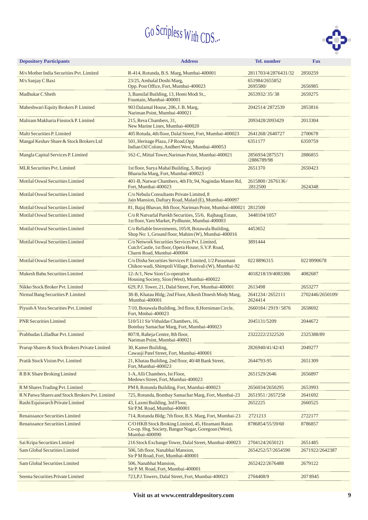

| <b>Depository Participants</b>                  | <b>Address</b>                                                                                                                                | <b>Tel.</b> number             | <b>Fax</b>       |
|-------------------------------------------------|-----------------------------------------------------------------------------------------------------------------------------------------------|--------------------------------|------------------|
| M/s Mother India Securities Pvt. Limited        | R-414, Rotunda, B.S. Marg, Mumbai-400001                                                                                                      | 2811703/4/2876431/32           | 2850259          |
| M/s Sanjay C Baxi                               | 23/25, Ambalal Doshi Marg,<br>Opp. Post Office, Fort, Mumbai-400023                                                                           | 651984/2655852<br>2695580/     | 2656985          |
| Madhukar C Sheth                                | 3, Bansilal Building, 13, Homi Modi St.,<br>Fountain, Mumbai-400001                                                                           | 2653932/35/38                  | 2659275          |
| Maheshwari Equity Brokers P. Limited            | 903 Dalamal House, 206, J. B. Marg,<br>Nariman Point, Mumbai-400021                                                                           | 2042514/2872539                | 2853816          |
| Maliram Makharia Finstock P. Limited            | 215. Reva Chambers, 31.<br>New Marine Lines, Mumbai-400020                                                                                    | 2093428/2093429                | 2013304          |
| Malti Securities P. Limited                     | 405 Rotuda, 4th floor, Dalal Street, Fort, Mumbai-400023                                                                                      | 2641268/2640727                | 2700678          |
| Mangal Keshav Share & Stock Brokers Ltd         | 501, Heritage Plaza, JP Road, Opp<br>Indian Oil Colony, Andheri West, Mumbai-400053                                                           | 6351177                        | 6359759          |
| Mangla Capital Services P. Limited              | 162-C, Mittal Tower, Nariman Point, Mumbai-400021                                                                                             | 2856934/2875571<br>/2886789/98 | 2886855          |
| <b>MLR Securities Pvt. Limited</b>              | 1st floor, Surya Mahal Building, 5, Burjorji<br>Bharucha Marg, Fort, Mumbai-400023                                                            | 2651370                        | 2650423          |
| Motilal Oswal Securities Limited                | 401-B, Natwar Chambers, 4th Flr, 94, Nagindas Master Rd,<br>Fort, Mumbai-400023                                                               | 2615800/2676136/<br>2812500    | 2624348          |
| Motilal Oswal Securities Limited                | C/o Nebula Consultants Private Limited, 8<br>Jain Mansion, Daftary Road, Malad (E), Mumbai-400097                                             |                                |                  |
| Motilal Oswal Securities Limited                | 81, Bajaj Bhavan, 8th floor, Nariman Point, Mumbai-400021 2812500                                                                             |                                |                  |
| Motilal Oswal Securities Limited                | C/o R Natvarlal Parekh Securities, 55/6, Rajbaug Estate,<br>1st floor, Yarn Market, Pydhunie, Mumbai-400003                                   | 3448104/1057                   |                  |
| Motilal Oswal Securities Limited                | C/o Reliable Investments, 105/8, Botawala Building,<br>Shop No: 1, Ground floor, Mahim (W), Mumbai-400016                                     | 4453652                        |                  |
| Motilal Oswal Securities Limited                | C/o Network Securities Services Pvt. Limited,<br>Cutch Castle, 1st floor, Opera House, S.V.P. Road,<br>Charni Road, Mumbai-400004             | 3891444                        |                  |
| Motilal Oswal Securities Limited                | C/o Disha Securities Services P. Limited, 1/2 Parasmani<br>Chikoo wadi, Shimpoli Village, Borivali (W), Mumbai-92                             | 0228896315                     | 022 8990678      |
| Mukesh Babu Securities Limited                  | 12-A/1, New Sion Co-operative<br>Housing Society, Sion (West), Mumbai-400022                                                                  | 4018218/19/4083386             | 4082687          |
| Nikko Stock Broker Pvt. Limited                 | 629, P.J. Tower, 21, Dalal Street, Fort, Mumbai-400001                                                                                        | 2613498                        | 2653277          |
| Nirmal Bang Securities P. Limited               | 38-B, Khatau Bldg; 2nd Floor, Alkesh Dinesh Mody Marg,<br>Mumbai-400001                                                                       | 2641234/2652111<br>2624414     | 2702446/2650109/ |
| Piyush A Vora Securities Pvt. Limited           | 7/10, Botawala Building, 3rd floor, 8, Horniman Circle,<br>Fort, Mmbai-400023                                                                 | 2660184/2919/5876              | 2658692          |
| <b>PNR Securities Limited</b>                   | 510/511 Sir Vithaldas Chambers, 16,<br>Bombay Samachar Marg, Fort, Mumbai-400023                                                              | 2045131/5209                   | 2044672          |
| Prabhudas Lilladhar Pvt. Limited                | 807/8, Raheja Centre, 8th floor,<br>Nariman Point, Mumbai-400021                                                                              | 2322222/2322520                | 2325388/89       |
| Prarup Shares & Stock Brokers Private Limited   | 30, Kamer Building,<br>Cawasji Patel Street, Fort, Mumbai-400001                                                                              | 2826940/41/42/43               | 2049277          |
| Pratik Stock Vision Pvt. Limited                | 21, Khatau Building, 2nd floor, 40/48 Bank Street,<br>Fort, Mumbai-400023                                                                     | 2644793-95                     | 2651309          |
| R B K Share Broking Limited                     | 1-A, Alli Chambers, Ist Floor,<br>Medows Street, Fort, Mumbai-400023                                                                          | 2651529/2646                   | 2656897          |
| R M Shares Trading Pvt. Limited                 | PM 8, Rotunda Building, Fort, Mumbai-400023                                                                                                   | 2656034/2650295                | 2653993          |
| R N Patwa Shares and Stock Brokers Pvt. Limited | 725, Rotunda, Bombay Samachar Marg, Fort, Mumbai-23                                                                                           | 2651951/2657258                | 2641692          |
| Rashi Equisearch Private Limited                | 43, Laxmi Building, 3rd Floor,<br>Sir P.M. Road, Mumbai-400001                                                                                | 2652225                        | 2660525          |
| Renaissance Securities Limited                  | 714, Rotunda Bldg; 7th floor, B.S. Marg, Fort, Mumbai-23                                                                                      | 2721213                        | 2722177          |
| Renaissance Securities Limited                  | C/O HKB Stock Broking Limited, 45, Hiramani Ratan<br>8786854/55/59/60<br>Co-op. Hsg. Society, Bangur Nagar, Goregoan (West),<br>Mumbai-400090 |                                | 8786857          |
| Sai Kripa Securities Limited                    | 216 Stock Exchange Tower, Dalal Street, Mumbai-400023                                                                                         | 2704124/2650121                | 2651485          |
| Sam Global Securities Limited                   | 506, 5th floor, Nanabhai Mansion,<br>Sir P M Road, Fort, Mumbai-400001                                                                        | 2654252/57/2654590             | 2671922/2642387  |
| Sam Global Securities Limited                   | 506, Nanabhai Mansion,<br>Sir P. M. Road, Fort, Mumbai-400001                                                                                 | 2652422/2676488                | 2679122          |
| Seema Securities Private Limited                | 723, P.J. Towers, Dalal Street, Fort, Mumbai-400023                                                                                           | 2704408/9                      | 2078945          |
|                                                 |                                                                                                                                               |                                |                  |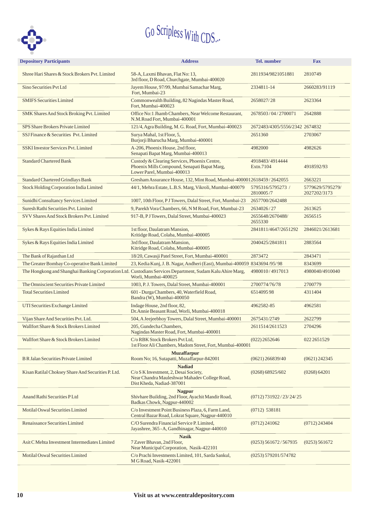

| <b>Depository Participants</b>                     | <b>Address</b>                                                                                                                       |                                | <b>Fax</b>                       |  |
|----------------------------------------------------|--------------------------------------------------------------------------------------------------------------------------------------|--------------------------------|----------------------------------|--|
| Shree Hari Shares & Stock Brokers Pvt. Limited     | 58-A, Laxmi Bhavan, Flat No: 13,<br>3rd floor, D Road, Churchgate, Mumbai-400020                                                     | 2811934/9821051881             | 2810749                          |  |
| Sino Securities Pvt Ltd                            | Jayem House, 97/99, Mumbai Samachar Marg,<br>Fort, Mumbai-23                                                                         | 2334811-14                     | 2660283/91119                    |  |
| <b>SMIFS Securities Limited</b>                    | Commonwealth Building, 82 Nagindas Master Road,<br>Fort, Mumbai-400023                                                               | 2658027/28                     | 2623364                          |  |
| SMK Shares And Stock Broking Pvt. Limited          | Office No:1 Jhamb Chambers, Near Welcome Restaurant,<br>N.M.Road Fort, Mumbai-400001                                                 | 2678503/04/2700071             | 2642888                          |  |
| SPS Share Brokers Private Limited                  | 121/4, Agra Building, M. G. Road, Fort, Mumbai-400023                                                                                | 2672483/4305/5556/2342 2674832 |                                  |  |
| SSJ Finance & Securities Pvt. Limited              | Surya Mahal, 1st Floor, 5,<br>Burjorji Bharucha Marg, Mumbai-400001                                                                  | 2651360                        | 2703067                          |  |
| <b>SSKI Investor Services Pvt. Limited</b>         | A-206, Phoenix House, 2nd floor,<br>Senapati Bapat Marg, Mumbai-400013                                                               | 4982000                        | 4982626                          |  |
| <b>Standard Chartered Bank</b>                     | Custody & Clearing Services, Phoenix Centre,<br>Phoenix Mills Compound, Senapati Bapat Marg,<br>Lower Parel, Mumbai-400013           | 4918483/4914444<br>Extn.7104   | 4918592/93                       |  |
| <b>Standard Chartered Grindlays Bank</b>           | Gresham Assurance House, 132, Mint Road, Mumbai-4000012618459/2642055                                                                |                                | 2663221                          |  |
| <b>Stock Holding Corporation India Limited</b>     | 44/1, Mehra Estate, L.B.S. Marg, Vikroli, Mumbai-400079                                                                              | 5795316/5795273 /<br>2810005/7 | 5779629/5795279/<br>2027202/3173 |  |
| Sunidhi Consultancy Services Limited               | 1007, 10th Floor, PJ Towers, Dalal Street, Fort, Mumbai-23                                                                           | 2657700/2642488                |                                  |  |
| Suresh Rathi Securities Pvt. Limited               | 9, Parekh Vora Chambers, 66, N M Road, Fort, Mumbai-23                                                                               | 2634026/27                     | 2613625                          |  |
| SVV Shares And Stock Brokers Pvt. Limited          | 917-B, PJ Towers, Dalal Street, Mumbai-400023                                                                                        | 2655648/2670488/<br>2655330    | 2656515                          |  |
| Sykes & Rays Equities India Limited                | 1st floor, Daulatram Mansion,<br>Kritidge Road, Colaba, Mumbai-400005                                                                | 2841811/4647/2651292           | 2846021/2613681                  |  |
| Sykes & Rays Equities India Limited                | 3rd floor, Daulatram Mansion,<br>Kitridge Road, Colaba, Mumbai-400005                                                                | 2040425/2841811                |                                  |  |
| The Bank of Rajasthan Ltd                          | 18/20, Cawasji Patel Street, Fort, Mumbai-400001                                                                                     | 2873472                        | 2843471                          |  |
| The Greater Bombay Co-operative Bank Limited       | 23, Kedia Kunj, J. B. Nagar, Andheri (East), Mumbai-400059 8343694/95/98                                                             |                                | 8343699                          |  |
|                                                    | The Hongkong and Shanghai Banking Corporation Ltd. Custodians Services Department, Sudam Kalu Ahire Marg,<br>Worli, Mumbai-400025    | 4980010/4917013                | 4980040/4910040                  |  |
| The Omniscient Securities Private Limited          | 1003, P. J. Towers, Dalal Street, Mumbai-400001<br>2700774/76/78                                                                     |                                | 2700779                          |  |
| <b>Total Securities Limited</b>                    | 601 - Durga Chambers, 40, Waterfield Road,<br>Bandra (W), Mumbai-400050                                                              | 651409598                      | 4311404                          |  |
| UTI Securities Exchange Limited                    | Indage House, 2nd floor, 82,<br>Dr. Annie Beasant Road, Worli, Mumbai-400018                                                         | 4962582-85                     | 4962581                          |  |
| Vijan Share And Securities Pvt. Ltd.               | 504, A Jeejeebhoy Towers, Dalal Street, Mumbai-400001                                                                                | 2675431/2749                   | 2622799                          |  |
| Wallfort Share & Stock Brokers Limited             | 205, Gundecha Chambers,<br>Nagindas Master Road, Fort, Mumbai-400001                                                                 | 2611514/2611523                | 2704296                          |  |
| Wallfort Share & Stock Brokers Limited             | C/o RBK Stock Brokers Pvt Ltd,<br>1st Floor Ali Chambers, Madom Street, Fort, Mumbai-400001                                          | $(022)$ 2652646                | 0222651529                       |  |
|                                                    | <b>Muzaffarpur</b>                                                                                                                   |                                |                                  |  |
| <b>B R Jalan Securities Private Limited</b>        | Room No; 16, Sutapatti, Muzaffarpur-842001                                                                                           | $(0621)$ 266839/40             | $(0621)$ 242345                  |  |
| Kisan Ratilal Choksey Share And Securities P. Ltd. | <b>Nadiad</b><br>C/o S K Investment, 2, Desai Society,<br>Near Chandra Mauleshwar Mahadev College Road,<br>Dist Kheda, Nadiad-387001 | (0268) 68925/602               | (0268) 64201                     |  |
| Anand Rathi Securities PLtd                        | <b>Nagpur</b><br>Shivhare Building, 2nd Floor, Ayachit Mandir Road,<br>Badkas Chowk, Nagpur-440002                                   | (0712) 731922 / 23 / 24 / 25   |                                  |  |
| Motilal Oswal Securities Limited                   | C/o Investment Point Business Plaza, 6, Farm Land,<br>Central Bazar Road, Lokrat Square, Nagpur-440010                               | $(0712)$ 538181                |                                  |  |
| Renaissance Securities Limited                     | C/O Surendra Financial Service P. Limited,<br>Jayashree, 365 - A, Gandhinagar, Nagpur-440010                                         | $(0712)$ 241062                | $(0712)$ 243404                  |  |
|                                                    | <b>Nasik</b>                                                                                                                         |                                |                                  |  |
| Asit C Mehta Investment Intermediates Limited      | 7 Zaver Bhavan, 2nd Floor,<br>Near Municipal Corporation, Nasik-422101                                                               | $(0253)$ 561672/567935         | (0253) 561672                    |  |
| <b>Motilal Oswal Securities Limited</b>            | C/o Prachi Investments Limited, 101, Sarda Sankul,<br>M G Road, Nasik-422001                                                         | $(0253)$ 579201/574782         |                                  |  |
|                                                    |                                                                                                                                      |                                |                                  |  |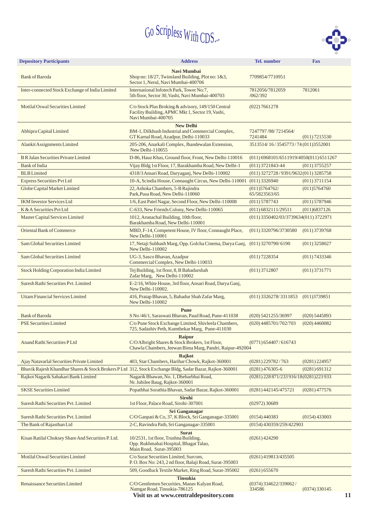

| <b>Depository Participants</b>                     | <b>Address</b>                                                                                                               | <b>Tel.</b> number                        | <b>Fax</b>      |  |
|----------------------------------------------------|------------------------------------------------------------------------------------------------------------------------------|-------------------------------------------|-----------------|--|
| <b>Bank of Baroda</b>                              | Navi Mumbai<br>Shop no: 18/27, Twinsland Building, Plot no: 1&3,<br>7709854/7710951<br>Sector 1, Nerul, Navi Mumbai-400706   |                                           |                 |  |
| Inter-connected Stock Exchange of India Limited    | International Infotech Park, Tower No:7,<br>5th floor, Sector 30, Vashi, Navi Mumbai-400703                                  | 7812056/7812059<br>/062/392               | 7812061         |  |
| Motilal Oswal Securities Limited                   | C/o Stock Plus Broking & advisory, 149/150 Central<br>Facility Building, APMC Mkt 1, Sector 19, Vashi,<br>Navi Mumbai-400705 | (022) 7661278                             |                 |  |
|                                                    | <b>New Delhi</b>                                                                                                             |                                           |                 |  |
| Abhipra Capital Limited                            | BM-1, Dilkhush Industrial and Commercial Complex,<br>GT Karnal Road, Azadpur, Delhi-110033                                   | 7247797/98/7214564/<br>7241484            | (011) 7215530   |  |
| Alankit Assignments Limited                        | 205-206, Anarkali Complex, Jhandewalan Extension,<br>New Delhi-110055                                                        | 3513514/16/3545773/74 (011)3552001        |                 |  |
| <b>B R Jalan Securities Private Limited</b>        | D-86, Hauz Khas, Ground floor, Front, New Delhi-110016                                                                       | $(011) 6968101/6511919/4050(011) 6511267$ |                 |  |
| <b>Bank of India</b>                               | Vijay Bldg 1st Floor, 17, Barakhamba Road, New Delhi-1                                                                       | $(011)$ 3721843-44                        | $(011)$ 3755257 |  |
| <b>BLB</b> Limited                                 | 4318/3 Ansari Road, Daryaganj, New Delhi-110002                                                                              | (011) 3272728/9391/9632(011) 3285758      |                 |  |
| <b>Express Securities Pvt Ltd</b>                  | 10-A, Scindia House, Connaught Circus, New Delhi-110001                                                                      | $(011)$ 3326940                           | $(011)$ 3711154 |  |
| Globe Capital Market Limited                       | 22, Ashoka Chambers, 5-B Rajindra<br>Park, Pusa Road, New Delhi-110060                                                       | (011)5764762/<br>65/5823563/65            | (011)5764760    |  |
| <b>IKM Investor Services Ltd</b>                   | 1/6, East Patel Nagar, Second Floor, New Delhi-110008                                                                        | $(011)$ 5787743                           | (011) 5787946   |  |
| K & A Securities Pvt Ltd                           | C-633, New Friends Colony, New Delhi-110065                                                                                  | (011) 6832111/29511                       | (011)6837126    |  |
| Master Capital Services Limited                    | 1012, Arunachal Building, 10th floor,<br>Barakhamba Road, New Delhi-110001                                                   | $(011)$ 3350402/03/3739634(011) 3722971   |                 |  |
| <b>Oriental Bank of Commerce</b>                   | MBD, F-14, Competent House, IV floor, Connaught Place,<br>$(011)$ 3320796/3730580<br>New Delhi-110001                        |                                           |                 |  |
| Sam Global Securities Limited                      | 17, Netaji Subhash Marg, Opp. Golcha Cinema, Darya Ganj, (011) 3270790/6190<br>New Delhi-110002                              |                                           |                 |  |
| Sam Global Securities Limited                      | UG-3, Sasco Bhavan, Azadpur<br>(011) 7228354<br>Commercial Complex, New Delhi-110033                                         |                                           |                 |  |
| Stock Holding Corporation India Limited            | Tej Building, 1st floor, 8, B Bahadurshah<br>Zafar Marg, New Delhi-110002                                                    |                                           |                 |  |
| Suresh Rathi Securities Pvt. Limited               | E-2/16, White House, 3rd floor, Ansari Road, Darya Ganj,<br>New Delhi-110002.                                                |                                           |                 |  |
| <b>Uttam Financial Services Limited</b>            | 416, Pratap Bhavan, 5, Bahadur Shah Zafar Marg,<br>$(011)$ 3326278/3311853<br>New Delhi-110002                               |                                           |                 |  |
|                                                    | <b>Pune</b>                                                                                                                  |                                           |                 |  |
| <b>Bank of Baroda</b>                              | S No/46/1, Saraswati Bhavan, Paud Road, Pune-411038                                                                          | (020) 5421255/36997                       | $(020)$ 5445893 |  |
| <b>PSE Securities Limited</b>                      | C/o Pune Stock Exchange Limited, Shivleela Chambers,<br>725, Sadashiv Peth, Kumthekar Marg, Pune-411030                      | (020) 4485701/702/703                     | $(020)$ 4460082 |  |
| Anand Rathi Securities PLtd                        | <b>Raipur</b><br>C/O Albright Shares & Stock Brokers, 1st Floor,<br>Chawla Chambers, Jeewan Bima Marg, Pandri, Raipur-492004 | $(0771)$ 654407/616743                    |                 |  |
| Ajay Natavarlal Securities Private Limited         | Rajkot<br>403, Star Chambers, Harihar Chowk, Rajkot-360001                                                                   | $(0281)$ 229782/763                       | $(0281)$ 224957 |  |
|                                                    | Bhavik Rajesh Khandhar Shares & Stock Brokers P Ltd 312, Stock Exchange Bldg, Sadar Bazar, Rajkot-360001                     | $(0281)$ 476305-6                         | (0281) 691312   |  |
| Rajkot Nagarik Sahakari Bank Limited               | Nagarik Bhawan, No. 1, Dhebarbhai Road,<br>Nr. Jubilee Baug, Rajkot-360001                                                   | (0281) 228 871/233 916/18 (0281) 223 933  |                 |  |
| <b>SKSE Securities Limited</b>                     | Popatbhai Sorathia Bhavan, Sadar Bazar, Rajkot-360001                                                                        | $(0281)$ 442145/475721                    | $(0281)$ 477576 |  |
| Suresh Rathi Securities Pvt. Limited               | <b>Sirohi</b><br>1st Floor, Palace Road, Sirohi-307001                                                                       | $(02972)$ 30689                           |                 |  |
| Suresh Rathi Securities Pvt. Limited               | <b>Sri Ganganagar</b><br>C/O Ganpati & Co, 37, K Block, Sri Ganganagar-335001                                                | $(0154)$ 433003<br>(0154)440383           |                 |  |
| The Bank of Rajasthan Ltd                          | 2-C, Ravindra Path, Sri Ganganagar-335001<br>$(0154)$ 430359/259/422903                                                      |                                           |                 |  |
|                                                    | <b>Surat</b>                                                                                                                 |                                           |                 |  |
| Kisan Ratilal Choksey Share And Securities P. Ltd. | 10/2531, 1st floor, Trushna Building,<br>Opp. Rukhmabai Hospital, Bhagat Talao,<br>Main Road, Surat-395003                   | $(0261)$ 424290                           |                 |  |
| Motilal Oswal Securities Limited                   | C/o Surat Securities Limited, Surcom,<br>P.O. Box No: 243, 2 nd floor, Balaji Road, Surat-395003                             | $(0261)$ 419813/435505                    |                 |  |
| Suresh Rathi Securities Pvt. Limited               | 509, Goodluck Textile Market, Ring Road, Surat-395002                                                                        | (0261) 655670                             |                 |  |
| Renaissance Securities Limited                     | <b>Tinsukia</b><br>C/O Gentlemen Securities, Manav Kalyan Road,                                                              | $(0374)$ 334622/339062/                   |                 |  |
|                                                    | 334586                                                                                                                       | $(0374)$ 330145<br>11                     |                 |  |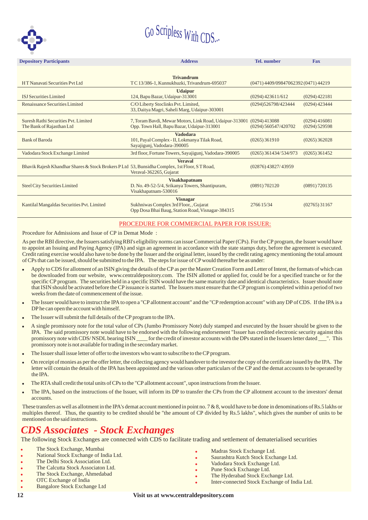

| <b>Depository Participants</b>                                                                                                                                    | <b>Address</b>                                                                                                 | <b>Tel.</b> number                   | <b>Fax</b>      |
|-------------------------------------------------------------------------------------------------------------------------------------------------------------------|----------------------------------------------------------------------------------------------------------------|--------------------------------------|-----------------|
|                                                                                                                                                                   |                                                                                                                |                                      |                 |
| HT Nanavati Securities Pvt Ltd                                                                                                                                    | <b>Trivandrum</b><br>TC13/386-1, Kunnukhuzki, Trivandrum-695037                                                | (0471) 4409/09847062392 (0471) 44219 |                 |
| <b>ISJ</b> Securities Limited                                                                                                                                     | <b>Udaipur</b><br>124, Bapu Bazar, Udaipur-313001                                                              | $(0294)$ 423611/612                  | $(0294)$ 422181 |
| Renaissance Securities Limited                                                                                                                                    | C/O Liberty Stoclinks Pvt. Limited,<br>33, Daitya Magri, Saheli Marg, Udaipur-303001                           | (0294)526798/423444                  | $(0294)$ 423444 |
| Suresh Rathi Securities Pvt. Limited<br>The Bank of Rajasthan Ltd                                                                                                 | 7, Toram Bavdi, Mewar Motors, Link Road, Udaipur-313001<br>(0294)413088<br>(0294) 560547/420702                | (0294)416081<br>$(0294)$ 529598      |                 |
| <b>Bank of Baroda</b>                                                                                                                                             | <b>Vadodara</b><br>101, Payal Complex - II, Lokmanya Tilak Road,<br>Sayajigunj, Vadodara-390005                | $(0265)$ 361910                      | $(0265)$ 362028 |
| Vadodara Stock Exchange Limited                                                                                                                                   | 3rd floor, Fortune Towers, Sayajigunj, Vadodara-390005                                                         | $(0265)$ 361434/534/973              | (0265)361452    |
| <b>Veraval</b><br>Bhavik Rajesh Khandhar Shares & Stock Brokers P Ltd 53, Bunsidha Complex, 1st Floor, ST Road,<br>(02876) 43827/43959<br>Veraval-362265, Gujarat |                                                                                                                |                                      |                 |
| <b>Steel City Securities Limited</b>                                                                                                                              | <b>Visakhapatnam</b><br>D. No. 49-52-5/4, Srikanya Towers, Shantipuram,<br>Visakhapatnam-530016                | (0891) 702120                        | (0891) 720135   |
| Kantilal Mangaldas Securities Pvt. Limited                                                                                                                        | <b>Visnagar</b><br>Sukhniwas Complex 3rd Floor, , Gujarat<br>Opp Dosa Bhai Baug, Station Road, Visnagar-384315 | 276615/34                            | (02765)31167    |

### PROCEDURE FOR COMMERCIAL PAPER FOR ISSUER:

Procedure for Admissions and Issue of CP in Demat Mode :

As per the RBI directive, the Issuers satisfying RBI's eligibility norms can issue Commercial Paper (CPs). For the CP program, the Issuer would have to appoint an Issuing and Paying Agency (IPA) and sign an agreement in accordance with the state stamps duty, before the agreement is executed. Credit rating exercise would also have to be done by the Issuer and the original letter, issued by the credit rating agency mentioning the total amount of CPs that can be issued, should be submitted to the IPA. The steps for issue of CP would thereafter be as under:

- Apply to CDS for allotment of an ISIN giving the details of the CP as per the Master Creation Form and Letter of Intent, the formats of which can be downloaded from our website, www.centraldepository.com. The ISIN allotted or applied for, could be for a specified tranche or for the specific CP program. The securities held in a specific ISIN would have the same maturity date and identical characteristics. Issuer should note that ISIN should be activated before the CP issuance is started. The Issuers must ensure that the CP program is completed within a period of two weeks from the date of commencement of the issue. .
- The Issuer would have to instruct the IPA to open a "CP allotment account" and the "CP redemption account" with any DP of CDS. If the IPA is a DP he can open the account with himself. .
- The Issuer will submit the full details of the CP program to the IPA. .
- A single promissory note for the total value of CPs (Jumbo Promissory Note) duly stamped and executed by the Issuer should be given to the IPA. The said promissory note would have to be endorsed with the following endorsement "Issuer has credited electronic security against this promissory note with CDS/NSDL bearing ISIN \_\_\_\_\_ for the credit of investor accounts with the DPs stated in the Issuers letter dated \_\_\_". This promissory note is not available for trading in the secondary market. .
- The Issuer shall issue letter of offer to the investors who want to subscribe to the CP program. .
- On receipt of monies as per the offer letter, the collecting agency would handover to the investor the copy of the certificate issued by the IPA. The letter will contain the details of the IPA has been appointed and the various other particulars of the CP and the demat accounts to be operated by the IPA. .
- The RTA shall credit the total units of CPs to the "CP allotment account", upon instructions from the Issuer. .
- The IPA, based on the instructions of the Issuer, will inform its DP to transfer the CPs from the CP allotment account to the investors' demat accounts. .

These transfers as well as allotment in the IPA's demat account mentioned in point no. 7 & 8, would have to be done in denominations of Rs.5 lakhs or multiples thereof. Thus, the quantity to be credited should be "the amount of CP divided by Rs.5 lakhs", which gives the number of units to be mentioned on the said instructions.

.<br>.

# *CDS Associates - Stock Exchanges*

The following Stock Exchanges are connected with CDS to facilitate trading and settlement of dematerialised securities

- . The Stock Exchange, Mumbai
- . National Stock Exchange of India Ltd.
- . The Delhi Stock Association Ltd.
- . The Calcutta Stock Associaton Ltd.
- . The Stock Exchange, Ahmedabad
- . OTC Exchange of India
- . Bangalore Stock Exchange Ltd
- Madras Stock Exchange Ltd.
- .<br>. Saurashtra Kutch Stock Exchange Ltd.
- .<br>. Vadodara Stock Exchange Ltd.
- . Pune Stock Exchange Ltd.
- . The Hyderabad Stock Exchange Ltd.
- .<br>. Inter-connected Stock Exchange of India Ltd.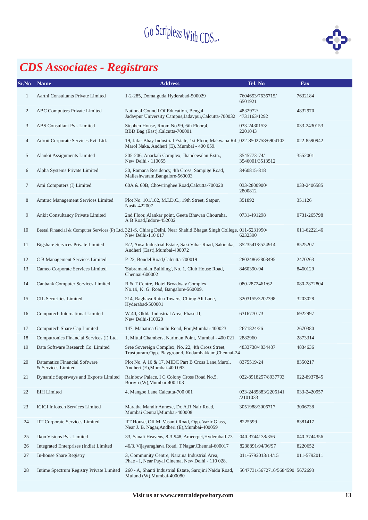

# *CDS Associates - Registrars*

| Sr.No          | <b>Name</b>                                         | <b>Address</b>                                                                                                                         | Tel. No                         | Fax         |
|----------------|-----------------------------------------------------|----------------------------------------------------------------------------------------------------------------------------------------|---------------------------------|-------------|
| $\mathbf{1}$   | Aarthi Consultants Private Limited                  | 1-2-285, Domalguda, Hyderabad-500029                                                                                                   | 7604653/7636715/<br>6501921     | 7632184     |
| $\mathfrak{2}$ | ABC Computers Private Limited                       | National Council Of Education, Bengal,<br>Jadavpur University Campus, Jadavpur, Calcutta-700032                                        | 4832972/<br>4731163/1292        | 4832970     |
| 3              | ABS Consultant Pvt. Limited                         | Stephen House, Room No.99, 6th Floor, 4,<br>BBD Bag (East), Calcutta-700001                                                            | 033-2430153/<br>2201043         | 033-2430153 |
| 4              | Adroit Corporate Services Pvt. Ltd.                 | 19, Jafar Bhay Industrial Estate, 1st Floor, Makwana Rd., 022-8502758/6904102<br>Marol Naka, Andheri (E), Mumbai - 400 059.            |                                 | 022-8590942 |
| 5              | Alankit Assignments Limited                         | 205-206, Anarkali Complex, Jhandewalan Extn.,<br>New Delhi - 110055                                                                    | 3545773-74/<br>3546001/3513512  | 3552001     |
| 6              | Alpha Systems Private Limited                       | 30, Ramana Residency, 4th Cross, Sampige Road,<br>Malleshwaram, Bangalore-560003                                                       | 3460815-818                     |             |
| 7              | Ami Computers (I) Limited                           | 60A & 60B, Chowringhee Road, Calcutta-700020                                                                                           | 033-2800900/<br>2800812         | 033-2406585 |
| 8              | Amtrac Management Services Limited                  | Plot No. 101/102, M.I.D.C., 19th Street, Satpur,<br>Nasik-422007                                                                       | 351892                          | 351126      |
| 9              | Ankit Consultancy Private Limited                   | 2nd Floor, Alankar point, Geeta Bhawan Chouraha,<br>A B Road, Indore-452002                                                            | 0731-491298                     | 0731-265798 |
| 10             |                                                     | Beetal Financial & Computer Services (P) Ltd. 321-S, Chirag Delhi, Near Shahid Bhagat Singh College, 011-6231990/<br>New Delhi-110 017 | 6232390                         | 011-6222146 |
| 11             | <b>Bigshare Services Private Limited</b>            | E/2, Ansa Industrial Estate, Saki Vihar Road, Sakinaka,<br>Andheri (East), Mumbai-400072                                               | 8523541/8524914                 | 8525207     |
| 12             | C B Management Services Limited                     | P-22, Bondel Road, Calcutta-700019                                                                                                     | 2802486/2803495                 | 2470263     |
| 13             | Cameo Corporate Services Limited                    | 'Subramanian Building', No. 1, Club House Road,<br>Chennai-600002                                                                      | 8460390-94                      | 8460129     |
| 14             | Canbank Computer Services Limited                   | R & T Centre, Hotel Broadway Complex,<br>No.19, K. G. Road, Bangalore-560009.                                                          | 080-2872461/62                  | 080-2872804 |
| 15             | <b>CIL Securities Limited</b>                       | 214, Raghava Ratna Towers, Chirag Ali Lane,<br>Hyderabad-500001                                                                        | 3203155/3202398                 | 3203028     |
| 16             | Computech International Limited                     | W-40, Okhla Industrial Area, Phase-II,<br>New Delhi-110020                                                                             | 6316770-73                      | 6922997     |
| 17             | Computech Share Cap Limited                         | 147, Mahatma Gandhi Road, Fort, Mumbai-400023                                                                                          | 2671824/26                      | 2670380     |
| 18             | Computronics Financial Services (I) Ltd.            | 1, Mittal Chambers, Nariman Point, Mumbai - 400 021. 2882960                                                                           |                                 | 2873314     |
| 19             | Data Software Research Co. Limited                  | Sree Sovereign Complex, No. 22, 4th Cross Street,<br>Trustpuram, Opp. Playground, Kodambakkam, Chennai-24                              | 4833738/4834487                 | 4834636     |
| 20             | Datamatics Financial Software<br>& Services Limited | Plot No. A 16 & 17, MIDC Part B Cross Lane, Marol,<br>Andheri (E), Mumbai-400 093                                                      | 8375519-24                      | 8350217     |
| 21             | Dynamic Superways and Exports Limited               | Rainbow Palace, I C Colony Cross Road No.5,<br>Borivli (W), Mumbai-400 103                                                             | 022-8918257/8937793             | 022-8937845 |
| 22             | <b>EIH</b> Limited                                  | 4, Mangoe Lane, Calcutta-700 001                                                                                                       | 033-2485883/2206141<br>/2101033 | 033-2420957 |
| 23             | <b>ICICI</b> Infotech Services Limited              | Maratha Mandir Annexe, Dr. A.R.Nair Road,<br>Mumbai Central, Mumbai-400008                                                             | 3051988/3006717                 | 3006738     |
| 24             | <b>IIT Corporate Services Limited</b>               | IIT House, Off M. Vasanji Road, Opp. Vazir Glass,<br>Near J. B. Nagar, Andheri (E), Mumbai-400059                                      | 8225599                         | 8381417     |
| 25             | Ikon Visions Pvt. Limited                           | 33, Sanali Heavens, 8-3-948, Ameerpet, Hyderabad-73                                                                                    | 040-3744138/356                 | 040-3744356 |
| 26             | Integrated Enterprises (India) Limited              | 46/3, Vijayaraghava Road, T.Nagar, Chennai-600017                                                                                      | 8238891/94/96/97                | 8220652     |
| 27             | In-house Share Registry                             | 3, Community Centre, Naraina Industrial Area,<br>Phae - I, Near Payal Cinema, New Delhi - 110 028.                                     | 011-5792013/14/15               | 011-5792011 |
| 28             | Intime Spectrum Registry Private Limited            | 260 - A, Shanti Industrial Estate, Sarojini Naidu Road,<br>Mulund (W), Mumbai-400080                                                   | 5647731/5672716/5684590 5672693 |             |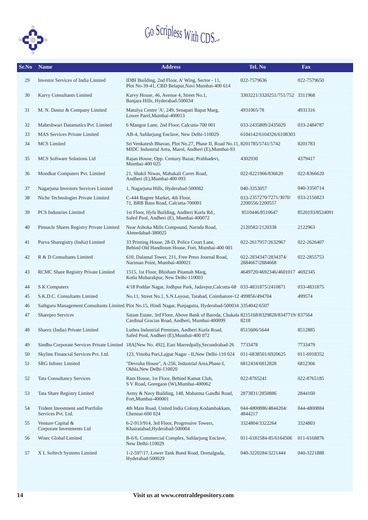

| Sr.No | <b>Name</b>                                            | <b>Address</b>                                                                                                                         | Tel. No                                   | Fax             |
|-------|--------------------------------------------------------|----------------------------------------------------------------------------------------------------------------------------------------|-------------------------------------------|-----------------|
| 29    | <b>Investor Services of India Limited</b>              | IDBI Building, 2nd Floor, A' Wing, Sector - 11,<br>Plot No-39-41, CBD Belapur, Navi Mumbai-400 614                                     | 022-7579636                               | 022-7579650     |
| 30    | Karvy Consultants Limited                              | Karvy House, 46, Avenue 4, Street No.1,<br>Banjara Hills, Hyderabad-500034                                                             | 3303221/3320251/751/752 3311968           |                 |
| 31    | M. N. Dastur & Company Limited                         | Matulya Centre 'A', 249, Senapati Bapat Marg,<br>Lower Parel, Mumbai-400013                                                            | 4931065/78                                | 4931316         |
| 32    | Maheshwari Datamatics Pvt. Limited                     | 6 Mangoe Lane, 2nd Floor, Calcutta-700 001                                                                                             | 033-2435809/2435029                       | 033-2484787     |
| 33    | <b>MAS Services Private Limited</b>                    | AB-4, Safdarjung Enclave, New Delhi-110029                                                                                             | 6104142/6104326/6108303                   |                 |
| 34    | <b>MCS</b> Limited                                     | Sri Venkatesh Bhavan, Plot No.27, Phase II, Road No.11, 8201785/5741/5742<br>MIDC Industrial Area, Marol, Andheri (E), Mumbai-93       |                                           | 8201783         |
| 35    | <b>MCS Software Solutions Ltd</b>                      | Rajan House, Opp. Century Bazar, Prabhadevi,<br>Mumbai-400 025                                                                         | 4302930                                   | 4379417         |
| 36    | Mondkar Computers Pvt. Limited                         | 21, Shakil Niwas, Mahakali Caves Road,<br>Andheri (E), Mumbai-400 093                                                                  | 022-8221966/836620                        | 022-8366620     |
| 37    | Nagarjuna Investors Services Limited                   | 1, Nagarjuna Hills, Hyderabad-500082                                                                                                   | 040-3353057                               | 040-3350714     |
| 38    | Niche Technologies Private Limited                     | C-444 Bagree Market, 4th Floor,<br>71, BRB Basu Road, Calcutta-700001                                                                  | 033-2357270/7271/3070/<br>2200556/2200557 | 033-2156823     |
| 39    | <b>PCS</b> Industries Limited                          | 1st Floor, Hyfa Building, Andheri Kurla Rd.,<br>Safed Pool, Andheri (E), Mumbai-400072                                                 | 8510446/8510647                           | 8520193/8524091 |
| 40    | Pinnacle Shares Registry Private Limited               | Near Ashoka Mills Compound, Naroda Road,<br>2120582/2120338<br>Ahmedabad-380025                                                        |                                           | 2122963         |
| 41    | Purva Sharegistry (India) Limited                      | 33 Printing House, 28-D, Police Court Lane,<br>022-2617957/2632967<br>Behind Old Handloom House, Fort, Mumbai-400 001                  |                                           | 022-2626407     |
| 42    | R & D Consultants Limited                              | 610, Dalamal Tower, 211, Free Press Journal Road,<br>Nariman Point, Mumbai-400021                                                      | 022-2834347/2834374/<br>2884667/2884668   | 022-2855753     |
| 43    | RCMC Share Registry Private Limited                    | 1515, 1st Floor, Bhisham Pitamah Marg,<br>4649720/4692346/4601017 4692345<br>Kotla Mubarakpur, New Delhi-110003                        |                                           |                 |
| 44    | S K Computers                                          | 4/18 Poddar Nagar, Jodhpur Park, Jadavpur, Calcutta-68 033-4831875/2410871                                                             |                                           | 033-4831875     |
| 45    | S.K.D.C. Consultants Limited                           | No.11, Street No.1, S.N.Layout, Tatabad, Coimbatore-12 499856/494704                                                                   |                                           | 499574          |
| 46    |                                                        | Sathguru Management Consultants Limited Plot No.15, Hindi Nagar, Punjagutta, Hyderabad-500034 3354042/6507                             |                                           |                 |
| 47    | Sharepro Services                                      | Satam Estate, 3rd Floor, Above Bank of Baroda, Chakala 8215168/8329828/8347719/837564<br>Cardinal Gracias Road, Andheri, Mumbai-400099 | 8218                                      |                 |
| 48    | Sharex (India) Private Limited                         | Luthra Industrial Premises, Andheri Kurla Road,<br>Safed Pool, Andheri (E), Mumbai-400 072                                             | 8515606/5644                              | 8512885         |
| 49    |                                                        | Sindhu Corporate Services Private Limited 18A[New No. 492], East Marredpally, Secundrabad-26                                           | 7733478                                   | 7733479         |
| 50    | Skyline Financial Services Pvt. Ltd.                   | 123, Vinoba Puri, Lajpat Nagar - II, New Delhi-110 024                                                                                 | 011-6838501/6920625                       | 011-6918352     |
| 51    | SRG Infotec Limited                                    | "Devraha House", A-256, Industrial Area, Phase-I,<br>Okhla, New Delhi-110020                                                           | 6812434/6812828                           | 6812366         |
| 52    | <b>Tata Consultancy Services</b>                       | Ram House, 1st Floor, Behind Kamat Club,<br>S V Road, Goregaon (W), Mumbai-400062                                                      | 022-8765241                               | 022-8765185     |
| 53    | Tata Share Registry Limited                            | Army & Navy Building, 148, Mahatma Gandhi Road,<br>Fort.Mumbai-400001                                                                  | 2873831/2850886                           | 2844160         |
| 54    | Trident Investment and Portfolio<br>Services Pvt. Ltd. | 4th Main Road, United India Colony, Kodambakkam,<br>Chennai-600 024                                                                    | 044-4800886/4844204/<br>4844217           | 044-4800884     |
| 55    | Venture Capital &<br>Corporate Investments Ltd         | 6-2-913/914, 3rd Floor, Progressive Towers,<br>Khairatabad, Hyderabad-500004                                                           | 3324804/3322264                           | 3324803         |
| 56    | Wisec Global Limited                                   | B-6/6, Commercial Complex, Safdarjung Enclave,<br>New Delhi-110029                                                                     | 011-6181584-85/6164506                    | 011-6168876     |
| 57    | X L Softech Systems Limited                            | 1-2-597/17, Lower Tank Bund Road, Domalguda,<br>Hyderabad-500029                                                                       | 040-3220284/3221444                       | 040-3221888     |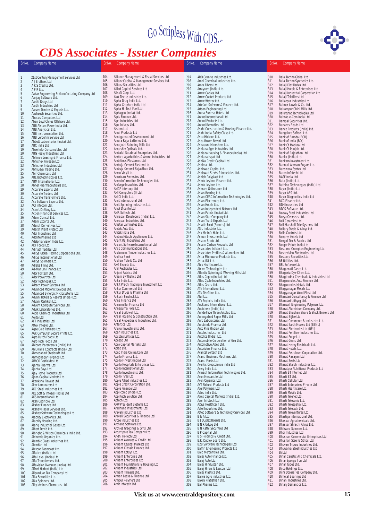# *CDS Associates - Issuer Companies*



Sr.No. Company Name Sr.No. Company Name Sr.No. Company Name Sr.No. Company Name 1 21st Century Management Services Ltd 2 A J Brothers Ltd. 3 A K S Credits Ltd. 4 A P R Ltd. 5 Aakar Engineering & Manufacturing Company Ltd 6 Aanjay Software Ltd. 7 Aarthi Drugs Ltd. 8 Aarthi Industries Ltd. Aarvee Denims & Exports Ltd.<br>9 Aarvee Denims & Exports Ltd.<br>10 Aasheesh Securities Ltd. 10 Aasheesh Securities Ltd.<br>11 Abacus Computers Ltd. 11 Abacus Computers Ltd 12 Aban Loyd Chiles Offshore Ltd. 13 ABB Alstom Power India Ltd. 14 ABB Analytical Ltd. 15 ABB Instrumentation Ltd. 16 ABB Lenzohm Service Ltd 17 Abbott Laboratories (India) Ltd. 18 ABC India Ltd 19 Abee Info-Consumables Ltd 20 ABG Heavy Industries Ltd 21 Abhinav Leasing & Finance Ltd. 22 Abhishek Finlease Ltd 20<br>
ABG Heavy Industries Lt<br>
21<br>
Abhishek Finlease Ltd<br>
23<br>
Abhishek Industries Ltd<br>
24<br>
Abhyudya Trading Ltd.<br>
26<br>
ABL Chennicals Ltd.<br>
27<br>
ABM International Ltd.<br>
29<br>
Accurate Exports Ltd. Abhyudya Trading Ltd. 25 Abir Chemicals Ltd 26 ABL Biotechnologies Ltd. 27 ABM International Ltd. 28 Abner Pharmaceuticals Ltd. 29 Accurate Exports Ltd.<br>
30 Accurate Traders Ltd.<br>
31 Accurate Transformer:<br>
32 Ace Software Exports 30 Accurate Traders Ltd. 31 Accurate Transformers Ltd. 32 Ace Software Exports Ltd. 33 ACI Infocom Ltd. 34 Acknit Knitting Ltd. 35 Action Financial Services Ltd. 36 Adam Comsof Ltd. 37 Adani Exports Ltd. 38 Adarsh Derivatives Ltd 39 Adarsh Plant Protect Ltd 40 Addi Industries Ltd.<br>41 Addlife Pharma Ltd<br>42 Adelphia Vision Indi Addlife Pharma Ltd 42 Adelphia Vision India Ltd<br>43 ADF Foods Ltd.<br>44 Adinath Textiles Ltd.<br>45 Aditya Global Techno Cor ADF Foods Ltd. 44 Adinath Textiles Ltd. 45 Aditya Global Techno Corporations Ltd. 46 Aditya International Ltd 47 Aditya Spinners Ltd. 48 Adlabs Films Ltd. 46 Aditya International Ltd<br>47 Aditya Spinners Ltd.<br>48 Adabas Films Ltd.<br>449 Advance Ltd<br>50 Ador Fontech Ltd.<br>51 Ador Powertron Ltd. 50 Ador Fontech Ltd. Ador Powertron Ltd. 52 Ador Technopak Ltd 53 Adtech Power Systems Ltd 54 Advanced Micronic Devices Ltd. 55 Advanced Synergic Microsystems Ltd. 56 Advani Hotels & Resorts (India) Ltd. 57 Advani Oerlikon Ltd. 58 Advent Computer Services Ltd. 59 Advik Laboratories Ltd. 60 Aegis Chemical Industries Ltd 61 Aekta Ltd 62 AFT Industries Ltd.<br>63 Aftek Infosys Ltd.<br>64 Agee Gold Refiners<br>65 AGK Computer Sec<br>66 Agro Duch Foods Lt<br>68 Ahlcons Parenteral 63 Aftek Infosys Ltd. 64 Agee Gold Refiners Ltd. 65 AGK Computer Secure Prints Ltd. 66 Agro Dutch Foods Ltd. 67 Agro Tech Foods Ltd. 68 Ahlcons Parenterals (India) Ltd. 69 Ahluwalia Contracts (India) Ltd.<br>70 Ahmedabad Steelcraft Ltd.<br>71 Ahmednagar Forgings Ltd.<br>72 AIMCO Pesticides Ltd. 70 Ahmedabad Steelcraft Ltd. 71 Ahmednagar Forgings Ltd. 72 AIMCO Pesticides Ltd. 73 Ajanta Pharma Ltd. 74 Ajanta Soya Ltd. 75 Ajay Home Products Ltd. 76 Ajcon Capital Markets Ltd. 77 Akanksha Finvest Ltd. 73 Ajanta Pharma Ltd.<br>
75 Ajay Home Products<br>
76 Ajay Home Products<br>
77 Akar Laminators Ltd<br>
77 Akar Laminators Ltd<br>
79 AKC Steel Industries Formation and animates Ltd.<br>
79 AKC Steel Industries Ltd.<br>
80 AKL Soft & Infosys (India<br>
81 AKS International Ltd.<br>
82 Aksh Optifibre Ltd. 80 AKL Soft & Infosys (India) Ltd 81 AKS International Ltd. 82 Aksh Optifibre Ltd.<br>83 Akshar Finance Ltd<br>84 Akshay Fiscal Servi 83 Akshar Finance Ltd 84 Akshay Fiscal Services Ltd. 85 Akshay Software Technologies Ltd. 86 Alacrity Electronics Ltd. 87 Alacrity Housing Ltd. 88 Alang Industrial Gases Ltd. 89 Albert David Ltd. 90 Albright & Wilson Chemicals India Ltd. 91 Alchemie Organics Ltd. 92 Alembic Glass Industries Ltd. 93 Alembic Ltd 94 Alexcon Foamcast Ltd. Familie Guassinus<br>
195<br>
Alembic Ltd<br>
195<br>
Alfa Ica (India) Ltd<br>
196<br>
Alfa Laval (India) Ltd<br>
197<br>
Alfa Transformers Lt<br>
Alfavision Overseas 96 Alfa Laval (India) Ltd. 97 Alfa Transformers Ltd. 98 Alfavision Overseas (India) Ltd. 99 Alfred Herbert (India) Ltd 100 Alipurduar Tea Company Ltd. 101 Alka Securities Ltd. 102 Alka Spinners Ltd. 103 Alkyl Amines Chemicals Ltd.

104 Alliance Management & Fiscal Services Ltd<br>105 Allianz Capital & Management Services Ltd<br>106 Allianz Securities Ltd. 105 Allianz Capital & Management Services Ltd. 106 Allianz Securities Ltd. 107 Allied Capital Services Ltd 108 Allsoft Corp. Ltd. 109 Alok Textile Industries Ltd. 110 Alpha Drug India Ltd. 111 Alpha Graphics India Ltd 112 Alpha Hi-Tech Fuel Ltd. 113 Alphageo (India) Ltd. 114 Alpic Finance Ltd. 115 Alps Industries Ltd 116 Alps Infosys Ltd. 115 Alps Indust<br>116 Alps Infosys<br>117 Alstom Ltd.<br>118 Amal Produ<br>119 Amalgamat<br>120 Amara Raja 118 Amal Products Ltd 119 Amalgamated Development Ltd 120 Amara Raja Batteries Ltd. 121 Amarjothi Spinning Mills Ltd 122 Amarshiv Opticals Ltd. 123 Ambalal Sarabhai Enterprises Ltd. 124 Ambica Agarbathies & Aroma Industries Ltd 125 Ambitious Plastomac Ltd. 126 Ambuja Cement Eastern Ltd. 123<br>126 Ambuja Cement Eastern Ltd.<br>127 Ambuja Cement Rajasthan Ltd.<br>128 Amco Vinyl Ltd. 128 Amco Vinyl Ltd. 129 American Remedies Ltd. 130 Amex Information Technologies Ltd. 131 Amforge Industries Ltd. 132 AMGF Intercorp Ltd 133 AMI Computers (I) Ltd. 134 AMICI India Ltd. 135 Amit International Ltd. 136 Amit Spinning Industries Ltd. 137 Amol Dicalite Ltd<br>138 AMR Softech Ltd 138 AMR Softech Ltd.<br>139 Amrapali Develop<br>140 Amrapali Industr 139 Amrapali Developers (India) Ltd. 140 Amrapali Industries Ltd. 141 Amstar Laminates Ltd.<br>142 Amtek Auto Ltd.<br>143 Amtek India Ltd. 142 Amtek Auto Ltd. 143 Amtek India Ltd. 144 Amtrex Hitachi Appliances Ltd.<br>145 Anant Raj Industries Ltd<br>146 Ancent Software International I 145 Anant Raj Industries Ltd 146 Ancent Software International Ltd. 147 Anco Communications Ltd. 148 Andamans Timber Industries Ltd. 149 Andhra Bank 150 Andrew Yule & Co. Ltd 151 ANG Exports Ltd. 152 Anil Pesticides Ltd. 153 Anjani Fabrics Ltd<br>154 Aniani Synthetics I 154 Anjani Synthetics Ltd<br>155 Anka India Ltd.<br>156 Ankit Prachi Trading & 155 Anka India Ltd. 156 Ankit Prachi Trading & Investment Ltd 157 Ankur Commercial Ltd 158 Ankur Drugs & Pharma Ltd 159 Ankush Finstock Ltd 160 Anna Finance Ltd<br>161 Annamallai Financ<br>162 Annapurna Foils Lt 161 Annamallai Finance Ltd 162 Annapurna Foils Ltd. 163 Ansal Buildwell Ltd. 164 Ansal Housing & Construction Ltd. 165 Ansal Properties & Industries Ltd. 166 Antartica Ltd. 167 Anukul Investments Ltd. 168 Apar Industries Ltd.<br>169 Apcotex Lattices Ltd.<br>170 Apeego Ltd Apartmudstries Etd.<br>Apcotex Lattices Ltd.<br>Apeego Ltd 170 Apeego Ltd 171 Apex Capital Markets Ltd. 172 Aplab Ltd. 171 Apex Capital Markets Ltd.<br>172 Aplab Ltd.<br>173 Apno India Online.Com Ltd<br>174 Apollo Finance Ltd.<br>175 Apollo Finvest (India) Ltd 174 Apollo Finance Ltd. 175 Apollo Finvest (India) Ltd 176 Apollo Hospitals Enterprises Ltd. 177 Apollo International Ltd. 178 Apollo Investments Ltd. 179 Apollo Tyres Ltd. 180 Apple Allied Industries Ltd 181 Apple Credit Corporation Ltd.<br>182 Apple Finance Ltd. 182 Apple Finance Ltd. 183 Applicomp (India) Ltd. 184 Applitech Solution Ltd.<br>185 Aptech Ltd.<br>186 APW President Systems 185 Aptech Ltd. 186 APW President Systems Ltd 187 Aradhana Investments Ltd. 188 Aravali Industries Ltd 189 Aravali Securities & Finance Ltd. 190 Arcee Industries Ltd 191 Archana Software Ltd. 192 Archies Greetings & Gifts Ltd. 193 Arcuttipore Tea Company Ltd. 194 Aridhi Hi-Tech Ltd. 195 Arihant Avenues & Credit Ltd 196 Arihant Capital Markets Ltd 197 Arihant Classic Finance Ltd.<br>198 Arihant Cotsyn Ltd.<br>199 Arihant Enterprise Ltd. 198 Arihant Cotsyn Ltd. 199 Arihant Enterprise Ltd. 200 Arihant Enterprises Ltd 201 Arihant Foundations & Housing Ltd 202 Arihant Industries Ltd 203 Arihant Threads Ltd.<br>204 Arman Lease & Finan 204 Arman Lease & Finance Ltd 205 Armour Polymers Ltd

206 Arnit Infotech Ltd.

207 ARO Granite Industries Ltd.<br>208 Aroni Chemical Industries Ltd. 208 Aroni Chemical Industries Ltd. 209 Arora Fibres Ltd 210 Arraycom (India) Ltd. 211 Arrow Cables Ltd. 212 Arrow Coated Products Ltd 213 Arrow Webtex Ltd. 214 Artefact Software & Finance Ltd. 215 Artson Engineering Ltd 216 Aruna Sunrise Hotels Ltd 217 Arvind International Ltd.<br>218 Arvind Products Ltd. 218 Arvind Products Ltd. 219 Arvind Remedies Ltd 220 Asahi Construction & Housing Finance Ltd. 221 Asahi Dida Safety Glass Ltd.<br>222 Ascu Hickson Ltd. 222 Ascu Hickson Ltd. 223 Asea Brown Boveri Ltd. 224 Ashapura Minechem Ltd.<br>225 Ashiana Agro Industries<br>226 Ashiana Housing & Finar 225 Ashiana Agro Industries Ltd 226 Ashiana Housing & Finance (India) Ltd 227 Ashiana Ispat Ltd 228 Ashika Credit Capital Ltd. 229 Ashima Ltd.<br>229 Ashima Ltd.<br>230 Ashirwad Ca 230 Ashirwad Capital Ltd. 231 Ashirwad Steels & Industries Ltd. 232 Ashish Polyplast Ltd 233 Ashok Leyland Finance Ltd. 234 Ashok Leyland Ltd. 235 Ashram Online.com Ltd 236 Asian Bearing Ltd. 237 Asian CERC In formation Technologies Ltd. 238 Asian Electronics Ltd. 239 Asian Hotels Ltd. 240 Asian Independent Network Ltd 241 Asian Paints (India) Ltd. 242 Asian Star Company Ltd 243 Asian Tea & Exports Ltd.<br>244 Asiatic Food (Exports) Ltd. 244 Asiatic Food (Exports) Ltd 245 ASIL Industries Ltd. 246 Ask Me Info Hubs Ltd.<br>247 Asman Investments Ltd. 247 Asman Investments Ltd. 248 Assam Brook Ltd. 246 Assam Bruok Ltd.<br>249 Assam Carbon Products Ltd.<br>250 Associated Infotech Ltd. 250 Associated Infotech Ltd. 251 Associated Profiles & Aluminium Ltd. 252 Astra Microwave Products Ltd. 253 Astra-IDL Ltd. 254 Atco Healthcare Ltd. 255 Atcom Technologies Ltd 256 Atlantic Spinning & Weaving Mills Ltd 257 Atlas Copco (India) Ltd. 258 Atlas Cycle Industries Ltd. 259 Atlas Gears Ltd. 260 ATN International Ltd. 261 ATN Telefilms Ltd. 262 Atul Ltd. 263 ATV Projects India Ltd. 264 Auckland International Ltd. 265 Audichem (India) Ltd 266 Aunde Faze Three Autofab Ltd. 267 Aurangabad Paper Mills Ltd 268 Auro Laboratories Ltd. 269 Aurobindo Pharma Ltd. 270 Auto Pins (India) Ltd. 271 Autolec Industries Ltd 272 Autolite (India) Ltd. 273 Automobile Corporation of Goa Ltd. 274 Automotive Axles Ltd. 275 Autoriders Finance Ltd. 276 Avantel Softech Ltd<br>277 Avanti Business May 277 Avanti Business Machines Ltd.<br>278 Avanti Feeds Ltd.<br>279 Aventis Cropscience India Ltd 278 Avanti Feeds Ltd. 279 Aventis Cropscience India Ltd 280 Avery India Ltd. 281 Avinash In 282 Avon Mercantile Ltd formation Technologies Ltd. 283 Avon Organics Ltd. 284 AVT Natural Products Ltd 285 Axel Polymers Ltd. 286 Axles India Ltd. 287 Axois Capital Markets (India) Ltd. 288 Axon Infotech Ltd 289 AxSys Healthtech Ltd. 290 Axtel Industries Ltd. 291 Aztec Software & Technology Services Ltd. 292 B & A Ltd 292 B & A Ltd<br>
293 B J Duplex Boards Ltd.<br>
294 B N R Udyog Ltd<br>
295 B N Rathi Securities Lt 294 B N R Udyog Ltd 295 B N Rathi Securities Ltd 296 B P Capital Ltd. 297 B S Holdings & Credit Ltd. 298 B.K. Duplex Board Ltd. 299 B2B Software Technologies Ltd 300 Baffin Engineering Projects Ltd 301 Baid Mercantiles Ltd. 302 Bajaj Auto Finance Ltd.<br>303 Bajaj Auto Ltd. 303 Bajaj Auto Ltd. 304 Bajaj Hindustan Ltd. 305 Bajaj Hirers & Lessors Ltd 306 Bajaj Plastics Ltd. 307 Bajwa Agro Industries Ltd. 308 Bakra Pratisthan Ltd. 309 Bal Pharma Ltd.

310 Bala Techno Global Ltd<br>311 Bala Techno Synthetics<br>312 Balaji Distilleries Ltd. 311 Bala Techno Synthetics Ltd. 312 Balaji Distilleries Ltd. 312 Balaji Distinenes Ltd.<br>313 Balaji Hotels & Enterprises Ltd<br>314 Balaji Telefilms Ltd.<br>315 Balaji Telefilms Ltd. 314 Balaji Industrial Corporation Ltd 315 Balaji Telefilms Ltd. 316 Ballarpur Industries Ltd. 317 Balmer Lawrie & Co. Ltd. 318 Balrampur Chini Mills Ltd. 319 Balurghat Technologies Ltd 320 Balwas e-Com India Ltd<br>321 Bampsl Securities Ltd.<br>322 Banaras Beads Ltd 321 Bampsl Securities Ltd. 322 Banaras Beads Ltd 323 Banco Products (India) Ltd.<br>324 Bangalore Softsell Ltd. 324 Bangalore Softsell Ltd. 325 Bank of Baroda (BOB) 326 Bank of India (BOI)<br>327 Bank Of Madura Ltd Example of Madura Ltd<br>328 Bank Of Punjab Ltd.<br>329 Bank of Rajasthan L Bank Of Punjab Ltd. 329 Bank of Rajasthan Ltd.<br>330 Banka (India) Ltd. 330 Banka (India) Ltd.<br>331 Bankam Investme<br>332 Bannari Amman S 331 Bankam Investment Ltd. 332 Bannari Amman Sugars Ltd. 333 Banswara Syntex Ltd. 334 Baron Infotech Ltd. 335 BASF India Ltd.<br>336 Bata (India) Ltd.<br>337 Bathina Techno 336 Bata (India) Ltd. 337 Bathina Technologies (India) Ltd 338 Bayer (India) Ltd.<br>339 Bayer (India) Ltd. 339 Bayer ABS Ltd.<br>340 Bayer Diagnosti 340 Bayer Diagnostics India Ltd 341 BCC Finance Ltd. 342 BDH Industries Ltd 343 BDPS Software Ltd.<br>344 Beekay Steel Indust<br>345 Beeyu Overseas Ltd 344 Beekay Steel Industries Ltd 345 Beeyu Overseas Ltd. 346 Bell Ceramics Ltd.<br>347 Bell Marshall Tele S<br>348 Bellary Steels & All 347 Bell Marshall Tele Systems Ltd. 348 Bellary Steels & Alloys Ltd. 349 Bells Controls Ltd.<br>350 Benares Hotels Ltd. 350 Benares Hotels Ltd<br>351 Bengal Tea & Fabrie 350 Benarcs Hotels Eta<br>
351 Bengal Tea & Fabrics Ltd<br>
352 Berger Paints India Ltd<br>
353 Best and Crompton Engin 352 Berger Paints India Ltd 353 Best and Crompton Engineering Ltd. 354 Bestavision Electronics Ltd. 353<br>
Bestavision Electronics<br>
355 Bestcorp Securities Ltd.<br>
356 BF Utilities Ltd. 356 BF Utilities Ltd.<br>357 BFL Software Lt<br>358 Bhagawati Gas 357 BFL Software Ltd. 358 Bhagawati Gases Ltd. 359 Bhageria Dye-Chem Ltd.<br>360 Bhagiradha Chemicals<br>361 Bhagwandas Auto Finar 360 Bhagiradha Chemicals & Industries Ltd 361 Bhagwandas Auto Finance Ltd. 362 Bhagwandas Metals Ltd. 363 Bhagyanagar Metals Ltd 364 Bhagyanagar Wood Plast Ltd. 365 Bhandari Consultancy & Finance Ltd 366 Bhandari Udhyog Ltd. 367 Bhansali Engineering Polymers Ltd. 368 Bharat Aluminium Company Ltd. 369 Bharat Bhushan Share & Stock Brokers Ltd. 370 Bharat Britain<br>370 Bharat Bijlee Ltd.<br>371 Bharat Commerce & 371 Bharat Commerce & Industries Ltd. 372 Bharat Earth Movers Ltd (BEML) 373 Bharat Electronics Ltd (BEL) 374 Bharat Fertiliser Industries Ltd. 375 Bharat Forge Ltd. 376 Bharat Gears Ltd. 377 Bharat Heavy Electricals Ltd. 378 Bharat Hotels Ltd. 379 Bharat Gears Ltd.<br>377 Bharat Heavy Electricals Ltd.<br>378 Bharat Heavy Electricals Ltd.<br>379 Bharat Petroleum Corporation Ltd.<br>380 Bharat Rasavan I Id 380 Bharat Rasayan Ltd 381 Bharat Seats Ltd 382 Bharat Starch Industries Ltd. 383 Bharatpur Nutritional Products Ltd<br>384 Bharti BT Internet Ltd. 384 Bharti BT Internet Ltd.<br>385 Bharti BT I td 385 Bharti BT Ltd.<br>386 Bharti Cellula 386 Bharti Cellular Ltd.<br>387 Bharti Enterprises 387 Bharti Enterprises Private Ltd. 388 Bharti Healthcare Ltd. 389 Bharti Mobile Ltd.<br>390 Bharti Telepot Ltd. 390 Bharti Telenet Ltd. 391 Bharti Telesonic Ltd. 392 Bharti Telespatial Ltd.<br>393 Bharti Teletech Ltd. 393 Bharti Teletech Ltd.<br>394 Bharti Televentures 393 Bharti Televentures Ltd.<br>395 Bhartiva International L 395 Bhartiya International Ltd. 396 Bhaskar Agrochemicals Ltd. 397 Bhaskar Shrachi Alloys Ltd. 398 Bhaskar Shrachi Alloy<br>398 Bhilwara Spinners Ltd.<br>399 Bhor Industries Ltd. 399 Bhor Industries Ltd<br>400 Bhushan Commercia<br>401 Bhushan Steel & Str 400 Bhushan Commercial Enterprises Ltd 401 Bhushan Steel & Strips Ltd. 402 Bhuvan Tripura Industries Ltd.<br>403 Bhuwalka Steel Industries Ltd.<br>404 Bi Ltd 403 Bhuwalka Steel Industries Ltd 404 Bi Ltd 405 Bihar Caustic And Chemicals Ltd. 406 Bihar Sponge Iron Ltd. 407 Bihar Tubes Ltd. 408 Bijco Holdings Ltd. 409 Bijni Dooars Tea Company Ltd. 410 Bimetal Bearings Ltd 411 Binani Industries Ltd.<br>412 Binary Semantics Ltd. **Binary Semantics Ltd.**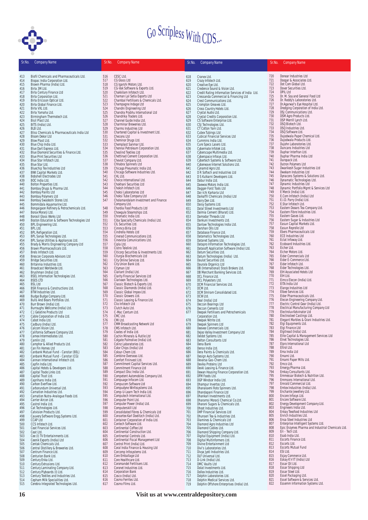

| Sr.No.     | <b>Company Name</b>                                                  | Sr.No.     | <b>Company Name</b>                                                          | Sr.No.     | <b>Company Name</b>                                           | Sr.No.                 | <b>Company Name</b>                                                        |
|------------|----------------------------------------------------------------------|------------|------------------------------------------------------------------------------|------------|---------------------------------------------------------------|------------------------|----------------------------------------------------------------------------|
|            |                                                                      |            |                                                                              |            |                                                               |                        |                                                                            |
| 413        | Biofil Chemicals and Pharmaceuticals Ltd.                            | 516        | CESC Ltd.                                                                    | 618        | Cranex Ltd.                                                   | 720                    | Donear Industries Ltd                                                      |
| 414        | Biopac India Corporation Ltd.                                        | 517        | CG Glass Ltd                                                                 | 619        | Crazy Infotech Ltd.                                           | 721                    | Doogar & Associates Ltd.                                                   |
| 415<br>416 | Biowin Pharma (India) Ltd.<br>Birla 3M Ltd.                          | 518<br>519 | CG Igarshi Motors Ltd.<br>CG-Vak Software & Exports Ltd.                     | 620<br>621 | Creative Eye Ltd.<br>Credence Sound & Vision Ltd.             | 722<br>723             | Dot Com Global Ltd.<br>Dover Securities Ltd.                               |
| 417        | Birla Century Finance Ltd                                            | 520        | Chakkilam Infotech Ltd.                                                      | 622        | Credit Rating Information Services of India Ltd.              | 724                    | <b>DPIL Ltd</b>                                                            |
| 418        | Birla Corporation Ltd.                                               | 521<br>522 | Chaman Lal Setia Exports Ltd                                                 | 623        | Cressanda Commercial & Financing Ltd                          | 725<br>726             | Dr. M. Soy and General Food Ltd<br>Dr. Reddy's Laboratories Ltd.           |
| 419<br>420 | Birla Ericsson Optical Ltd.<br>Birla Global Finance Ltd.             | 523        | Chambal Fertilisers & Chemicals Ltd.<br>Champagne Indage Ltd                 | 624<br>625 | Crest Communications Ltd.<br>Crompton Greaves Ltd.            | 727                    | Dr.Agarwal's Eye Hospital Ltd.                                             |
| 421        | Birla VXL Ltd.                                                       | 524        | Chandni Engineering Ltd                                                      | 626        | Cross Country Hotels Ltd.                                     | 728                    | Dredging Corporation of India Ltd.                                         |
| 422<br>423 | Birla Yamaha Ltd.<br>Birmingham Thermotech Ltd.                      | 525<br>526 | Chandra Prabhu International Ltd<br>Chandrika Traders Ltd.                   | 627<br>628 | Crystal Audio Ltd.<br>Crystal Credits Corporation Ltd.        | 729<br>730             | DSJ Communications Ltd.<br>DSM Agro Products Ltd.                          |
| 424        | Bisil Plast Ltd.                                                     | 527        | Channel Guide India Ltd.                                                     | 629        | CS Software Enterprise Ltd.                                   | 731                    | DSP Merrill Lynch Ltd.                                                     |
| 425        | BITS (India) Ltd.                                                    | 528        | Charminar Breweries Ltd.                                                     | 630        | CSJ Technologies Ltd.                                         | 732<br>733             | DSQ Biotech Ltd.<br>DSQ Industries Ltd.                                    |
| 426<br>427 | BLB Ltd.<br>Bliss Chemicals & Pharmaceuticals India Ltd              | 529<br>530 | Charms Industries Ltd<br>Chartered Capital & Investment Ltd.                 | 631<br>632 | CT Cotton Yarn Ltd.<br>Cubex Tubings Ltd                      | 734                    | DSQ Software Ltd.                                                          |
| 428        | Bloom Dekor Ltd                                                      | 531        | Checons Ltd                                                                  | 633        | Cubical Financial Services Ltd                                | 735                    | Dujodwala Paper Chemical Ltd.                                              |
| 429<br>430 | Blow Plast Ltd.<br>Blue Chip India Ltd.                              | 532<br>533 | Cheminor Drugs Ltd.<br>Chemplast Sanmar Ltd.                                 | 634<br>635 | Cummins India Ltd.<br>Cure Specs Lasers Ltd.                  | 736<br>737             | Dujodwala Products Ltd.<br>Dujohn Laboratories Ltd.                        |
| 431        | Blue Dart Express Ltd.                                               | 534        | Chennai Petroleum Corporation Ltd.                                           | 636        | Cybermate Infotek Ltd.                                        | 738                    | Duncans Industries Ltd                                                     |
| 432        | Blue Diamond Securities & Finance Ltd.                               | 535<br>536 | Cheslind Textiles Ltd<br>Chettinad Cement Corporation Ltd.                   | 637        | Cyberscape Multimedia Ltd.                                    | 739<br>740             | Duphar Interfran Ltd.<br>Duphar Pharma India Ltd                           |
| 433<br>434 | <b>Blue Print Securities Ltd</b><br>Blue Star Infotech Ltd.          | 537        | Cheviot Company Ltd.                                                         | 638<br>639 | Cyberspace Infosys Ltd.<br>Cybertech Systems & Software Ltd.  | 741                    | Duropack Ltd.                                                              |
| 435        | Blue Star Ltd.                                                       | 538        | Chhabra Spinners Ltd                                                         | 640        | Cyberwave Internet Solutions Ltd.                             | 742                    | Dutron Polymers Ltd                                                        |
| 436<br>437 | Bluechip Tex Industries Ltd<br><b>BNK Capital Markets Ltd.</b>       | 539<br>540 | Chicago Pneumatic India Ltd.<br>Chicago Software Industries Ltd.             | 641<br>642 | Cynamid Agro Ltd.<br>D R Softech and Industries Ltd           | 743<br>744             | Dwarikesh Sugar Industries Ltd<br>Dwekam Industries Ltd                    |
| 438        | Bobshell Electrodes Ltd                                              | 541        | CHL Ltd.                                                                     | 643        | D S Kulkarni Developers Ltd.                                  | 745                    | Dynacons Systems & Solutions Ltd.                                          |
| 439<br>440 | BOC India Ltd.<br>Bolton Properties Ltd.                             | 542<br>543 | Choice International Ltd.<br>Chokhani Securities Ltd                         | 644        | Dabur India Ltd.                                              | 746<br>747             | Dynamatic Technologies Ltd.<br>Dynamic Industries Ltd                      |
| 441        | Bombay Drugs & Pharma Ltd.                                           | 544        | Choksh Infotech Ltd.                                                         | 645<br>646 | Daewoo Motors India Ltd.<br>Dagger-Forst Tools Ltd            | 748                    | Dynamic Portfolio Mgmt & Services Ltd                                      |
| 442        | Bombay Paints Ltd                                                    | 545        | Choksi Laboratories Ltd                                                      | 647        | Dai-Ichi Karkaria Ltd                                         | 749                    | E Merck (India) Ltd.                                                       |
| 443<br>444 | <b>Bombay Polymers Ltd</b><br>Bombay Swadeshi Stores Ltd.            | 546<br>547 | Choksi Tube Company Ltd<br>Cholamandalam Investment and Finance              | 648<br>649 | Daikaffil Chemicals (India) Ltd<br>Dairy Den Ltd.             | 750<br>751             | E.Com Infotech (India) Ltd<br>E.I.D. Parry (India) Ltd.                    |
| 445        | Bommidala Aquamarine Ltd.                                            |            | Company Ltd.                                                                 | 650        | Daisy Systems Ltd.                                            | 752                    | E.Star Infotech Ltd.                                                       |
| 446        | Bongaigaon Refinery & Petrochemicals Ltd.                            | 548<br>549 | Chordia Food Products Ltd<br>Chowgule Steamships Ltd.                        | 651        | Dalal Street Investments Ltd                                  | 753<br>754             | Eastern Dooars Tea Company Ltd.<br>Eastern Fibre Industries Ltd.           |
| 447<br>448 | Borax Morarji Ltd.<br>Borosil Glass Works Ltd                        | 550        | Chromatic India Ltd.                                                         | 652<br>653 | Dalmia Cement (Bharat) Ltd.<br>Damodar Threads Ltd            | 755                    | Eastern Gases Ltd.                                                         |
| 449        | Boston Education & Software Technologies Ltd                         | 551        | Ciba Specialty Chemicals (India) Ltd.                                        | 654        | Dankuni Investments Ltd.                                      | 756                    | Eastern Sugar & Industries Ltd                                             |
| 450<br>451 | BPL Engineering Ltd.<br>BPL Ltd.                                     | 552<br>553 | CIL Securities Ltd.<br>Cimmco Birla Ltd                                      | 655<br>656 | Danlaw Technologies India Ltd.<br>Darshan Oils Ltd            | 757<br>758             | Easun Capital Markets Ltd.<br>Easun Reyrolle Ltd                           |
| 452        | <b>BPL Refigeration Ltd.</b>                                         | 554        | Cindrella Hotels Ltd                                                         | 657        | Database Finance Ltd.                                         | 759                    | Ebers Pharmaceuticals Ltd                                                  |
| 453<br>454 | BPL Sanyo Technologies Ltd.<br>BPL Sanyo Utilities & Appliances Ltd. | 555<br>556 | Cinerad Communications Ltd.<br>Cinevista Comunications Ltd.                  | 658<br>659 | Datamatics Technologies Ltd.<br>Datanet Systems Ltd.          | 760<br>761             | <b>ECE Industries Ltd</b><br>Eclat Infoway Ltd.                            |
| 455        | Brady & Morris Engineering Company Ltd                               | 557        | Cipla Ltd.                                                                   | 660        | Datapro Information Technologies Ltd.                         | 762                    | Ecoboard Industries Ltd.                                                   |
| 456        | Brawn Pharmaceuticals Ltd.                                           | 558        | Cistro Telelink Ltd.                                                         | 661        | Datasoft Application Software (India) Ltd.                    | 763                    | Eicher Ltd.                                                                |
| 457<br>458 | Brels Infotech Ltd.<br>Brescon Corporate Advisors Ltd                | 559<br>560 | Citicorp Securities & Investments Ltd.<br>Citurgia Biochemicals Ltd          | 662<br>663 | Datum Securities Ltd.<br>Datum Technologies (India) Ltd.      | 764<br>765             | Eicher Motors Ltd.<br>Eider Commercials Ltd                                |
| 459        | Bridge Securities Ltd.                                               | 561        | City Online Services Ltd.                                                    | 664        | Daulat Securities Ltd.                                        | 766                    | Eider E-Commerce Ltd.                                                      |
| 460<br>461 | Britannia Industries Ltd.<br>Broadcast Worldwide Ltd.                | 562<br>563 | City Union Bank Ltd.<br>Cityman Ltd                                          | 665<br>666 | Daurala Organics Ltd<br>DB (International) Stock Brokers Ltd. | 767<br>768             | Eider Infotech Ltd.<br>Eider Technologies Ltd.                             |
| 462        | Brushman (India) Ltd.                                                | 564        | Clariant (India) Ltd.                                                        | 667        | DB Merchant Banking Services Ltd.                             | 769                    | <b>EIH Associated Hotels Ltd</b>                                           |
| 463        | <b>BSEL Information Technologies Ltd.</b>                            | 565        | Clarity Financial Services Ltd                                               | 668        | DCL Finance Ltd.                                              | 770                    | EIH Ltd.                                                                   |
| 464<br>465 | <b>BSES LTD</b><br><b>BSL Ltd</b>                                    | 566<br>567 | Clarixxon Technologies Ltd.<br>Classic Biotech & Exports Ltd.                | 669<br>670 | DCL Polyesters Ltd.<br>DCM Financial Services Ltd.            | 771<br>772             | Eimco Elecon (India) Ltd.<br>EITA India Ltd                                |
| 466        | <b>BSR Finance &amp; Constructions Ltd.</b>                          | 568        | Classic Diamonds (India) Ltd.                                                | 671        | DCM Ltd.                                                      | 773                    | Elango Industries Ltd                                                      |
| 467<br>468 | BTW Industries Ltd.<br>Budge Budge Company Ltd.                      | 569<br>570 | Classic Global Impex Ltd.<br>Classic Growers Ltd.                            | 672<br>673 | DCM Shriram Consolidated Ltd.<br>DCW Ltd.                     | 774<br>775             | Elbee Services Ltd.<br>Elder Pharmaceuticals Ltd.                          |
| 469        | Bulls And Bears Portfolios Ltd.                                      | 571        | Classic Leasing & Finance Ltd.                                               | 674        | Deal (India) Ltd                                              | 776                    | Elecon Engineering Company Ltd.                                            |
| 470        | Burr Brown (India) Ltd.                                              | 572<br>573 | Clio Infotech Ltd                                                            | 675        | Deccan Bearings Ltd                                           | 777<br>778             | Electric Control Gear (India) Ltd.<br>Electrical Manufacturing Company Ltd |
| 471<br>472 | Burroughs Wellcome (India) Ltd.<br>C J Gelatine Products Ltd         | 574        | Clutch Auto Ltd.<br>C-Mac Centum Ltd.                                        | 676<br>677 | Deccan Cements Ltd<br>Deepak Fertilisers and Petrochemicals   | 779                    | Electrolux Kelvinator Ltd                                                  |
| 473        | Cable Corporation of India Ltd.                                      | 575        | CMC Ltd.                                                                     |            | Corporation Ltd.                                              | 780                    | Electrosteel Castings Ltd.                                                 |
| 474<br>475 | Cabot India Ltd.<br>Cadbury (India) Ltd.                             | 576<br>577 | CMI Ltd.<br>CMM Broadcasting Network Ltd                                     | 678<br>679 | Deepak Nitrite Ltd.<br>Deepak Spinners Ltd                    | 781<br>782             | Elegant Marbles & Grani Industries Ltd.<br>Elgi Equipments Ltd.            |
| 476        | Calcom Vision Ltd.                                                   | 578        | CMS Infotech Ltd.                                                            | 680        | Deevee Commercials Ltd.                                       | 783                    | Elgi Finance Ltd                                                           |
| 477        | California Software Company Ltd.                                     | 579        | Coates of India Ltd.<br>Cochin Minerals & Rutile Ltd                         | 681        | Dejoo Valley Investment Company Ltd                           | 784<br>18 <sub>b</sub> | Elgitread (India) Ltd.<br>Elite Capital & Management Services Ltd          |
| 478<br>479 | Camex Intermediates Ltd.<br>Camlin Ltd.                              | 580<br>581 | Colgate Palmolive (India) Ltd.                                               | 682<br>683 | Deldot Systems Ltd.<br>Delton Consultants Ltd                 | 786                    | Elnet Technologies Ltd.                                                    |
| 480        | Camphor & Allied Products Ltd.                                       | 582        | Colinz Laboratories Ltd.                                                     | 684        | Dena Bank                                                     | 787                    | Elpro International Ltd<br>Eltrol Ltd.                                     |
| 481<br>482 | Can Fin Homes Ltd<br>Canbank Mutual Fund - Canstar (80L)             | 583<br>584 | Color Chips (India) Ltd<br>Colour-Chem Ltd.                                  | 685<br>686 | Denso India Ltd.<br>Dera Paints & Chemicals Ltd.              | 788<br>789             | Ema India Ltd                                                              |
| 483        | Canbank Mutual Fund - Canstar (CG)                                   | 585        | Combine Overseas Ltd.                                                        | 687        | Design Auto Systems Ltd.                                      | 790                    | Emami Ltd.                                                                 |
| 484<br>485 | Cannan International Infotech Ltd.<br>Capfin India Ltd.              | 586<br>587 | Comfort Fininvest Ltd.<br>Commitment Capital Services Ltd.                   | 688<br>689 | Devarsa Gas-Chem Ltd.<br>Devika Proteins Ltd                  | 791<br>792             | Emami Paper Mills Ltd.<br>Emco Ltd.                                        |
| 486        | Capital Hotels & Developers Ltd.                                     | 588        | Commitment Finance Ltd                                                       | 690        | Devki Leasing & Finance Ltd.                                  | 793                    | Emergy Pharma Ltd.                                                         |
| 487        | Capital Trade Links Ltd.                                             | 589        | Compact Disc India Ltd.                                                      | 691        | Dewan Housing Finance Corporation Ltd.                        | 794<br>795             | Emkay Consultants Ltd.<br>Emmessar Biotech & Nutrition Ltd.                |
| 488<br>489 | Capital Trust Ltd.<br>Caprihans India Ltd.                           | 590<br>591 | Competent Automobiles Company Ltd.<br>Compuage Infocom Ltd.                  | 692<br>693 | DFM Foods Ltd.<br>DGP Windsor India Ltd.                      | 796                    | Emmsons International Ltd.                                                 |
| 490        | Carbon Everflow Ltd.                                                 | 592        | Compucom Software Ltd                                                        | 694        | Dhampur Invertos Ltd.                                         | 797                    | Emrald Commercial Ltd.                                                     |
| 491<br>492 | Carborundum Universal Ltd.<br>Carnation Industries Ltd.              | 593<br>594 | Compudyne Winfosystems Ltd.<br>Comp-U-Learn Tech India Ltd.                  | 695<br>696 | Dhanalaxmi Roto Spinners Ltd.<br>Dhandapani Finance Ltd       | 798<br>799             | Emtex Industries (India) Ltd.<br>Enchante Jewellery Ltd.                   |
| 493        | Carnation Nutra-Analogue Foods Ltd.                                  | 595        | Computech International Ltd.                                                 | 697        | Dhankari Investments Ltd.                                     | 800                    | Encore Infosys Ltd.                                                        |
| 494        | Carrier Aircon Ltd.                                                  | 596<br>597 | Computer Point Ltd.<br>Computer Power (India) Ltd.                           | 698        | Dharamsi Morarji Chemical Co.Ltd.                             | 801<br>802             | Encore Software Ltd.<br>Energy Development Company Ltd.                    |
| 495<br>496 | Castrol India Ltd.<br>Cat Technologies Ltd.                          | 598        | Computerskill Ltd                                                            | 699<br>700 | Dharani Sugars & Chemicals Ltd.<br>Dhoot Industries Ltd.      | 803                    | Engineers India Ltd.                                                       |
| 497        | Catvision Products Ltd.                                              | 599        | Consolidated Fibres & Chemicals Ltd                                          | 701        | <b>DHP Financial Services Ltd</b>                             | 804                    | Enkay Texofood Industries Ltd                                              |
| 498<br>499 | Cauvery Software Engg.Systems Ltd.<br>CCAP Ltd                       | 600<br>601 | Consortex Karl Doelitzch (India) Ltd.<br>Container Corporation of India Ltd. | 702<br>703 | Dhunseri Tea & Industries Ltd.<br>Diamines & Chemicals Ltd    | 805<br>806             | Enrich Industries Ltd.<br>Ensa Steel Industries Ltd                        |
| 500        | CCS Infotech Ltd.                                                    | 602        | Contech Software Ltd.                                                        | 704        | Diamond Agro Industries Ltd                                   | 807                    | Enterprise Intelligent Systems Ltd.                                        |
| 501<br>502 | Ceat Financial Services Ltd.<br>Ceat Ltd.                            | 603<br>604 | Continental Coffee Ltd<br>Continental Construction Ltd.                      | 705<br>706 | Diamond Cables Ltd.<br>Diamond Shipping Company Ltd.          | 808<br>809             | Epic Enzymes Pharma and Industrial Chemicals Ltd.<br>Eri - Tech Ltd.       |
| 503        | Cee (I) TV Entertainments Ltd.                                       | 605        | Continental Controls Ltd.                                                    | 707        | Digital Equipment (India) Ltd.                                | 810                    | Esab India Ltd.                                                            |
| 504        | Ceenik Exports (India) Ltd                                           | 606        | Continental Fiscal Management Ltd                                            | 708        | Digital Multinformers Ltd.                                    | 811                    | Escorts Finance Ltd.                                                       |
| 505<br>506 | Centak Chemicals Ltd.<br>Central Distillery & Breweries Ltd.         | 607<br>608 | Control Print (India) Ltd.<br>Coral India Finance & Housing Ltd              | 709<br>710 | Divine Entertainment Ltd<br>Divi's Laboratories Ltd.          | 812<br>813             | Escorts Ltd.<br><b>Escorts Mutual Fund</b>                                 |
| 507        | Centrum Finance Ltd.                                                 | 609        | Corcomp Infosystems Ltd.                                                     | 711        | Divya Jyoti Industries Ltd.                                   | 814                    | ESI Ltd.                                                                   |
| 508<br>509 | Centurion Bank Ltd.<br>Century Enka Ltd.                             | 610<br>611 | Core Emballage Ltd<br>Core Healthcare Ltd.                                   | 712<br>713 | DLF Universal Ltd.<br>D-Link (India) Ltd.                     | 815<br>816             | Esjay Commerce Ltd.<br>Eskay K'n'IT (India) Ltd                            |
| 510        | Century Extrusions Ltd.                                              | 612        | Coromandel Fertilisers Ltd.                                                  | 714        | DMC Vaults Ltd                                                | 817                    | Essar Oil Ltd.                                                             |
| 511        | Century Laminating Company Ltd.                                      | 613        | Coronet Industries Ltd.                                                      | 715        | Dolat Investments Ltd.                                        | 818<br>819             | Essar Shipping Ltd<br>Essar Steel Ltd.                                     |
| 512<br>513 | Century Plyboards (I) Ltd.<br>Century Textiles and Industries Ltd.   | 614<br>615 | <b>Corporation Bank</b><br>Cosco (India) Ltd.                                | 716<br>717 | Dollex Industries Ltd.<br>Dolphin Laboratories Ltd.           | 820                    | Essel Packaging Ltd.                                                       |
| 514        | Cepham Milk Specialities Ltd.                                        | 616        | Cosmo Ferrites Ltd.                                                          | 718        | Dolphin Medical Services Ltd.                                 | 821                    | Essel Software & Services Ltd.                                             |
| 515        | Cerebra Integrated Technologies Ltd.                                 | 617        | Cosmo Films Ltd.                                                             | 719        | Dolphin Offshore Enterprises (India) Ltd.                     | 822                    | Essemm Information Systems Ltd.                                            |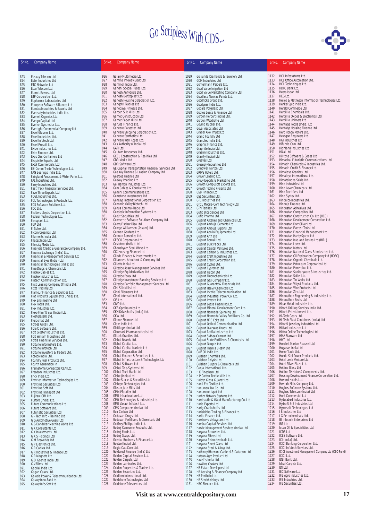

| Sr.No.     | <b>Company Name</b>                                                 | Sr.No.       | <b>Company Name</b>                                                 | Sr.No.       | <b>Company Name</b>                                                   | Sr.No.       | <b>Company Name</b>                                                            |
|------------|---------------------------------------------------------------------|--------------|---------------------------------------------------------------------|--------------|-----------------------------------------------------------------------|--------------|--------------------------------------------------------------------------------|
| 823        | Esskay Telecom Ltd.                                                 | 926          | Galaxy Multimedia Ltd.                                              | 1029         | Golkunda Diamonds & Jewellery Ltd.                                    | 1132         | HCL Infosystems Ltd.                                                           |
| 824        | Ester Industries Ltd                                                | 927          | Gamma Infoway Exalt Ltd.                                            | 1030         | <b>GOM Industries Ltd</b>                                             | 1133         | HCL Office Automation Ltd.                                                     |
| 825<br>826 | <b>ETC Networks Ltd</b><br>Etco Telecom Ltd.                        | 928<br>929   | Gammon India Ltd.<br>Gandhi Special Tubes Ltd.                      | 1031<br>1032 | Gontermann Peipers Ltd.<br>Good Value Irrigation Ltd                  | 1134<br>1135 | HCL Technologies Ltd.<br>HDFC Bank Ltd.                                        |
| 827        | Eternit Everest Ltd.                                                | 930          | Ganesh Anhydride Ltd.                                               | 1033         | Good Value Marketing Company Ltd                                      | 1136         | Heera Ispat Ltd.                                                               |
| 828        | ETP Corporation Ltd.                                                | 931          | Ganesh Benzoplast Ltd.                                              | 1034         | Goodlass Nerolac Paints Ltd.                                          | 1137         | HEG Ltd.                                                                       |
| 829        | Eupharma Laboratories Ltd.                                          | 932          | Ganesh Housing Corporation Ltd.                                     | 1035         | Goodricke Group Ltd.                                                  | 1138         | Helios & Matheson Information Technologies Ltd.                                |
| 830<br>831 | European Software Alliances Ltd<br>Eurotex Industries & Exports Ltd | 933<br>934   | Gangotri Textiles Ltd<br>Ganodaya Finlease Ltd.                     | 1036<br>1037 | Goodyear India Ltd.<br>Gopala Polyplast Ltd.                          | 1139<br>1140 | Henkel Spic India Ltd.<br>Herald Commerce Ltd.                                 |
| 832        | Eveready Industries India Ltd.                                      | 935          | Garden Silk Mills Ltd.                                              | 1038         | Goplee Lease & Finance Ltd.                                           | 1141         | Herdillia Chemicals Ltd.                                                       |
| 833        | Everest Organics Ltd.                                               | 936          | Garnet Construction Ltd                                             | 1039         | Gordon Herbert (India) Ltd.                                           | 1142         | Herdillia Oxides & Electronics Ltd.                                            |
| 834        | Evergo Capital Ltd.                                                 | 937          | Garnet Paper Mills Ltd                                              | 1040         | Gordon Woodroffe Ltd.                                                 | 1143         | Herdillia Unimers Ltd.                                                         |
| 835<br>836 | Everlon Synthetics Ltd.<br>Everright Commercial Company Ltd         | 938<br>939   | Garuda Finance Ltd.<br>Garware Polyester Ltd.                       | 1041<br>1042 | Govind Rubber Ltd.<br>Goyal Associates Ltd.                           | 1144<br>1145 | Heritage Foods (India) Ltd<br>Heritage Housing Finance Ltd.                    |
| 837        | Excel Glasses Ltd.                                                  | 940          | Garware Shipping Corporation Ltd.                                   | 1043         | Grabal Alok Impex Ltd                                                 | 1146         | Hero Honda Motors Ltd.                                                         |
| 838        | Excel Industries Ltd.                                               | 941          | Garware Synthetics Ltd                                              | 1044         | Grand Foundry Ltd                                                     | 1147         | Hexagon Engineers Ltd.                                                         |
| 839        | Excel Infotech Ltd.                                                 | 942<br>943   | Garware Wall Ropes Ltd.<br>Gas Authority of India Ltd.              | 1045         | Granules India Ltd.                                                   | 1148<br>1149 | <b>HGI Industries Ltd</b><br>Hifunda.Com Ltd.                                  |
| 840<br>841 | Excel Prosoft Ltd.<br>Exide Industries Ltd.                         | 944          | <b>GATI Ltd</b>                                                     | 1046<br>1047 | Graphic Finance Ltd.<br>Graphite India Ltd.                           | 1150         | Highland Industries Ltd                                                        |
| 842        | Exim Finance Ltd.                                                   | 945          | Gautam Resources Ltd.                                               | 1048         | Grasim Industries Ltd.                                                | 1151         | Hikal Ltd.                                                                     |
| 843        | Expo Gas Containers Ltd                                             | 946          | <b>GCCL Construction &amp; Realities Ltd</b>                        | 1049         | Gravity (India) Ltd                                                   | 1152         | Hilltone Software & Gases Ltd                                                  |
| 844        | Exquisite Exports Ltd.                                              | 947<br>948   | GDR Media Ltd<br>GDR Software Ltd.                                  | 1050         | Greaves Ltd.                                                          | 1153<br>1154 | Himachal Futuristic Communications Ltd.<br>Himadri Chemicals & Industries Ltd. |
| 845<br>846 | <b>Extol Commercials Ltd</b><br>EZ-Comm Trade Technologies Ltd.     | 949          | GE Capital Transportation Financial Services Ltd.                   | 1051<br>1052 | Greenply Industries Ltd<br>Grindwell Norton Ltd.                      | 1155         | Himadri Credit & Finance Ltd.                                                  |
| 847        | FAG Bearings India Ltd.                                             | 950          | Gee Kay Finance & Leasing Company Ltd                               | 1053         | <b>GRIVS Hotels Ltd.</b>                                              | 1156         | Himalaya Granites Ltd.                                                         |
| 848        | Fairyland Amusement & Water Parks Ltd.                              | 951          | Geefcee Finance Ltd                                                 | 1054         | Grover Leasing Ltd.                                                   | 1157         | Himalaya International Ltd.                                                    |
| 849        | FAL Industries Ltd.                                                 | 952<br>953   | Geekay Imaging Ltd.                                                 | 1055         | Grovy Exports & Marketing Ltd.                                        | 1158<br>1159 | Himatsingka Seide Ltd.                                                         |
| 850<br>851 | Farry Industries Ltd.<br>Fast Track Financial Services Ltd.         | 954          | Gei Hamon Industries Ltd.<br>Gem Cables & Conductors Ltd.           | 1056<br>1057 | Growth Compusoft Exports Ltd.<br>Growth Techno Projects Ltd           | 1160         | Hind Industries Ltd<br>Hind Lever Chemicals Ltd.                               |
| 852        | Faze Three Exports Ltd                                              | 955          | Gemini Communications Ltd.                                          | 1058         | GSB Finance Ltd.                                                      | 1161         | <b>Hind Rectifiers Ltd</b>                                                     |
| 853        | FCGL Industries Ltd.                                                | 956          | Gemstone Investments Ltd                                            | 1059         | <b>GSL Securities Ltd.</b>                                            | 1162         | Hind Syntex Ltd.                                                               |
| 854        | FCL Technologies & Products Ltd.                                    | 957<br>958   | Genesys International Corporation Ltd<br>Genomic Valley Biotech Ltd | 1060         | GTC Industries Ltd                                                    | 1163<br>1164 | Hindalco Industries Ltd.<br>Hinduja Finance Ltd.                               |
| 855<br>856 | FCS Software Solutions Ltd.<br>FDC Ltd.                             | 959          | Genus Commu-Trade Ltd                                               | 1061<br>1062 | GTCL Mobile-Com Technology Ltd.<br>GTN Textiles Ltd.                  | 1165         | Hindustan Adhesives Ltd.                                                       |
| 857        | Fedders Lloyds Corporation Ltd.                                     | 960          | Geodesic Information Systems Ltd.                                   | 1063         | Gufic Biosciences Ltd                                                 | 1166         | Hindustan Composites Ltd                                                       |
| 858        | Federal Technologies Ltd.                                           | 961          | Geojit Securities Ltd.                                              | 1064         | Gufic Pharma Ltd.                                                     | 1167         | Hindustan Construction Co. Ltd (HCC)                                           |
| 859        | Fenoplast Ltd.                                                      | 962          | Geometric Software Solutions Company Ltd.                           | 1065         | Gujarat Alkalies and Chemicals Ltd.                                   | 1168         | Hindustan Development Corporation Ltd.                                         |
| 860<br>861 | FGP Ltd.<br>FI Sofex Ltd.                                           | 963<br>964   | Georg Fischer Disa Ltd<br>George Williamson (Assam) Ltd.            | 1066<br>1067 | Gujarat Ambuja Cements Ltd.<br>Gujarat Ambuja Exports Ltd.            | 1169<br>1170 | Hindustan Dorr Oliver Ltd<br>Hindustan Everest Tools Ltd                       |
| 862        | Ficom Organics Ltd                                                  | 965          | German Gardens Ltd.                                                 | 1068         | Gujarat Apollo Equipments Ltd.                                        | 1171         | Hindustan Financial Management Ltd.                                            |
| 863        | Filaments India Ltd.                                                | 966          | German Remedies Ltd.                                                | 1069         | Gujarat Arth Ltd                                                      | 1172         | Hindustan Hardy Spicer Ltd                                                     |
| 864        | Filatex India Ltd.                                                  | 967          | <b>GESCO Corporation Ltd</b>                                        | 1070         | Gujarat Borosil Ltd                                                   | 1173         | Hindustan Inks and Resins Ltd (HIRL)                                           |
| 865<br>866 | Filmcity Media Ltd.<br>Finalysis Credit & Guarantee Company Ltd.    | 968<br>969   | Gestetner (India) Ltd<br>Ghanshyam Steel Works Ltd.                 | 1071<br>1072 | Gujarat Bulk Packs Ltd<br>Gujarat Capital Ventures Ltd.               | 1174<br>1175 | Hindustan Lever Ltd.<br>Hindustan Motors Ltd.                                  |
| 867        | Finance Exchange (India) Ltd.                                       | 970          | GIC Housing Finance Ltd.                                            | 1073         | Gujarat Carbon & Industries Ltd.                                      | 1176         | Hindustan National Glass & Industries Ltd.                                     |
| 868        | Financial & Management Services Ltd                                 | 971          | Gilada Finance & Investments Ltd.                                   | 1074         | Gujarat Craft Industries Ltd                                          | 1177         | Hindustan Oil Exploration Company Ltd (HOEC)                                   |
| 869        | Financial Eyes (India) Ltd.                                         | 972          | Gillanders Arbuthnot & Company Ltd                                  | 1075         | Gujarat Credit Corporation Ltd.                                       | 1178         | Hindustan Organic Chemicals Ltd.                                               |
| 870<br>871 | Financial Technologies (India) Ltd<br>Fine Drugs & Chemicals Ltd    | 973<br>974   | Gillette India Ltd<br>Giltedge Asset Management Services Ltd        | 1076<br>1077 | Gujarat Cycles Ltd.<br>Gujarat Cypromet Ltd                           | 1179<br>1180 | Hindustan Petroleum Corporation Ltd.<br>Hindustan Powerplus Ltd.               |
| 872        | Finolex Cables Ltd.                                                 | 975          | Giltedge Equiderivatives Ltd                                        | 1078         | Gujarat Fiscon Ltd                                                    | 1181         | Hindustan Sanitaryware & Industries Ltd.                                       |
| 873        | Finolex Industries Ltd.                                             | 976          | Giltedge Forex Ltd                                                  | 1079         | Gujarat Fluorochemicals Ltd.                                          | 1182         | Hindustan Softel Ltd.                                                          |
| 874        | Fintech Communication Ltd.                                          | 977          | Giltedge Investment Banking Services Ltd                            | 1080         | Gujarat Gas Company Ltd.                                              | 1183         | Hindustan Tin Works Ltd                                                        |
| 875<br>876 | First Leasing Company Of India Ltd.<br>Fizza Trading Ltd.           | 978<br>979   | Giltedge Portfolio Management Services Ltd<br>Gini Silk Mills Ltd.  | 1081<br>1082 | Gujarat Guaranty & Financials Ltd.<br>Gujarat Heavy Chemicals Ltd.    | 1184<br>1185 | Hindustan Vidyut Products Ltd.<br>Hindustan Wire Products Ltd.                 |
| 877        | Flamour Finance & Securities Ltd.                                   | 980          | Ginni Filaments Ltd                                                 | 1083         | Gujarat Incatel Telecommunication Ltd                                 | 1186         | Hindustan Zinc Ltd.                                                            |
| 878        | Flat Products Equipments (India) Ltd.                               | 981          | Ginni International Ltd.                                            | 1084         | Gujarat Industrial Power Co. Ltd.                                     | 1187         | Hindusthan Engineering & Industries Ltd.                                       |
| 879        | Flex Engineering Ltd                                                | 982<br>983   | GIS Ltd.<br>GIVO Ltd.                                               | 1085         | Gujarat Investa Ltd                                                   | 1188<br>1189 | Hindusthan Seals Ltd.<br>Hisar Metal Industries Ltd.                           |
| 880<br>881 | Flex Foods Ltd.<br>Flex Industries Ltd.                             | 984          | <b>GKB Ophthalmics Ltd</b>                                          | 1086<br>1087 | Gujarat Lease Financing Ltd.<br>Gujarat Mineral Development Corp Ltd. | 1190         | Hitech Drilling Services India Ltd.                                            |
| 882        | Flexo Film Wraps (India) Ltd.                                       | 985          | GKN Driveshafts (India) Ltd.                                        | 1088         | Gujarat Narmada Spinning Ltd.                                         | 1191         | Hitech Entertainment Ltd.                                                      |
| 883        | Floatglass(I) Ltd.                                                  | 986          | GKW Ltd.                                                            | 1089         | Gujarat Narmada Valley Fertilizers Co. Ltd.                           | 1192         | Hi-Tech Gears Ltd.                                                             |
| 884<br>885 | Fluidomat Ltd.<br>Forbes Gokak Ltd.                                 | 987<br>988   | Glance Finance Ltd<br>Glaxo India Ltd.                              | 1090<br>1091 | Gujarat NRE Coke Ltd<br>Gujarat Optical Communication Ltd.            | 1193<br>1194 | Hi-Tech Plast Containers (India) Ltd<br>Hitechi Jewellery Industries Ltd.      |
| 886        | Fore C Software Ltd.                                                | 989          | Gleitlager (India) Ltd.                                             | 1092         | Gujarat Overseas Drugs Ltd                                            | 1195         | Hitkari Industries Ltd                                                         |
| 887        | Fort Gloster Industries Ltd.                                        | 990          | Glenmark Pharmaceuticals Ltd.                                       | 1093         | Gujarat Raffia Industries Ltd                                         | 1196         | Hittco Online Technologies Ltd                                                 |
| 888        | Fort William Industries Ltd.                                        | 991          | Glittek Granites Ltd.                                               | 1094         | Gujarat Sidhee Cement Ltd.                                            | 1197         | HMA Starware Ltd                                                               |
| 889<br>890 | Fortis Financial Services Ltd.<br>Fortune Informaters Ltd.          | 992<br>993   | Global Boards Ltd.<br>Global Capital Ltd.                           | 1095<br>1096 | Gujarat State Fertilizers & Chemicals Ltd.<br>Gujarat Texspin Ltd.    | 1198<br>1199 | HMT Ltd.<br>Hoechst Marion Roussel Ltd.                                        |
| 891        | Fortune Infotech Ltd.                                               | 994          | Global Capital Markets Ltd                                          | 1097         | Gujarat Themis Biosyn Ltd                                             | 1200         | Hoganas India Ltd.                                                             |
| 892        | Fortune Investors & Traders Ltd.                                    | 995          | Global Corporation Ltd.                                             | 1098         | Gulf Oil India Ltd.                                                   | 1201         | Home Trade Ltd.                                                                |
| 893        | Foseco India Ltd.                                                   | 996<br>997   | Global Finance & Securities Ltd.                                    | 1099         | Gulshan Chemfills Ltd.                                                | 1202<br>1203 | Honda Siel Power Products Ltd.<br>Hotel Leela Venture Ltd.                     |
| 894<br>895 | Foundry Fuel Products Ltd.<br>Fourth Generation In                  | 998          | Global Infrastructure & Technologies Ltd<br>Global Software Ltd     | 1100<br>1101 | Gulshan Polyols Ltd.<br>Gulshan Sugars & Chemicals Ltd.               | 1204         | Hotel Silver Plaza Ltd.                                                        |
| 896        | Framatome Connectors OEN Ltd.                                       | 999          | Global Tele-Systems Ltd.                                            | 1102         | Gunja International Ltd.                                              | 1205         | Hotline Glass Ltd                                                              |
| 897        | Freedom Industries Ltd.                                             | 1000         | Global Trust Bank Ltd.                                              | 1103         | H K Finechem Ltd                                                      | 1206         | Hotline Teletube & Components Ltd.                                             |
| 898        | Frick India Ltd.                                                    | 1001         | Globe (India) Ltd.                                                  | 1104         | H P Cotton Textile Mills Ltd.                                         | 1207<br>1208 | Housing Development Finance Corporation Ltd.<br>Howard Hotels Ltd.             |
| 899<br>900 | Frontier Information Technologies Ltd.<br>Frontline Securities Ltd  | 1002<br>1003 | Globe Stocks & Securities Ltd.<br>Globsyn Technologies Ltd.         | 1105<br>1106 | Haldyn Glass Gujarat Ltd<br>Hanil Era Textiles Ltd.                   | 1209         | Howrah Mills Company Ltd.                                                      |
| 901        | Frontline Soft Ltd.                                                 | 1004         | Gloster Jute Mills Ltd.                                             | 1107         | Hanuman Tea Co. Ltd.                                                  | 1210         | Hughes Software Systems Ltd.                                                   |
| 902        | Frontline Transport Ltd                                             | 1005         | <b>GMM Pfaudler Ltd</b>                                             | 1108         | Hanumant Ispat Ltd                                                    | 1211         | Hughes Tele.com (India) Ltd.                                                   |
| 903        | Fujitsu ICIM Ltd.                                                   | 1006         | GMR Infrastructure Ltd.                                             | 1109         | Harbor Network Systems Ltd.                                           | 1212         | Hunt Commercial Ltd<br>Hyderabad Industries Ltd.                               |
| 904<br>905 | Fulford (India) Ltd.<br>Future Communications Ltd                   | 1007<br>1008 | GMR Technologies & Industries Ltd.<br>GMR Vasavi Infotech Ltd.      | 1110<br>1111 | Hardcastle & Waud Manufacturing Co. Ltd<br>Haria Exports Ltd.         | 1213<br>1214 | Hydro S & S Industries Ltd                                                     |
| 906        | Future Software Ltd.                                                | 1009         | GMS Computers (India) Ltd.                                          | 1112         | Harig Crankshafts Ltd                                                 | 1215         | Hypersoft Technologies Ltd                                                     |
| 907        | <b>Futuristic Securities Ltd</b>                                    | 1010         | Goa Carbon Ltd                                                      | 1113         | Harisiddha Trading & Finance Ltd.                                     | 1216         | I B Industries Ltd                                                             |
| 908        | G - Tech Info - Training Ltd                                        | 1011<br>1012 | Godavari Drugs Ltd.<br>Godavari Fertilisers & Chemicals Ltd         | 1114         | Harita Finance Ltd.                                                   | 1217<br>1218 | I G Petrochemicals Ltd.                                                        |
| 909<br>910 | G G Automotive Gears Ltd<br>G G Dandekar Machine Works Ltd          | 1013         | Godfrey Phillips India Ltd.                                         | 1115<br>1116 | Harrisons Malayalam Ltd.<br>Harsha Capital Services Ltd               | 1219         | IB Infotech Enterprises Ltd<br><b>IBP Ltd</b>                                  |
| 911        | <b>G K Consultants Ltd</b>                                          | 1014         | Godrej Consumer Products Ltd.                                       | 1117         | Harvic Management Services (India) Ltd                                | 1220         | Iccon Oil & Specialities Ltd.                                                  |
| 912        | G K Investments Ltd.                                                | 1015         | Godrej Foods Ltd.                                                   | 1118         | Haryana Breweries Ltd.                                                | 1221         | <b>ICDS Ltd</b>                                                                |
| 913        | G K S Holdings Ltd.                                                 | 1016         | Godrej Soaps Ltd.                                                   | 1119         | Haryana Fibres Ltd.                                                   | 1222         | ICES Software Ltd.                                                             |
| 914<br>915 | G M Breweries Ltd                                                   | 1017<br>1018 | Goenka Business & Finance Ltd<br>Goetze (India) Ltd.                | 1120<br>1121 | Haryana Petrochemicals Ltd.<br>Haryana Sheet Glass Ltd                | 1223<br>1224 | ICI (India) Ltd.<br><b>ICICI Banking Corporation Ltd.</b>                      |
| 916        | G P Electronics Ltd.<br>G R Cables Ltd.                             | 1019         | Gogia Cap.Com Ltd.                                                  | 1122         | Haryana Steel & Alloys Ltd.                                           | 1225         | <b>ICICI Infotech Services Ltd.</b>                                            |
| 917        | G R Industries & Finance Ltd                                        | 1020         | Goldcrest Finance (India) Ltd                                       | 1123         | Hathway Bhawani Cabletel & Datacom Ltd                                | 1226         | ICICI Investment Management Company Ltd (CBO Fund)                             |
| 918        | G R Magnets Ltd                                                     | 1021         | Golden Capital Services Ltd.                                        | 1124         | Hatsun Agro Product Ltd                                               | 1227         | <b>ICICI Ltd.</b>                                                              |
| 919        | G.D. Goenka India Ltd.                                              | 1022<br>1023 | Golden Carpets Ltd<br>Golden Laminates Ltd.                         | 1125         | Havell's India Ltd.<br>Hawkins Cookers Ltd                            | 1228<br>1229 | IDBI Bank Ltd.<br>Ideal Carpets Ltd.                                           |
| 920<br>921 | G.V.Films Ltd.<br>Gabriel India Ltd                                 | 1024         | Golden Properties & Traders Ltd.                                    | 1126<br>1127 | HB Estate Developers Ltd.                                             | 1230         | IDI Ltd.                                                                       |
| 922        | Gagan Gases Ltd.                                                    | 1025         | Golden Securities Ltd.                                              | 1128         | HB Leasing & Finance Company Ltd                                      | 1231         | IEC Software Ltd.                                                              |
| 923        | Galada Power & Telecommunication Ltd.                               | 1026         | Goldiam International Ltd.                                          | 1129         | HB Portfolio Ltd.                                                     | 1232         | IFB Agro Industries Ltd.                                                       |
| 924        | Galaxy Indo-Fab Ltd.                                                | 1027         | Goldstone Technologies Ltd.                                         | 1130         | HB Stockholdings Ltd.                                                 | 1233         | IFB Industries Ltd.                                                            |
| 925        | Galaxy Info-Soft Ltd.                                               | 1028         | Goldstone Teleservices Ltd.                                         | 1131         | HBC Flextech Ltd.                                                     | 1234         | IFB Securities Ltd.                                                            |

1130 HB Stockholdings Ltd. 1131 HBC Flextech Ltd.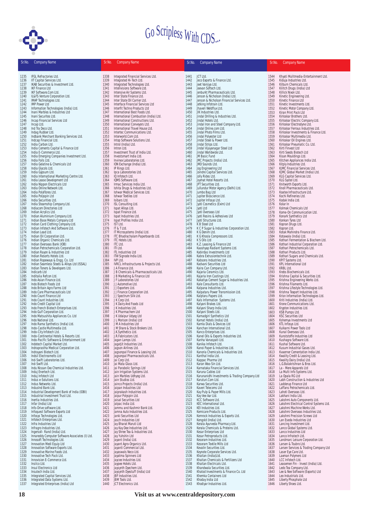

| Sr.No.       | <b>Company Name</b>                                                    | Sr.No.       | <b>Company Name</b>                              | Sr.No.       | <b>Company Name</b>                                                 | Sr.No.       | <b>Company Name</b>                                           |
|--------------|------------------------------------------------------------------------|--------------|--------------------------------------------------|--------------|---------------------------------------------------------------------|--------------|---------------------------------------------------------------|
|              |                                                                        |              |                                                  |              |                                                                     |              |                                                               |
| 1235         | IFGL Refractories Ltd.                                                 | 1338         | Integrated Financial Services Ltd.               | 1441         | JCT Ltd.                                                            | 1544         | Khyati Mulitmedia-Entertainment Ltd.                          |
| 1236         | IIT Capital Services Ltd.                                              | 1339         | Integrated Hi-Tech Ltd.                          | 1442         | Jeco Exports & Finance Ltd.                                         | 1545         | Kiduja Industries Ltd.                                        |
| 1237         | IKAB Securities & Investment Ltd.                                      | 1340         | Integrated Technologies Ltd.                     | 1443         | Jeet Vanijya Ltd.                                                   | 1546         | Kilburn Chemicals Ltd.                                        |
| 1238         | <b>IKF Finance Ltd</b>                                                 | 1341         | Intellvisions Software Ltd.                      | 1444         | Jeevan Softech Ltd.                                                 | 1547         | Kilitch Drugs (India) Ltd                                     |
| 1239         | IKF Software.Com Ltd.                                                  | 1342         | Intensive Air Systems Ltd.                       | 1445         | Jenburkt Pharmaceuticals Ltd.                                       | 1548         | Killick Nixon Ltd.                                            |
| 1240         | IL&FS Venture Corporation Ltd.                                         | 1343         | Inter State Finance Ltd.                         | 1446         | Jenson & Nicholson (India) Ltd.                                     | 1549         | Kinetic Engineering Ltd.                                      |
| 1241         | IMAP Technologies Ltd.                                                 | 1344         | Inter State Oil Carrier Ltd.                     | 1447         | Jenson & Nicholson Financial Services Ltd.                          | 1550         | Kinetic Finance Ltd                                           |
| 1242         | <b>IMP Power Ltd</b>                                                   | 1345         | Interface Financial Services Ltd                 | 1448         | Jetking Infotrain Ltd.                                              | 1551         | Kinetic Investments Ltd.                                      |
| 1243         | Information Technologies (India) Ltd.                                  | 1346         | Interfit Techno Products Ltd                     | 1449         | Jhaveri Weldflux Ltd.                                               | 1552         | Kinetic Motor Company Ltd.                                    |
| 1244         | Inani Marbles & Industries Ltd                                         | 1347         | International Best Foods Ltd.                    | 1450         | JIK Industries Ltd.                                                 | 1553         | Kiran Print Pack Ltd                                          |
| 1245         | Inani Securites Ltd.                                                   | 1348         | International Combustion (India) Ltd.            | 1451         | Jindal Drilling & Industries Ltd.                                   | 1554         | Kirloskar Brothers Ltd.                                       |
| 1246         | Incap Financial Services Ltd                                           | 1349         | International Constructions Ltd.                 | 1452         | Jindal Hotels Ltd.                                                  | 1555         | Kirloskar Electric Company Ltd.                               |
| 1247         | Incap Ltd.                                                             | 1350         | International Conveyors Ltd.                     | 1453         | Jindal Iron and Steel Company Ltd.                                  | 1556         | Kirloskar Electrodyne Ltd.                                    |
| 1248         | Ind Tra Deco Ltd.                                                      | 1351         | International Travel House Ltd.                  | 1454         | Jindal Online.com Ltd.                                              | 1557         | Kirloskar Ferrous Industries Ltd.                             |
| 1249         | Indag Rubber Ltd.                                                      | 1352         | Intertec Communications Ltd.                     | 1455         | Jindal Photo Films Ltd.                                             | 1558         | Kirloskar Investments & Finance Ltd.                          |
| 1250         | Indbank Merchant Banking Services Ltd.                                 | 1353         | Interworld.Com Ltd.                              | 1456         | Jindal Polyester Ltd                                                | 1559         | Kirloskar Multimedia Ltd.                                     |
| 1251         | Indcap Financial Ltd.                                                  | 1354         | Intop Software Solutions Ltd.                    | 1457         | Jindal Steel & Power Ltd.                                           | 1560         | Kirloskar Oil Engines Ltd.                                    |
| 1252         | India Carbon Ltd.                                                      | 1355         | Introl (India) Ltd.                              | 1458         | Jindal Strips Ltd.                                                  | 1561         | Kirloskar Pneumatic Co. Ltd.                                  |
| 1253         | India Cements Capital & Finance Ltd                                    | 1356         | Intron Ltd.                                      | 1459         | Jindal Vijayanagar Steel Ltd                                        | 1562         | Kirti Finvest Ltd                                             |
| 1254         | India E-Commerce Ltd.                                                  | 1357         | Investment Trust of India Ltd.                   | 1460         | Jindal Worldwide Ltd.                                               | 1563         | Kirti Seeds Biotech Ltd                                       |
| 1255         | India Emerging Companies Investment Ltd.                               | 1358         | Investsmart India Ltd.                           | 1461         | JM Basic Fund                                                       | 1564         | Kisan Mouldings Ltd.                                          |
| 1256         | India Foils Ltd.                                                       | 1359         | Invinex Laboratories Ltd.                        | 1462         | JMC Projects (India) Ltd.                                           | 1565         | Kitchen Appliances India Ltd.                                 |
| 1257         | India Gelatine & Chemicals Ltd                                         | 1360         | ION Exchange (India) Ltd.                        | 1463         | JMD Sounds Ltd.                                                     | 1566         | Kitply Industries Ltd.                                        |
| 1258         | India Glycols Ltd.                                                     | 1361         | IP Rings Ltd.                                    | 1464         | Jog Engineering Ltd                                                 | 1567         | KJMC Financial Services Ltd.                                  |
| 1259         | India Gypsum Ltd.                                                      | 1362         | Ipca Laboratories Ltd.                           | 1465         | Joindre Capital Services Ltd.                                       | 1568         | KJMC Global Market (India) Ltd.                               |
| 1260         | India International Marketing Centre Ltd.                              | 1363         | IQ Infotech Ltd.                                 | 1466         | Jolly Rides Ltd.                                                    | 1569         | KLG Capital Services Ltd.                                     |
| 1261         | India Lease Development Ltd                                            | 1364         | IQMS Software Ltd.                               | 1467         | Joymat Hotel Resorts Ltd.                                           | 1570         | KLG Systel Ltd.                                               |
| 1262         | India Nippon Electricals Ltd                                           | 1365         | Irmac Services India Ltd.                        | 1468         | JPT Securities Ltd.                                                 | 1571         | Knitworth Exports Ltd.                                        |
| 1263         | India Online Network Ltd.                                              | 1366         | Ishita Drugs & Industries Ltd.                   | 1469         | Jullundur Motor Agency (Delhi) Ltd.                                 | 1572         | Knoll Pharmaceuticals Ltd.                                    |
| 1264         | India Polyfibres Ltd.                                                  | 1367         | Ishwar Medical Services Ltd.                     | 1470         | Jumbo Bag Ltd                                                       | 1573         | Koatex Infrastructure Ltd.                                    |
| 1265         | India Polyspin Ltd                                                     | 1368         | Ishwar Textiles Ltd                              | 1471         | Jupiter Bioscience Ltd.                                             | 1574         | Kochi Refineries Ltd.                                         |
| 1266         | India Securities Ltd.                                                  | 1369         | Isibars Ltd.                                     | 1472         | Jupiter Infosys Ltd.                                                | 1575         | Kodak India Ltd.                                              |
| 1267         | India Steamship Company Ltd.                                           | 1370         | ISL Consulting Ltd.                              | 1473         | Jyoti Cosmetics (Exim) Ltd                                          | 1576         | Kolar In                                                      |
| 1268         | Indiacom Directories Ltd                                               | 1371         | Ispat Alloys Ltd.                                | 1474         | Jyoti Ltd                                                           | 1577         | Kolmak Chemicals Ltd                                          |
| 1269         | Indian Acrylics Ltd.                                                   | 1372         | Ispat Finance Ltd.                               | 1475         | Jyoti Overseas Ltd                                                  | 1578         | Kome-On Communication Ltd.                                    |
| 1270         | Indian Aluminium Company Ltd.                                          | 1373         | Ispat Industries Ltd.                            | 1476         | Jyoti Resins & Adhesives Ltd                                        | 1579         | Konark Synthetics Ltd                                         |
| 1271         | Indian Base Metals Company Ltd                                         | 1374         | Ispat Profiles India Ltd.                        | 1477         | Jyoti Structures Ltd.                                               | 1580         | Konkan Tyres Ltd                                              |
| 1272         | Indian Card Clothing Company Ltd.                                      | 1375         | IST Ltd.                                         | 1478         | K B Steel Ltd                                                       | 1581         | Kopran Drugs Ltd.                                             |
| 1273         | Indian Infotech And Software Ltd.                                      | 1376         | IT & T Ltd.                                      | 1479         | K C P Sugar & Industries Corporation Ltd.                           | 1582         | Kopran Ltd.                                                   |
| 1274         | Indian Lead Ltd.                                                       | 1377         | IT Microsystems (India) Ltd.                     | 1480         | K G Denim Ltd.                                                      | 1583         | Kotak Mahindra Finance Ltd.                                   |
| 1275         | Indian Oil Corporation Ltd.                                            | 1378         | ITC Bhadrachalam Paperboards Ltd.                | 1481         | K G Khosla Compressors Ltd.                                         | 1584         | Kotawala (India) Ltd.                                         |
| 1276         | Indian Organic Chemicals Ltd.                                          | 1379         | <b>ITC Hotels Ltd.</b>                           | 1482         | K S Oils Ltd                                                        | 1585         | Kothari Fermentation & Biochem Ltd.                           |
| 1277         | Indian Overseas Bank (IOB)                                             | 1380         | ITC Ltd.                                         | 1483         | K.Z. Leasing & Finance Ltd                                          | 1586         | Kothari Industrial Corporation Ltd.                           |
| 1278         | Indian Petrochemicals Corporation Ltd.                                 | 1381         | ITI Ltd.                                         | 1484         | Kaashyap Radiant Systems Ltd.                                       | 1587         | Kothari Petrochemicals Ltd.                                   |
| 1279         | Indian Rayon & Industries Ltd                                          | 1382         | <b>ITL Industries Ltd</b>                        | 1485         | Kabirdas Investments Ltd                                            | 1588         | Kothari Products Ltd.                                         |
| 1280         | Indian Resorts Hotels Ltd.                                             | 1383         | ITW Signode India Ltd.                           | 1486         | Kabra Extrusiontechnik Ltd.                                         | 1589         | Kothari Sugars and Chemicals Ltd.                             |
| 1281         | Indian Ropeways & Engg. Co. Ltd                                        | 1384         | IVP Ltd.                                         | 1487         | Kabsons Industries Ltd.                                             | 1590         | KPIT Systems Ltd.                                             |
| 1282         | Indian Seamless Steels & Alloys Ltd (ISSAL)                            | 1385         | IVRCL Infrastructures & Projects Ltd.            | 1488         | Kadvani Securities Ltd                                              | 1591         | KPL International Ltd                                         |
| 1283         | Indian Toners & Developers Ltd.                                        | 1386         | J A Finance Ltd.                                 | 1489         | Kaira Can Company Ltd.                                              | 1592         | KRBL Ltd.                                                     |
| 1284         | Indicarb Ltd                                                           | 1387         | J B Chemicals & Pharmaceuticals Ltd.             | 1490         | Kajaria Ceramics Ltd.                                               | 1593         | Krebs Biochemicals Ltd.                                       |
| 1285         | Inditalia Refcon Ltd.                                                  | 1388         | J B Marketing & Finance Ltd                      | 1491         | Kajaria Iron Castings Ltd.                                          | 1594         | Krishna Capital & Securities Ltd.                             |
| 1286         | Indo Asian Finance Ltd.                                                | 1389         | J F Laboratories Ltd                             | 1492         | Kakatiya Cement Sugar & Industries Ltd.                             | 1595         | Krishna Engineering Works Ltd.                                |
| 1287         | Indo Biotech Foods Ltd                                                 | 1390         | J J Automotive Ltd.                              | 1493         | Kale Consultants Ltd.                                               | 1596         | Krishna Filaments Ltd.                                        |
| 1288         | Indo Britain Agro Farms Ltd                                            | 1391         | J J Exporters Ltd.                               | 1494         | Kalpana Industries Ltd.                                             | 1597         | Krishna Lifestyle Technologies Ltd.                           |
| 1289         | Indo Care Pharmaceuticals Ltd                                          | 1392         | JJ Finance Corporation Ltd.                      | 1495         | Kalpataru Power Transmission Ltd.                                   | 1598         | Krishna Texport Industries Ltd.                               |
| 1290         | Indo Count Finance Ltd                                                 | 1393         | J J Spectrum Silk Ltd.                           | 1496         | Kalptaru Papers Ltd.                                                | 1599         | Krisn Information Technologies Ltd.                           |
| 1291         | Indo Count Industries Ltd.                                             | 1394         | J K Corp Ltd.                                    | 1497         | Kals Information Systems Ltd.                                       | 1600         | Kriti Industries (India) Ltd.                                 |
| 1292         | Indo Credit Capital Ltd                                                | 1395         | J K Dairy And Foods Ltd                          | 1498         | Kalyani Brakes Ltd.                                                 | 1601         | Krone Communications Ltd.                                     |
| 1293         | Indo French Biotech Enterprises Ltd.                                   | 1396         | J K Industries Ltd.                              | 1499         | Kalyani Sharp India Ltd.                                            | 1602         | Krypton Industries Ltd.                                       |
| 1294         | Indo Gulf Corporation Ltd.                                             | 1397         | J K Pharmachem Ltd                               | 1500         | Kalyani Steels Ltd.                                                 | 1603         | KSB Pumps Ltd.                                                |
| 1295         | Indo Matsushita Appliances Co. Ltd                                     | 1398         | J K Udaipur Udyog Ltd                            | 1501         | Kamadgiri Synthetics Ltd                                            | 1604         | <b>KSC Securities Ltd</b>                                     |
| 1296         | Indo National Ltd.                                                     | 1399         | J L Morison (India) Ltd                          | 1502         | Kamat Hotels (India) Ltd.                                           | 1605         | Kshemya Investments Ltd                                       |
| 1297         | Indo Rama Synthetics (India) Ltd.                                      | 1400         | J M A Industries Ltd                             | 1503         | Kamla Dials & Devices Ltd                                           | 1606         | KTL Infosys Ltd.                                              |
| 1298         | Indo-Castle Multimedia Ltd.                                            | 1401         | J M Share & Stock Brokers Ltd.                   | 1504         | Kanchan International Ltd.                                          | 1607         | Kulkarni Power Tools Ltd                                      |
| 1300         | 1299 Indo-City Infotech Ltd.<br>Indo-Continental Hotels & Resorts Ltd. | 1403         | 1402 J.K.Synthetics Ltd.<br>J.R.Fabricators Ltd. | 1506         | 1505 Kanco Enterprises Ltd.<br>Kanel Oils & Exports Industries Ltd. | 1608<br>1609 | Kunal Overseas Ltd.<br>Kunststoffe Industries Ltd             |
| 1301         | Indo-Pacific Software & Entertainment Ltd                              | 1404         | Jagan Lamps Ltd.                                 | 1507         | Kanha Vanaspati Ltd.                                                | 1610         | Kushagra Software Ltd.                                        |
| 1302         | Indotech Capital Market Ltd.                                           | 1405         | Jagatjit Industries Ltd.                         | 1508         | Kanika Infotech Ltd.                                                | 1611         | Kushal Software Ltd.                                          |
| 1303         | Indraprastha Medical Corporation Ltd.                                  | 1406         | Jagson Airlines Ltd.                             | 1509         | Kanoi Paper & Industries Ltd.                                       | 1612         | Kusum Industrial Gases Ltd.                                   |
| 1304         | Indrayani Biotech Ltd.                                                 | 1407         | Jagsonpal Finance & Leasing Ltd.                 | 1510         | Kanoria Chemicals & Industries Ltd.                                 | 1613         | Kvaerner Cementation India Ltd.                               |
| 1305         | Indsil Electrosmelts Ltd                                               | 1408         | Jagsonpal Pharmaceuticals Ltd.                   | 1511         | Kanthal India Ltd.                                                  | 1614         | Kwality Credit & Leasing Ltd.                                 |
| 1306         | Ind-Swift Laboratories Ltd.                                            | 1409         | Jai Corp Ltd.                                    | 1512         | Kappac Pharma Ltd                                                   | 1615         | Kwality Dairy (India) Ltd.                                    |
| 1307         | Ind-Swift Ltd.                                                         | 1410         | Jai Mata Glass Ltd.                              | 1513         | Karan Woo-Sin Ltd.                                                  | 1616         | L.G.Balakrishnan & Bros Ltd.                                  |
| 1308         | Indu Nissan Oxo Chemical Industries Ltd.                               | 1411         | Jai Parabolic Springs Ltd                        | 1514         | Karnataka Financial Services Ltd.                                   | 1617         | La - Mere Apparels Ltd                                        |
| 1309         | Induj Enertech Ltd.                                                    | 1412         | Jain Irrigation Systems Ltd.                     | 1515         | Karuna Cables Ltd                                                   | 1618         | La Multi Info Systems Ltd.                                    |
| 1310         | Induj Infotech Ltd                                                     | 1413         | Jain Marbles Udhyog Ltd.                         | 1516         | Karunanidhi Investments & Trading Company Ltd                       | 1619         | La Opala RG Ltd                                               |
| 1311         | Indus e-Solutions Ltd.                                                 | 1414         | Jain Studios Ltd.                                | 1517         | Karuturi.Com Ltd.                                                   | 1620         | Labh Construction & Industries Ltd                            |
| 1312         | Indus Networks Ltd.                                                    | 1415         | Jainco Projects (India) Ltd.                     | 1518         | Karwa Securities Ltd.                                               | 1621         | Ladderup Finance Ltd                                          |
| 1313         | IndusInd Bank Ltd.                                                     | 1416         | Jaipan Industries Ltd                            | 1519         | Kaveri Telecoms Ltd                                                 | 1622         | Laffans Petrochemicals Ltd.                                   |
| 1314         | Industrial Development Bank of India (IDBI)                            | 1417         | Jaiprakash Industries Ltd.                       | 1520         | Kay Pulp & Paper Mills Ltd.                                         | 1623         | Lahoti Overseas Ltd.                                          |
| 1315         | Industrial Investment Trust Ltd.                                       | 1418         | Jaipur Polyspin Ltd.                             | 1521         | Kay Vee Aar Ltd.                                                    | 1624         | Lakhani India Ltd.                                            |
| 1316         | Inertia Industries Ltd.                                                | 1419         | Jaisal Securities Ltd                            | 1522         | KCC Software Ltd.                                                   | 1625         | Lakshmi Auto Components Ltd.                                  |
| 1317         | Infar (India) Ltd                                                      | 1420         | Jalpac India Ltd.                                | 1523         | KEC International Ltd.                                              | 1626         | Lakshmi Electrical Control Systems Ltd.                       |
| 1318         | Info-Drive software Ltd.                                               | 1421         | Jammu and Kashmir Bank Ltd.                      | 1524         | KEI Industries Ltd.                                                 | 1627         | Lakshmi Machine Works Ltd.                                    |
| 1319         | Infoquest Software Exports Ltd                                         | 1422         | Jamna Auto Industries Ltd.                       | 1525         | Kemicare Products Ltd.                                              | 1628         | Lakshmi Overseas Industries Ltd.                              |
| 1320         | Infosys Technologies Ltd.                                              | 1423         | Janki Securities Ltd                             | 1526         | Kemrock Industries & Exports Ltd.                                   | 1629         | Lakshmi Precision Screws Ltd                                  |
| 1321         | Infotech Enterprises Ltd.                                              | 1424         | Jasch Industries Ltd                             | 1527         | Kengold (India) Ltd.                                                | 1630         | Lan Eseda Industries Ltd                                      |
| 1322         | Infra Industries Ltd                                                   | 1425         | Jay Bharat Maruti Ltd                            | 1528         | Kerala Ayurveda Pharmacy Ltd.                                       | 1631         | Lancing Investment Ltd.                                       |
| 1323         | Infragro Industries Ltd.                                               | 1426         | Jay Kay Dee Industries Ltd.                      | 1529         | Kerala Chemicals & Proteins Ltd.                                    | 1632         | Lanco Global Systems Ltd.                                     |
| 1324         | Ingersoll- Rand (India) Ltd.                                           | 1427         | Jay Shree Tea & Industries Ltd.                  | 1530         | Kesar Enterprises Ltd                                               | 1633         | Lanco Industries Ltd                                          |
| 1325         | Innareddy Computer Software Associates (I) Ltd.                        | 1428         | Jay Yuhshin Ltd                                  | 1531         | Kesar Petroproducts Ltd.                                            | 1634         | Lanco Infratech Ltd.                                          |
| 1326<br>1327 | Innosoft Technologies Ltd.                                             | 1429<br>1430 | Jayant (India) Ltd.<br>Jayant Agro-Organics Ltd. | 1532         | Kesoram Industries Ltd.<br>Kesoram Textile Mills Ltd                | 1635         | Landmarc Leisure Corporation Ltd.                             |
| 1328         | Innovation Medi Equip Ltd<br>Innovation Software Exports Ltd.          | 1431         | Jayanti Commercial Ltd.                          | 1533<br>1534 | Kevalin Securities Ltd.                                             | 1636<br>1637 | Larsen & Toubro Ltd.<br>Larsen Services & Trading Company Ltd |
| 1329         | Innovative Marine Foods Ltd.                                           | 1432         | Jayaswals Neco Ltd.                              | 1535         | Keynote Corporate Services Ltd.                                     | 1638         | Laser Eye Care Ltd.                                           |
| 1330         | Innovative Tech Pack Ltd.                                              | 1433         | Jayatma Spinners Ltd                             | 1536         | Khaitan (India)Ltd.                                                 | 1639         | Laxman Polymers Ltd                                           |
| 1331         | Innovision E-Commerce Ltd.                                             | 1434         | Jaycee Industries Ltd.                           | 1537         | Khaitan Chemicals & Fertilizers Ltd                                 | 1640         | LCC Infotech Ltd.                                             |
| 1332         | Insilco Ltd.                                                           | 1435         | Jaypee Hotels Ltd.                               | 1538         | Khaitan Electricals Ltd.                                            | 1641         | Leasemen Fin - Invest (India) Ltd.                            |
| 1333         | Insul Electronics Ltd                                                  | 1436         | Jaysynth Dyechem Ltd.                            | 1539         | Khandwala Securities Ltd.                                           | 1642         | Ledo Tea Company Ltd.                                         |
| 1334         | Insutech India Ltd.                                                    | 1437         | Jaysynth Dyestuff (India) Ltd                    | 1540         | Khatod Investments & Finance Co. Ltd                                | 1643         | Lee & Nee Software (Exports) Ltd                              |
| 1335         | Integrated Capital Services Ltd.                                       | 1438         | JBF Industries Ltd.                              | 1541         | Khemka Containers Ltd                                               | 1644         | Leo Industrials Ltd.                                          |
| 1336         | Integrated Data Systems Ltd.                                           | 1439         | JBM Tools Ltd.                                   | 1542         | Khoday India Ltd                                                    | 1645         | Liberty Phosphate Ltd                                         |
| 1337         | Integrated Enterprises (India) Ltd                                     | 1440         | JCT Electronics Ltd.                             | 1543         | Khodiyar Industries Ltd.                                            | 1646         | Liberty Shoes Ltd.                                            |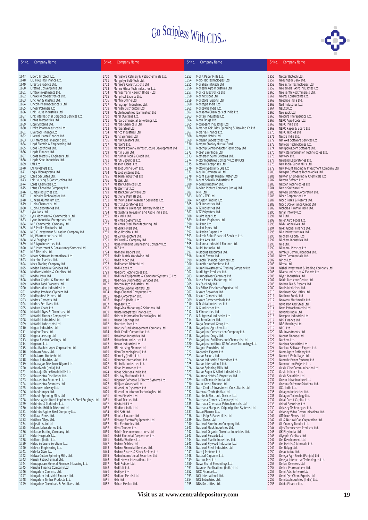

| Sr.No.       | <b>Company Name</b>                                                      | Sr.No.       | <b>Company Name</b>                                                                   | Sr.No.       | <b>Company Name</b>                                                                   | Sr.No.       | <b>Company Name</b>                                                             |
|--------------|--------------------------------------------------------------------------|--------------|---------------------------------------------------------------------------------------|--------------|---------------------------------------------------------------------------------------|--------------|---------------------------------------------------------------------------------|
| 1647         | Libord Infotech Ltd.                                                     | 1750         | Mangalore Refinery & Petrochemicals Ltd.                                              | 1853         | Mohit Paper Mills Ltd.                                                                | 1956         | Nectar Biotech Ltd.                                                             |
| 1648         | LIC Housing Finance Ltd.                                                 | 1751         | Mangalya Soft-Tech Ltd.                                                               | 1854         | Mold-Tek Technologies Ltd                                                             | 1957         | Nedungadi Bank Ltd.                                                             |
| 1649<br>1650 | Lifestyle Fabrics Ltd.<br>Lifetree Convergence Ltd                       | 1752<br>1753 | Manjeera Constructions Ltd                                                            | 1855<br>1856 | Monalisa Infotech Ltd<br>Moneshi Agro Industries Ltd.                                 | 1958         | Neelachal Technologies Ltd.<br>Neelamalai Agro Industries Ltd                   |
| 1651         | Limtex Investments Ltd.                                                  | 1754         | Manna Glass Tech Industries Ltd.<br>Mannesmann Rexroth (India) Ltd                    | 1857         | Monica Electronics Ltd                                                                | 1959<br>1960 | Neelkanth Rockminerals Ltd.                                                     |
| 1652         | Linaks Microelectronics Ltd.                                             | 1755         | Manphool Exports Ltd.                                                                 | 1858         | Monnet Ispat Ltd                                                                      | 1961         | Neeraj Consultants Ltd.                                                         |
| 1653         | Linc Pen & Plastics Ltd.                                                 | 1756         | Mantra Online Ltd                                                                     | 1859         | Monotona Exports Ltd.                                                                 | 1962         | Negolice India Ltd.                                                             |
| 1654         | Lincoln Pharmaceuticals Ltd                                              | 1757         | Manugraph Industries Ltd.                                                             | 1860         | Monotype India Ltd                                                                    | 1963         | Neil Industries Ltd.                                                            |
| 1655         | Linear Polymers Ltd                                                      | 1758         | Manush Distributors Ltd.                                                              | 1861         | Monozyme India Ltd.                                                                   | 1964         | NELCO Ltd.                                                                      |
| 1656<br>1657 | Link House Industries Ltd.<br>Link International Corporate Services Ltd. | 1759<br>1760 | Maple Industries (Laminates) Ltd<br>Maral Overseas Ltd.                               | 1862<br>1863 | Monsanto Chemicals of India Ltd.<br>Montari Industries Ltd.                           | 1965<br>1966 | Neo Sack Ltd<br>Neocure Therapeutics Ltd.                                       |
| 1658         | Lintas Mercantiles Ltd                                                   | 1761         | Marda Commercial & Holdings Ltd.                                                      | 1864         | Moon Drugs Ltd.                                                                       | 1967         | NEPC Agro Foods Ltd.                                                            |
| 1659         | Lippi Systems Ltd.                                                       | 1762         | Mardia Chemicals Ltd.                                                                 | 1865         | Moonbeam Industries Ltd                                                               | 1968         | NEPC India Ltd                                                                  |
| 1660         | Litaka Pharmaceuticals Ltd.                                              | 1763         | Mardia Steel Ltd                                                                      | 1866         | Morarjee Gokuldas Spinning & Weaving Co.Ltd.                                          | 1969         | NEPC Paper & Board Ltd                                                          |
| 1661         | Liverpool Finance Ltd                                                    | 1764         | Marico Industries Ltd.                                                                | 1867         | Morarka Finance Ltd.                                                                  | 1970         | NEPC Textiles Ltd                                                               |
| 1662<br>1663 | Livewell Home Finance Ltd.<br>LKP Merchant Financing Ltd.                | 1765         | Maris Spinners Ltd                                                                    | 1868         | Morepen Hotels Ltd.                                                                   | 1971         | Nestle India Ltd.                                                               |
| 1664         | Lloyd Electric & Engineering Ltd                                         | 1766<br>1767 | Market Creators Ltd.<br>Marson's Ltd.                                                 | 1869<br>1870 | Morepen Laboratories Ltd.<br>Morgan Stanley Mutual Fund                               | 1972<br>1973 | Net Axis Software Services Ltd.<br>Netlogic Technologies Ltd.                   |
| 1665         | Lloyd Rockfibres Ltd.                                                    | 1768         | Marson's Power & Infrastructure Development Ltd                                       | 1871         | Moschip Semiconductor Technology Ltd                                                  | 1974         | Netripples.com Software Ltd.                                                    |
| 1666         | Lloyds Finance Ltd.                                                      | 1769         | Martin Burn Ltd.                                                                      | 1872         | Moser Baer India Ltd.                                                                 | 1975         | Netvista Information Technologies Ltd.                                          |
| 1667         | Lloyds Metals & Engineers Ltd.                                           | 1770         | Marudhar Food & Credit Ltd.                                                           | 1873         | Motherson Sumi Systems Ltd.                                                           | 1976         | Network Ltd.                                                                    |
| 1668         | Lloyds Steel Industries Ltd.                                             | 1771         | Maruti Securities Ltd.                                                                | 1874         | Motor Industries Company Ltd (MICO)                                                   | 1977         | Neuland Laboratories Ltd.                                                       |
| 1669<br>1670 | LML Ltd.<br>LN Polyesters Ltd.                                           | 1772<br>1773 | Mascon Global Ltd.                                                                    | 1875<br>1876 | Motorol Enterprises Ltd.<br>Motorol Speciality Oils Ltd                               | 1978<br>1979 | New India Sugar Mills Ltd.                                                      |
| 1671         | Logix Microsystems Ltd.                                                  | 1774         | Mascot Online.Com Ltd.<br>Mascot Systems Ltd.                                         | 1877         | Moulin Commercial Ltd                                                                 | 1980         | New Mount Trading & Investment Company Ltd<br>Newgen Software Technologies Ltd. |
| 1672         | Lohia Securites Ltd.                                                     | 1775         | Maskara Industries Ltd                                                                | 1878         | Mount Everest Mineral Water Ltd.                                                      | 1981         | Newton Engineering & Chemicals Ltd                                              |
| 1673         | Lok Housing & Constructions Ltd.                                         | 1776         | Mastek Ltd.                                                                           | 1879         | Mount Shivalik Industries Ltd.                                                        | 1982         | Nexcen Softech Ltd.                                                             |
| 1674         | Lords Chemicals Ltd.                                                     | 1777         | Master Chemicals Ltd.                                                                 | 1880         | Movilex Irrigation Ltd.                                                               | 1983         | Nexgen Technologies Ltd                                                         |
| 1675         | Lotus Chocolate Company Ltd.                                             | 1778         | Master Trust Ltd.                                                                     | 1881         | Moving Picture Company (India) Ltd.                                                   | 1984         | Nexus Software Ltd.                                                             |
| 1676<br>1677 | Lumax Industries Ltd.<br>Luminaire Technologies Ltd.                     | 1779<br>1780 | Master.Com Software Ltd.<br>Mather & Platt (I) Ltd.                                   | 1882<br>1883 | MRF Ltd.<br>MRO - TEK Ltd.                                                            | 1985<br>1986 | Neyveli Lignite Corporation Ltd.<br>Nicco Corporation Ltd                       |
| 1678         | Lunkad Aluminium Ltd.                                                    | 1781         | Mathew Easow Research Securities Ltd.                                                 | 1884         | Mrugesh Trading Ltd.                                                                  | 1987         | Nicco Parks & Resorts Ltd.                                                      |
| 1679         | Lupin Chemicals Ltd.                                                     | 1782         | Matrix Laboratories Ltd                                                               | 1885         | MSL Industries Ltd                                                                    | 1988         | Nicco Uco Alliance Credit Ltd.                                                  |
| 1680         | Lupin Laboratories Ltd.                                                  | 1783         | Matsushita Lakhanpal Battery India Ltd                                                | 1886         | MTZ Industries Ltd                                                                    | 1989         | Nicholas Piramal India Ltd.                                                     |
| 1681         | Lyka Labs Ltd.                                                           | 1784         | Matsushita Television and Audio India Ltd.                                            | 1887         | MTZ Polyesters Ltd.                                                                   | 1990         | Nihar Infoway Ltd.                                                              |
| 1682         | Lynx Machinery & Commercials Ltd                                         | 1785         | Max India Ltd.                                                                        | 1888         | Mudra Ispat Ltd.                                                                      | 1991         | NIIT Ltd.                                                                       |
| 1683<br>1684 | Lyons Industrial Enterprises Ltd.<br>M B Commercial Company Ltd.         | 1786<br>1787 | Maximaa Systems Ltd.<br>Maximus Steel Manufacturing Ltd                               | 1889<br>1890 | Mukand Engineers Ltd.<br>Mukand Ltd.                                                  | 1992<br>1993 | Nijjer Agro Foods Ltd.<br>Nikhil Adhesives Ltd.                                 |
| 1685         | M B Parikh Finstocks Ltd                                                 | 1788         | Mayank Hotels Ltd.                                                                    | 1891         | Mukat Pipes Ltd.                                                                      | 1994         | Nikki Global Finance Ltd.                                                       |
| 1686         | M C C Investment & Leasing Company Ltd.                                  | 1789         | Mayo Hospitals Ltd.                                                                   | 1892         | Mukerian Papers Ltd.                                                                  | 1995         | Nila Infrastructures Ltd.                                                       |
| 1687         | M J Pharmaceuticals Ltd                                                  | 1790         | Mayur Uniquoters Ltd.                                                                 | 1893         | Mukesh Babu Financial Services Ltd.                                                   | 1996         | Nilchem Capital Ltd                                                             |
| 1688         | M M Forgings Ltd                                                         | 1791         | McDowell & Company Ltd.                                                               | 1894         | Mukta Arts Ltd.                                                                       | 1997         | Nilchem Industries Ltd                                                          |
| 1689         | M P Agro Industries Ltd.                                                 | 1792         | Mcnally Bharat Engineering Company Ltd.                                               | 1895         | Mukunda Industrial Finance Ltd.                                                       | 1998         | Nile Ltd.                                                                       |
| 1690<br>1691 | M P Investment & Consultancy Services Ltd.<br>M P Telelinks Ltd.         | 1793<br>1794 | MCS Ltd.<br>Medhawi Traders Ltd.                                                      | 1896<br>1897 | Multi Arc India Ltd.<br>Multiplus Resources Ltd.                                      | 1999<br>2000 | Nilkamal Plastics Ltd.<br>Nimbus Communications Ltd.                            |
| 1692         | Maars Software International Ltd.                                        | 1795         | Media Matrix Worldwide Ltd                                                            | 1898         | Munjal Showa Ltd.                                                                     | 2001         | Nirav Commercials Ltd.                                                          |
| 1693         | Machino Plastics Ltd.                                                    | 1796         | Media Video Ltd.                                                                      | 1899         | Munoth Financial Services Ltd                                                         | 2002         | Nirlon Ltd.                                                                     |
| 1694         | Mack Trading Company Ltd                                                 | 1797         | Medicamen Biotech Ltd                                                                 | 1900         | Munoth Hire Purchase Ltd                                                              | 2003         | Nirma Ltd                                                                       |
| 1695         | Madan Financial Services Ltd.                                            | 1798         | Medi-Caps Ltd                                                                         | 1901         | Murari Investment & Trading Company Ltd                                               | 2004         | Nishel Investment & Trading Company Ltd.                                        |
| 1696<br>1697 | Madhav Marbles & Granites Ltd.<br>Madhu Intra Ltd.                       | 1799<br>1800 | Medicorp Technologies Ltd.                                                            | 1902<br>1903 | Murli Agro Products Ltd.<br>Murudeshwar Ceramics Ltd                                  | 2005<br>2006 | Nivena Industries & Exports Ltd                                                 |
| 1698         | Madhur Capital & Finance Ltd.                                            | 1801         | Mediline Equipments & Computer Systems (I) Ltd.<br>Medinova Diagnostics Services Ltd. | 1904         | Musk Exports Marketing Ltd.                                                           | 2007         | Niyati Industries Ltd.<br>Noida Medicare Centre Ltd.                            |
| 1699         | Madhur Food Products Ltd.                                                | 1802         | Mefcom Agro Industries Ltd.                                                           | 1905         | My Fair Lady Ltd.                                                                     | 2008         | Norben Tea & Exports Ltd.                                                       |
| 1700         | Madhusudan Industries Ltd.                                               | 1803         | Mefcom Capital Markets Ltd.                                                           | 1906         | My Fellow Fashions (Exports) Ltd.                                                     | 2009         | Norris Medicines Ltd.                                                           |
| 1701         | Madhya Pradesh Glychem Ltd.                                              | 1804         | Mega Channel Computers Ltd.                                                           | 1907         | Mysore Breweries Ltd.                                                                 | 2010         | Northeast Securities Ltd.                                                       |
| 1702<br>1703 | Madhyadesh Papers Ltd                                                    | 1805         | Mega Corporation Ltd.                                                                 | 1908         | Mysore Cements Ltd.                                                                   | 2011         | Northern Foods Ltd<br>Nouveau Multimedia Ltd.                                   |
| 1704         | Madras Cements Ltd.<br>Madras Fertilizers Ltd.                           | 1806<br>1807 | Mega Fin (India) Ltd<br>Megasoft Ltd.                                                 | 1909<br>1910 | Mysore Petrochemicals Ltd.<br>N D Metal Industries Ltd                                | 2012<br>2013 | Nova Iron And Steel Ltd                                                         |
| 1705         | Madura Coats Ltd.                                                        | 1808         | MegaVisa Marketing & Solutions Ltd.                                                   | 1911         | N G Industries Ltd.                                                                   | 2014         | Nova Petrochemicals Ltd.                                                        |
| 1706         | Mafatlal Dyes & Chemicals Ltd                                            | 1809         | Mehta Integrated Finance Ltd.                                                         | 1912         | N K Industries Ltd                                                                    | 2015         | Novartis India Ltd.                                                             |
| 1707         | Mafatlal Finance Company Ltd.                                            | 1810         | Melstar Information Technologies Ltd.                                                 | 1913         | N R Agarwal Industries Ltd.                                                           | 2016         | Novopan Industries Ltd.                                                         |
| 1708         | Mafatlal Industries Ltd.                                                 | 1811         | Menon Bearings Ltd                                                                    | 1914         | Nachmo Knitex Ltd.                                                                    | 2017         | NPR Finance Ltd                                                                 |
| 1709<br>1710 | Mafatlal Lubricants Ltd<br>Magan Industries Ltd.                         | 1812<br>1813 | Mercator Lines Ltd.                                                                   | 1915<br>1916 | Naga Dhunseri Group Ltd.<br>Nagarjuna Agrichem Ltd                                    | 2018<br>2019 | NRB Bearings Ltd.<br>NRC Ltd.                                                   |
| 1711         | Magicut Tools Ltd.                                                       | 1814         | Mercury Fund Management Company Ltd<br>Merit Credit Corporation Ltd.                  | 1917         |                                                                                       | 2020         | NRI Investments Ltd                                                             |
| 1712         | Magma Leasing Ltd.                                                       | 1815         | Metalman Industries Ltd.                                                              | 1918         | Nagarjuna Construction Company Ltd.<br>Nagarjuna Drugs Ltd.                           | 2021         | Nucent Finance Ltd                                                              |
| 1713         | Magna Electro Castings Ltd                                               | 1816         | Metrochem Industries Ltd                                                              | 1919         | Nagarjuna Fertilizers and Chemicals Ltd.                                              | 2022         | Nuchem Ltd.                                                                     |
| 1714         | Magnum Ltd.                                                              | 1817         | Mewar Industries Ltd.                                                                 | 1920         | Nagarjuna Institute Of Software Technology Ltd.                                       | 2023         | Nucleus Securities Ltd.                                                         |
| 1715         | Maha Rashtra Apex Corporation Ltd.<br>Mahaan Foods Ltd.                  | 1818         | MFL Housing Finance Ltd.                                                              | 1921         | Nagpur Foundries Ltd.                                                                 | 2024         | Nucleus Software Exports Ltd.                                                   |
| 1716<br>1717 | Mahalaxmi Rubtech Ltd.                                                   | 1819<br>1820 | Micro Technologies (I) Ltd.<br>Microcity (India) Ltd.                                 | 1922<br>1923 | Nagreeka Exports Ltd.<br>Nahar Exports Ltd.                                           | 2025<br>2026 | Numaligarh Refinery Ltd.<br>Numech Emballage Ltd                                |
| 1718         | Mahan Industries Ltd                                                     | 1821         | Microcon International Ltd.                                                           | 1924         | Nahar Industrial Enterprises Ltd.                                                     | 2027         | Numeric Power Systems Ltd                                                       |
| 1719         | Mahanagar Telephone Nigam Ltd.                                           | 1822         | Mid India Industries Ltd.                                                             | 1925         | Nahar International Ltd.                                                              | 2028         | Numero Uno Projects Ltd.                                                        |
| 1720         | Mahanivesh (India) Ltd                                                   | 1823         | Midas Pharmasec Ltd.                                                                  | 1926         | Nahar Spinning Mills Ltd.                                                             | 2029         | Oasis Cine Communication Ltd                                                    |
| 1721         | Maharaja Shree Umaid Mills Ltd                                           | 1824         | Midas Solutions India Ltd.                                                            | 1927         | Nahar Sugar & Allied Industries Ltd.                                                  | 2030         | Oasis Infotech Ltd.                                                             |
| 1722<br>1723 | Maharashtra Distilleries Ltd.<br>Maharashtra Scooters Ltd.               | 1825         | Mid-day Multimedia Ltd.                                                               | 1928<br>1929 | Nalanda Hotels & Properties Ltd<br>Nalco Chemicals India Ltd                          | 2031         | Oasis Securities Ltd.                                                           |
| 1724         | Maharashtra Seamless Ltd.                                                | 1826<br>1827 | Midpoint Software & Electro Systems Ltd<br>Mihijam Vanaspati Ltd.                     | 1930         | Nalin Lease Finance Ltd.                                                              | 2032<br>2033 | Ocean Infrastructure Ltd.<br>Oceana Software Solutions Ltd.                     |
| 1725         | Mahaveer Infoway Ltd.                                                    | 1828         | Millennium Cybertech Ltd                                                              | 1931         | Nam Credit & Investment Consultants Ltd                                               | 2034         | OCL India Ltd.                                                                  |
| 1726         | Mahavir Impex Ltd.                                                       | 1829         | Millennium Infocom Technologies Ltd.                                                  | 1932         | Namokar Trade (India) Ltd.                                                            | 2035         | Octagon Industries Ltd.                                                         |
| 1727         | Mahavir Spinning Mills Ltd.                                              | 1830         | Milton Plastics Ltd.                                                                  | 1933         | Namtech Electronic Devices Ltd.                                                       | 2036         | Octagon Technology Ltd.                                                         |
| 1728         | Mahesh Agricultural Implements & Steel Forgings Ltd                      | 1831         | Minaxi Textiles Ltd.                                                                  | 1934         | Narmada Cements Company Ltd.                                                          | 2037         | Octal Credit Capital Ltd.                                                       |
| 1729<br>1730 | Mahindra & Mahindra Ltd.<br>Mahindra British Telelcom Ltd.               | 1832<br>1833 | Minda HUF Ltd.                                                                        | 1935<br>1936 | Narmada Chematur Petrochemicals Ltd.<br>Narmada Macplast Drip Irrigation Systems Ltd. | 2038<br>2039 | Odissi Securities Ltd.<br>Odyssey Technologies Ltd.                             |
| 1731         | Mahindra Ugine Steel Company Ltd.                                        | 1834         | Mindteck India Ltd.<br>Mini Soft Ltd.                                                 | 1937         | Natco Pharma Ltd.                                                                     | 2040         | Odyssey Video Communications Ltd.                                               |
| 1732         | Maikaal Fibres Ltd.                                                      | 1835         | Minolta Finance Ltd                                                                   | 1938         | Nath Pulp & Paper Mills Ltd.                                                          | 2041         | Offshore Finvest Ltd.                                                           |
| 1733         | Maithan Alloys Ltd.                                                      | 1836         | Mintage Electro Equipments Ltd.                                                       | 1939         | Nath Seeds Ltd.                                                                       | 2042         | Oil & Natural Gas Corporation Ltd.                                              |
| 1734         | Majestic Auto Ltd.                                                       | 1837         | Mirc Electronics Ltd.                                                                 | 1940         | National Aluminium Company Ltd.                                                       | 2043         | Oil Country Tubular Ltd.                                                        |
| 1735         | Makers Laboratories Ltd.                                                 | 1838         | Mirza Tanners Ltd.                                                                    | 1941         | National Flask Industries Ltd.                                                        | 2044         | Ojas Technochem Products Ltd.                                                   |
| 1736<br>1737 | Malabar Trading Company Ltd.<br>Malar Hospitals Ltd.                     | 1839<br>1840 | Mobile Telecommunications Ltd.                                                        | 1942<br>1943 | National Organic Chemical Industries Ltd.<br>National Peroxide Ltd                    | 2045<br>2046 | OK Play India Ltd.<br>Olympia Capitals Ltd                                      |
| 1738         | Mallcom (India) Ltd.                                                     | 1841         | Model Financial Corporation Ltd.<br>Modella Woollens Ltd.                             | 1944         | National Plastic Industries Ltd.                                                      | 2047         | Om Development Ltd.                                                             |
| 1739         | Malos Software Solutions Ltd.                                            | 1842         | Modern Dairies Ltd.                                                                   | 1945         | National Plywood Industries Ltd.                                                      | 2048         | Om Metals & Minerals Ltd.                                                       |
| 1740         | Malvica Engineering Ltd.                                                 | 1843         | Modern Financial Services Ltd.                                                        | 1946         | National Steel Industries Ltd.                                                        | 2049         | Om Udyog Ltd.                                                                   |
| 1741         | Malvika Steel Ltd                                                        | 1844         | Modern Shares & Stock Brokers Ltd                                                     | 1947         | Natraj Proteins Ltd                                                                   | 2050         | Omax Autos Ltd.                                                                 |
| 1742         | Malwa Cotton Spinning Mills Ltd.                                         | 1845         | Modex International Securities Ltd                                                    | 1948         | Natural Capsules Ltd.                                                                 | 2051         | Omega Ag - Seeds (Punjab) Ltd                                                   |
| 1743<br>1744 | Manali Petrochemical Ltd.<br>Manappuram General Finance & Leasing Ltd.   | 1846<br>1847 | Modi Hoover International Ltd<br>Modi Rubber Ltd.                                     | 1949<br>1950 | Naturo-Pest Ltd.<br>Nava Bharat Ferro Alloys Ltd.                                     | 2052<br>2053 | Omega Interactive Technologies Ltd.<br>Omkar Overseas Ltd                       |
| 1745         | Mandya Finance Company Ltd.                                              | 1848         | Modiluft Ltd.                                                                         | 1951         | Navneet Publications (India) Ltd.                                                     | 2054         | Omkar Pharmachem Ltd.                                                           |
| 1746         | Mangalam Cements Ltd.                                                    | 1849         | Modipon Ltd.                                                                          | 1952         | <b>NCC Finance Ltd</b>                                                                | 2055         | Omni Ax's Software Ltd.                                                         |
| 1747         | Mangalam Industrial Finance Ltd.                                         | 1850         | Modison Metals Ltd.                                                                   | 1953         | NCJ International Ltd.                                                                | 2056         | Omni Dye-Chem Exports Ltd                                                       |
| 1748         | Mangalam Timber Products Ltd.                                            | 1851         | Moh Ltd                                                                               | 1954         | NCL Industries Ltd.                                                                   | 2057         | Omnitex Industries (India) Ltd.                                                 |
| 1749         | Mangalore Chemicals & Fertilizers Ltd.                                   | 1852         | Mohan Meakin Ltd.                                                                     | 1955         | NDA Securities Ltd.                                                                   | 2058         | Onida Finance Ltd.                                                              |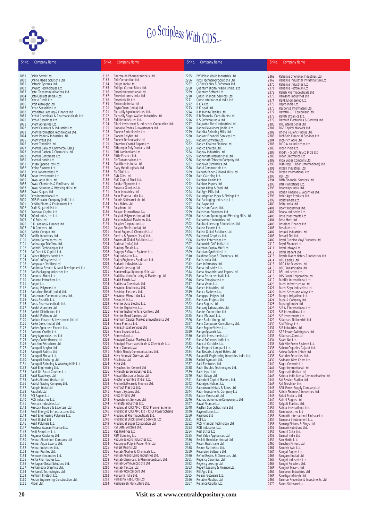

| Sr.No.       | <b>Company Name</b>                                                      | Sr.No.       | Company Name                                                                                 | Sr.No.       | <b>Company Name</b>                                                    | Sr.No.       | <b>Company Name</b>                                                 |
|--------------|--------------------------------------------------------------------------|--------------|----------------------------------------------------------------------------------------------|--------------|------------------------------------------------------------------------|--------------|---------------------------------------------------------------------|
|              |                                                                          |              |                                                                                              |              |                                                                        |              |                                                                     |
| 2059         | Onida Savak Ltd                                                          | 2162         | Pharmaids Pharmaceuticals Ltd                                                                | 2265         | PVD Plast Mould Industries Ltd.                                        | 2368         | Reliance Chemotex Industries Ltd.                                   |
| 2060<br>2061 | Online Media Solutions Ltd.<br>Ontrack Systems Ltd.                      | 2163<br>2164 | Phil Corporation Ltd.<br>Philips India Ltd.                                                  | 2266<br>2267 | Pyxis Technology Solutions Ltd.<br>Q-Flex Cables & Softwares Ltd.      | 2369<br>2370 | Reliance Industrial Infrastructure Ltd.<br>Reliance Industries Ltd. |
| 2062         | Onward Technologies Ltd.                                                 | 2165         | Phillips Carbon Black Ltd.                                                                   | 2268         | Quantum Digital Vision (India) Ltd                                     | 2371         | Reliance Petroleum Ltd                                              |
| 2063         | Optel Telecommunications Ltd.                                            | 2166<br>2167 | Phoenix International Ltd.                                                                   | 2269<br>2270 | Quantum Softech Ltd.<br>Quest Financial Services Ltd.                  | 2372         | Relish Pharmaceuticals Ltd                                          |
| 2064<br>2065 | Opto Circuits (India) Ltd<br>Oracle Credit Ltd.                          | 2168         | Phoenix Lamps India Ltd<br>Phoenix Mills Ltd.                                                | 2271         | Quest International India Ltd                                          | 2373<br>2374 | Remsons Industries Ltd<br>REPL Engineering Ltd.                     |
| 2066         | Orbit Airfreight Ltd.                                                    | 2169         | Photoquip India Ltd.                                                                         | 2272         | R C A Ltd.                                                             | 2375         | Repro India Ltd.                                                    |
| 2067<br>2068 | Orcap Securities Ltd.<br>Orchaltree Leasing & Finance Ltd                | 2170<br>2171 | Phyto Chem (India) Ltd.<br>Piccadily Agro Industries Ltd.                                    | 2273<br>2274 | R K Ispat Ltd.<br>R M Mohite Textiles Ltd.                             | 2376<br>2377 | Response Informaters Ltd.<br>Revathi - CP Equipment Ltd.            |
| 2069         | Orchid Chemicals & Pharmaceuticals Ltd.                                  | 2172         | Piccadily Sugar & Allied Industries Ltd.                                                     | 2275         | R R Financial Consultants Ltd.                                         | 2378         | Revati Organics Ltd.                                                |
| 2070         | Orchid Securities Ltd.                                                   | 2173         | Pidilite Industries Ltd.                                                                     | 2276         | R S Software India Ltd.                                                | 2379         | Rexnord Electronics & Controls Ltd.                                 |
| 2071<br>2072 | Orient Abrasives Ltd.<br>Orient Ceramics & Industries Ltd                | 2174<br>2175 | Pilani Investment & Industries Corporation Ltd.<br>Pinnacle Trades & Investments Ltd.        | 2277<br>2278 | Raajratna Metal Industries Ltd.<br>Radhe Developers (India) Ltd        | 2380<br>2381 | RFL International Ltd<br>RGF Capital Markets Ltd                    |
| 2073         | Orient Information Technologies Ltd.                                     | 2176         | Pioneer Embroideries Ltd.                                                                    | 2279         | Radhika Spinning Mills Ltd.                                            | 2382         | Rhone Poulenc (India) Ltd.                                          |
| 2074         | Orient Paper & Industries Ltd.                                           | 2177         | Pioneer Polyfeb Ltd.                                                                         | 2280         | Radiant Financial Services Ltd.                                        | 2383         | Richfield Financial Services Ltd                                    |
| 2075<br>2076 | Orient Press Ltd<br>Orient Tradelink Ltd                                 | 2178<br>2179 | Pioneer Technoparks Ltd<br>Pitamber Coated Papers Ltd.                                       | 2281<br>2282 | Radiant Software Ltd.<br>Radico Khaitan Finance Ltd                    | 2384<br>2385 | Richirich Agro Ltd.<br>RICO Auto Industries Ltd.                    |
| 2077         | Oriental Bank of Commerce (OBC)                                          | 2180         | Pithampur Poly Products Ltd                                                                  | 2283         | Radico Khaitan Ltd.                                                    | 2386         | Ricoh India Ltd.                                                    |
| 2078<br>2079 | Oriental Carbon & Chemicals Ltd<br>Oriental Containers Ltd.              | 2181<br>2182 | Pitti Laminations Ltd<br>Pittie Finance Ltd.                                                 | 2284<br>2285 | Raghav Industries Ltd                                                  | 2387         | Riddhi - Siddhi Gluco Biols Ltd                                     |
| 2080         | Oriental Hotels Ltd.                                                     | 2183         | Pix Transmissions Ltd.                                                                       | 2286         | Raghunath International Ltd<br>Raghunath Tobacco Company Ltd.          | 2388<br>2389 | Rider Electronics Ltd<br>Riga Sugar Company Ltd.                    |
| 2081         | Orissa Sponge Iron Ltd.                                                  | 2184         | Plastiblends India Ltd.                                                                      | 2287         | Raghuvir Synthetics Ltd                                                | 2390         | Rishiroop Rubber (International) Ltd                                |
| 2082<br>2083 | Orpine Systems Ltd.<br>Ortin Laboratories Ltd.                           | 2185<br>2186 | Platy Metallurgicals Ltd<br>PMCSoft Ltd.                                                     | 2288<br>2289 | Rahul Commercials Ltd.<br>Raigarh Paper & Board Mills Ltd.             | 2391<br>2392 | Ritesh Industries Ltd.<br>Ritesh International Ltd                  |
| 2084         | Oscar Investments Ltd                                                    | 2187         | PNB Gilts Ltd.                                                                               | 2290         | Rain Calcining Ltd.                                                    | 2393         | RLF Ltd.                                                            |
| 2085         | Oswal Agro Mills Ltd.                                                    | 2188         | PNC Capital Trust Ltd.                                                                       | 2291         | Rainbow Denim Ltd.                                                     | 2394         | <b>RMB Financial Services Ltd</b>                                   |
| 2086<br>2087 | Oswal Chemicals & Fertilisers Ltd.<br>Oswal Spinning & Weaving Mills Ltd | 2189<br>2190 | Poddar Pigments Ltd.<br>Pokarna Granites Ltd.                                                | 2292<br>2293 | Rainbow Papers Ltd<br>Raipur Alloys & Steel Ltd.                       | 2395<br>2396 | RNT Plantations Ltd.<br>Roadways India Ltd.                         |
| 2088         | Oswal Sugars Ltd                                                         | 2191         | Polar Industries Ltd                                                                         | 2294         | Raj Agro Mills Ltd.                                                    | 2397         | Rohan Finance & Securities Ltd.                                     |
| 2089         | Otco International Ltd.                                                  | 2192         | Polar Pharma India Ltd                                                                       | 2295         | Raj Irrigation Pipes & Fittings Ltd                                    | 2398         | Rohit Agro Products Ltd                                             |
| 2090<br>2091 | OTIS Elevator Company (India) Ltd.<br>Otoklin Plants & Equipments Ltd    | 2193<br>2194 | Polaris Software Lab Ltd.<br>Polo Hotels Ltd.                                                | 2296<br>2297 | Raj Packaging Industries Ltd.<br>Raj Rayon Ltd                         | 2399<br>2400 | Rollatainers Ltd.<br>Rolta India Ltd.                               |
| 2092         | Oudh Sugar Mills Ltd.                                                    | 2195         | Polychem Ltd                                                                                 | 2298         | Rajasthan Gases Ltd.                                                   | 2401         | Roofit Industries Ltd.                                              |
| 2093         | Overseas Capital Ltd                                                     | 2196<br>2197 | Polycon International Ltd<br>Polylink Polymers (India) Ltd.                                  | 2299<br>2300 | Rajasthan Polyesters Ltd.                                              | 2402<br>2403 | Roopa Industries Ltd                                                |
| 2094<br>2095 | Oxford Industries Ltd.<br>P G Foils Ltd.                                 | 2198         | Polymechplast Machines Ltd.                                                                  | 2301         | Rajasthan Spinning and Weaving Mills Ltd.<br>Raidarshan Industries Ltd | 2404         | Rose Investments Ltd<br>Rose Merc Ltd.                              |
| 2096         | P K Leasing & Finance Ltd.                                               | 2199         | Polyplex Corporation Ltd                                                                     | 2302         | Rajdhani Leasing & Industries Ltd                                      | 2405         | Roselabs Finance Ltd                                                |
| 2097<br>2098 | P R Cements Ltd<br>Pacific Cotspin Ltd.                                  | 2200<br>2201 | Polypro Fibrils (India) Ltd<br>Ponni Sugars & Chemicals Ltd.                                 | 2303<br>2304 | Rajesh Exports Ltd.<br>Rajesh Global Solutions Ltd.                    | 2406<br>2407 | Roselabs Ltd<br>Rossell Industries Ltd                              |
| 2099         | Pacific Industries Ltd.                                                  | 2202         | Porritts & Spencer (Asia) Ltd.                                                               | 2305         | Rajeswari Graphics Ltd.                                                | 2408         | Rossell Tea Ltd.                                                    |
| 2100         | Padam Cotton Yarns Ltd                                                   | 2203         | Powersoft Global Solutions Ltd.                                                              | 2306         | Rajnish Enterprises Ltd.                                               | 2409         | Royal Cushion Vinyl Products Ltd.                                   |
| 2101<br>2102 | Padmalaya Telefilms Ltd.<br>Padmini Technologies Ltd                     | 2204<br>2205 | Prabhat (India) Ltd<br>Pradeep Metals Ltd.                                                   | 2307<br>2308 | Rajpurohit GMP India Ltd.<br>Rajratan Gustav Wolf Ltd                  | 2410<br>2411 | Royal Finance Ltd.<br>Royal Infosys Ltd                             |
| 2103         | Pal Credit & Capital Ltd.                                                | 2206         | Pragnya Software Systems Ltd.                                                                | 2309         | Rajratan Synthetics Ltd.                                               | 2412         | Royal Traders Ltd                                                   |
| 2104         | Palace Heights Hotels Ltd.                                               | 2207<br>2208 | Praj Industries Ltd.                                                                         | 2310<br>2311 | Rajshree Sugar & Chemicals Ltd.<br>Rallis India Ltd.                   | 2413<br>2414 | Royale Manor Hotels & Industries Ltd                                |
| 2105<br>2106 | Palsoft Infosystems Ltd<br>Pampasar Distillery Ltd.                      | 2209         | Prajay Engineers Syndicate Ltd.<br>Prakash Industries Ltd                                    | 2312         | Ram Informates Ltd.                                                    | 2415         | RPG Cables Ltd.<br>RPG Life Sciences Ltd.                           |
| 2107         | Pan India Resorts & Land Development Ltd                                 | 2210         | Prakash Leasing Ltd.                                                                         | 2313         | Rama Industries Ltd.                                                   | 2416         | RPG Transmission Ltd                                                |
| 2108<br>2109 | Pan Packaging Industries Ltd<br>Panacea Biotec Ltd                       | 2211<br>2212 | Pranavaditya Spinning Mills Ltd<br>Pratibha Manufacturing & Marketing Ltd                    | 2314<br>2315 | Rama Newsprint and Papers Ltd.<br>Rama Petrochemicals Ltd.             | 2417<br>2418 | RSL Industries Ltd.<br>RTS Power Corporation Ltd.                   |
| 2110         | Panama Petrochem Ltd.                                                    | 2213         | Pratik Panels Ltd                                                                            | 2316         | Rama Phosphates Ltd.                                                   | 2419         | Rubfila International Ltd                                           |
| 2111         | Panjon Ltd                                                               | 2214<br>2215 | Pratiksha Chemicals Ltd                                                                      | 2317         | Rama Vision Ltd                                                        | 2420         | Ruchi Infrastructure Ltd                                            |
| 2112<br>2113 | Pankaj Polymers Ltd<br>Pantaloon Retail (India) Ltd.                     | 2216         | Precision Electronics Ltd.<br>Precision Fastners Ltd.                                        | 2318<br>2319 | Ramco Industries Ltd.<br>Ramco Systems Ltd.                            | 2421<br>2422 | Ruchi Soya Industries Ltd.<br>Ruchi Strips and Alloys Ltd.          |
| 2114         | Paramount Communications Ltd.                                            | 2217         | Precision Wires India Ltd                                                                    | 2320         | Ramgopal Polytex Ltd                                                   | 2423         | Rungta Irrigations Ltd.                                             |
| 2115<br>2116 | Paras Petrofils Ltd.<br>Paras Pharmaceuticals Ltd.                       | 2218<br>2219 | Precot Mills Ltd.<br>Premier Auto Electric Ltd.                                              | 2321<br>2322 | Ramsons Projects Ltd<br>Rana Sugars Ltd                                | 2424<br>2425 | Rupa & Company Ltd.<br>Rupangi Impex Ltd                            |
| 2117         | Parekh Aluminex Ltd.                                                     | 2220         | Premier Explosives Ltd.                                                                      | 2323         | Ranbaxy Laboratories Ltd.                                              | 2426         | S B & T International Ltd                                           |
| 2118<br>2119 | Parekh Distributors Ltd<br>Parekh Platinum Ltd.                          | 2221<br>2222 | Premier Instruments & Controls Ltd.<br>Premier Road Carriers Ltd.                            | 2324<br>2325 | Rander Corporation Ltd<br>Rane (Madras) Ltd.                           | 2427         | S B International Ltd                                               |
| 2120         | Pariwar Finance & Investment (I) Ltd                                     | 2223         | Premium Capital Market & Investments Ltd                                                     | 2326         | Rane Brake Lining Ltd.                                                 | 2428<br>2429 | S E Investments Ltd.<br>S Kumars Nationwide Ltd                     |
| 2121         | Parke Davis (India) Ltd.                                                 | 2224         | Prima Plastics Ltd.                                                                          | 2327         | Rane Computers Consultancy Ltd.                                        | 2430         | S M Telesys Ltd.                                                    |
| 2122<br>2123 | Parker Agrochem Exports Ltd.<br>Parnami Credits Ltd.                     | 2225<br>2226 | Primax Fiscal Services Ltd<br>Prime Securities Ltd.                                          | 2328<br>2329 | Rane Engine Valves Ltd.<br>Range Apparels Ltd.                         | 2431<br>2432 | S R Industries Ltd.<br>S&S Power Switchgears Ltd                    |
| 2124         | Parry Agro Industries Ltd                                                | 2227         | Primesoftex Ltd.                                                                             | 2330         | Ranklin Investments Ltd.                                               | 2433         | S.Kumars.Com Ltd.                                                   |
| 2125<br>2126 | Parrys Confectionery Ltd.<br>Paschim Petrochem Ltd.                      | 2228<br>2229 | Principal Capital Markets Ltd<br>Principal Pharmaceuticals & Chemicals Ltd.                  | 2331<br>2332 | Ransi Softwares India Ltd.<br>Rapicut Carbides Ltd.                    | 2434<br>2435 | Saarc Net Ltd.<br>Sab Nife Power Systems Ltd.                       |
| 2127         | Pasupati Acrylon Ltd                                                     | 2230         | Prism Cement Ltd.                                                                            | 2333         | Ras Propack Lamipack Ltd.                                              | 2436         | Sabero Organics Gujarat Ltd.                                        |
| 2128         | Pasupati Fabrics Ltd                                                     | 2231<br>2232 | Pritish Nandy Communications Ltd.<br>Privy Financial Services Ltd                            | 2334         | Ras Resorts & Apart Hotels Ltd                                         | 2437         | Saboo Sodium Chloro Ltd.                                            |
| 2129<br>2130 | Pasupati Fincap Ltd.<br>Pasupati Seohung Ltd                             | 2233         | Prix India Ltd.                                                                              | 2335<br>2336 | Rasandik Engineering Industries India Ltd.<br>Rashel Agrotech Ltd.     | 2438<br>2439 | Sachdev Securities Ltd.<br>Sadhana Nitro Chem Ltd.                  |
| 2131         | Pasupati Spinning & Weaving Mills Ltd                                    | 2234         | Priya Ltd.                                                                                   | 2337         | Rasi Electrodes Ltd                                                    | 2440         | Sagar Cements Ltd                                                   |
| 2132<br>2133 | Patel Engineering Ltd.<br>Patel On-Board Couriers Ltd.                   | 2235<br>2236 | Priyadarshini Cement Ltd<br>Priyansh Saree Industries Ltd.                                   | 2338<br>2339 | Rathi Graphic Technologies Ltd.<br>Rathi Ispat Ltd                     | 2441<br>2442 | Sagar International Ltd.<br>Sagarsoft (India) Ltd.                  |
| 2134         | Patel Roadways Ltd                                                       | 2237         | Procal Electronics India Ltd.                                                                | 2340         | Rathi Udyog Ltd.                                                       | 2443         | Sahara India Media Communication Ltd                                |
| 2135         | Patels Airtemp (India) Ltd.<br>Patriot Trading Company Ltd.              | 2238<br>2239 | Procter & Gamble (India) Ltd.<br>Proline Software & Finance Ltd.                             | 2341<br>2342 | Ratnabali Capital Markets Ltd.<br>Ratnajyot Metcast Ltd                | 2444         | Sai Service Station Ltd                                             |
| 2136<br>2137 | Patspin India Ltd                                                        | 2240         | Promact Plastics Ltd.                                                                        | 2343         | Ratnamani Metals & Tubes Ltd                                           | 2445<br>2446 | Sai Television Ltd.<br>SAIL Power Supply Company Ltd.               |
| 2138         | Paushak Ltd                                                              | 2241         | Prosoft Systems Ltd.                                                                         | 2344         | Ratni Investments Company Ltd                                          | 2447         | Sainik Finance & Industries Ltd.                                    |
| 2139<br>2140 | PCI Papers Ltd.<br>PCS Industries Ltd.                                   | 2242<br>2243 | Proto Infosys Ltd<br>Provestment Services Ltd                                                | 2345<br>2346 | Rattan Vanaspati Ltd.<br>Raunag Automotive Components Ltd              | 2448<br>2449 | Saket Projects Ltd<br>Sakthi Sugars Ltd.                            |
| 2141         | Peacock Industries Ltd.                                                  | 2244         | Prraneta Industries Ltd.                                                                     | 2347         | Raval Finance Ltd                                                      | 2450         | Salguti Plastics Ltd.                                               |
| 2142         | Peacock Traders & Exporters Ltd                                          | 2245<br>2246 | Prudential ICICI AMC - ICICI Premier Scheme<br>Prudential ICICI AMC Ltd - ICICI Power Scheme | 2348<br>2349 | RayBan Sun Optics India Ltd                                            | 2451         | Salora International Ltd.                                           |
| 2143<br>2144 | Pearl Energy & Infrastructures Ltd.<br>Pearl Engineering Polymers Ltd.   | 2247         | Prudential Pharmaceuticals Ltd.                                                              | 2350         | Raymed Labs Ltd.<br>Raymond Ltd                                        | 2452<br>2453 | Sam Industries Ltd<br>Samarth International Finlease Ltd.           |
| 2145         | Pearl Global Ltd                                                         | 2248         | Prudential Stock Broking Services Ltd                                                        | 2351         | <b>RCF Ltd</b>                                                         | 2454         | Sameera Infotainment Ltd.                                           |
| 2146<br>2147 | Pearl Polymers Ltd.<br>Peerless Abasan Finance Ltd.                      | 2249<br>2250 | Prudential Sugar Corporation Ltd<br>PSI Data Systems Ltd.                                    | 2352<br>2353 | RCS Financial Technology Ltd.<br>RDB Industries Ltd.                   | 2455<br>2456 | Samkrg Pistons & Rings Ltd.<br>Sampre Nutritions Ltd.               |
| 2148         | Peeti Securities Ltd.                                                    | 2251         | PSL Holdings Ltd                                                                             | 2354         | Real Strips Ltd                                                        | 2457         | Samtel Color Ltd.                                                   |
| 2149         | Pegasus Castalloy Ltd.                                                   | 2252         | PSM Spinning Ltd                                                                             | 2355         | Real Value Appliances Ltd.                                             | 2458         | Samtel India Ltd                                                    |
| 2150<br>2151 | Pennar Aluminium Company Ltd.<br>Pennar Aqua Exports Ltd.                | 2253<br>2254 | Pudumjee Agro Industries Ltd.<br>Pudumjee Pulp & Paper Mills Ltd.                            | 2356<br>2357 | Reckitt Benckiser (India) Ltd.<br>Recon Healthcare Ltd                 | 2459<br>2460 | San Media Ltd.<br>Sanchay Finvest Ltd                               |
| 2152         | Pennar Industries Ltd.                                                   | 2255         | Puneet Resins Ltd                                                                            | 2358         | Recron Synthetics Ltd.                                                 | 2461         | Sandvik Asia Ltd.                                                   |
| 2153         | Pennar Profiles Ltd.                                                     | 2256<br>2257 | Punjab Alkalies & Chemicals Ltd.<br>Punjab Anand Lamp Industries Ltd.                        | 2359         | Recursion Software Ltd.                                                | 2462         | Sangal Papers Ltd.                                                  |
| 2154<br>2155 | Penrose Mercantiles Ltd.<br>Penta Pharmadyes Ltd.                        | 2258         | Punjab Chemicals & Pharmaceuticals Ltd.                                                      | 2360<br>2361 | Refnol Resins & Chemicals Ltd.<br>Regency Ceramics Ltd.                | 2463<br>2464 | Sangam (India) Ltd<br>Sanghi Industries Ltd                         |
| 2156         | Pentagon Global Solutions Ltd.                                           | 2259         | Punjab Communications Ltd.                                                                   | 2362         | Regency Leasing Ltd.                                                   | 2465         | Sanghi Polysters Ltd.                                               |
| 2157<br>2158 | Pentamedia Graphics Ltd.<br>Pentasoft Technologies Ltd.                  | 2260<br>2261 | Punjab Tractors Ltd.<br>Punjab Woolcombers Ltd                                               | 2363<br>2364 | Regent Leasing & Finance Ltd.<br>REI Agro Ltd.                         | 2466<br>2467 | Sanghvi Movers Ltd.<br>Sanjeevni Industries Ltd                     |
| 2159         | Pentium Infotech Ltd.                                                    | 2262         | Punsumi India Ltd.                                                                           | 2365         | Relaxo Footwears Ltd.                                                  | 2468         | Sankhya Infotech Ltd.                                               |
| 2160<br>2161 | Petron Engineering Construction Ltd.<br>Pfizer Ltd.                      | 2263<br>2264 | Purbasha Resources Ltd<br>Pushpanjali Floriculture Ltd.                                      | 2366<br>2367 | Reliable Plastics Ltd.<br>Reliance Capital Ltd.                        | 2469<br>2470 | Sanmar Properties & Investments Ltd<br>Sanra Software Ltd           |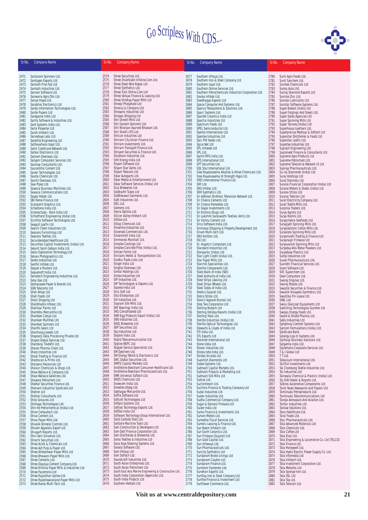

| Sr.No.       | <b>Company Name</b>                                                              | Sr.No.       | <b>Company Name</b>                                                      | Sr.No.       | <b>Company Name</b>                                                              | Sr.No.       | <b>Company Name</b>                                                        |
|--------------|----------------------------------------------------------------------------------|--------------|--------------------------------------------------------------------------|--------------|----------------------------------------------------------------------------------|--------------|----------------------------------------------------------------------------|
| 2471         | Santaram Spinners Ltd.                                                           | 2574         | Shree Securities Ltd.                                                    | 2677         | Southern Infosys Ltd.                                                            | 2780         | Sunil Agro Foods Ltd.                                                      |
| 2472<br>2473 | Santogen Exports Ltd<br>Santosh Fine Fab Ltd                                     | 2575<br>2576 | Shree Shubhlabh Infoline.Com Ltd.<br>Shree Steel Wire Ropes Ltd          | 2678<br>2679 | Southern Iron & Steel Company Ltd<br>Southern Ispat Ltd.                         | 2781<br>2782 | Sunil Synchem Ltd.<br>Sunitee Chemicals Ltd                                |
| 2474         | Santosh Industries Ltd.                                                          | 2577         | Shree Synthetics Ltd.                                                    | 2680         | Southern Online Services Ltd.                                                    | 2783         | Sunku Auto Ltd.                                                            |
| 2475         | Sanvan Software Ltd.                                                             | 2578<br>2579 | Shree Tulsi Online.Com Ltd<br>Shree Vatsaa Finance & Leasing Ltd.        | 2681         | Southern Petrochemicals Industrial Corporation Ltd.                              | 2784         | Sunraj Diamond Exports Ltd<br>Sunrise Zinc Ltd.                            |
| 2476<br>2477 | Sanwaria Agro Oils Ltd.<br>Sanyo Impex Ltd.                                      | 2580         | Shree Vindhya Paper Mills Ltd                                            | 2682<br>2683 | Sovika Infotek Ltd.<br>Sowbhagya Exports Ltd                                     | 2785<br>2786 | Sunstar Lubricants Ltd                                                     |
| 2478         | Sarabhai Electronics Ltd                                                         | 2581         | Shreeji Phosphate Ltd                                                    | 2684         | Space Computer And Systems Ltd.                                                  | 2787         | Sunstar Software Systems Ltd.                                              |
| 2479<br>2480 | Sarda Information Technologies Ltd.                                              | 2582<br>2583 | Shrenuj & Company Ltd.<br>Shreyans Industries Ltd                        | 2685<br>2686 | Spanco Telesystems & Solutions Ltd.<br>Sparc Systems Ltd.                        | 2788<br>2789 | Super Bakers (India) Ltd                                                   |
| 2481         | Sarda Papers Ltd<br>Saregama India Ltd                                           | 2584         | Shreyas Shipping Ltd                                                     | 2687         | Spartek Ceramics India Ltd                                                       | 2790         | Super Forgings And Steels Ltd.<br>Super Sales Agencies Ltd                 |
| 2482         | Sarita Software & Industries Ltd.                                                | 2585         | Shri Dinesh Mills Ltd                                                    | 2688         | Spectra Industries Ltd.                                                          | 2791         | Super Spinning Mills Ltd                                                   |
| 2483<br>2484 | Sark Systems India Ltd.<br>Sarla Polyester Ltd                                   | 2586<br>2587 | Shri Ganesh Spinners Ltd.<br>Shri Niranjan Ayurved Bhawan Ltd.           | 2689<br>2690 | Spectrum Foods Ltd.<br>SPEL Semiconductor Ltd.                                   | 2792<br>2793 | Super Tannery (India) Ltd<br>Superhouse Leathers Ltd.                      |
| 2485         | Saroh Infotech Ltd.                                                              | 2588         | Shri Shakti LPG Ltd.                                                     | 2691         | Spenta International Ltd.                                                        | 2794         | Superprecise Medisys & Softech Ltd                                         |
| 2486         | Sarvodaya Labs Ltd.                                                              | 2589<br>2590 | Shricon Industries Ltd<br>Shriram City Union Finance Ltd.                | 2692         | Spentex Industries Ltd                                                           | 2795         | Superstar Distilleries & Foods Ltd                                         |
| 2487<br>2488 | Satellite Engineering Ltd<br>Sathavahana Ispat Ltd.                              | 2591         | Shriram Investments Ltd.                                                 | 2693<br>2694 | Spic PHI Seeds Ltd.<br>Spice Net Ltd                                             | 2796<br>2797 | Superstar Leafin Ltd.<br>Supertex Industries Ltd.                          |
| 2489         | Satin Creditcare Network Ltd.                                                    | 2592         | Shriram Transport Finance Ltd.                                           | 2695         | SPL Infoweb Ltd                                                                  | 2798         | Suprajit Engineering Ltd.                                                  |
| 2490<br>2491 | Satkar Electronics Ltd<br>Satnam Overseas Ltd.                                   | 2593<br>2594 | Shriyam Securities & Finance Ltd.<br>Shubham Industries Ltd.             | 2696<br>2697 | SPL Ltd.<br>Sprint RPG India Ltd.                                                | 2799<br>2800 | Supraneet Finance & Consultants Ltd<br>Supreme Agro Products Ltd           |
| 2492         | Satyam Computers Services Ltd.                                                   | 2595         | SHV Energy India Ltd                                                     | 2698         | SPS International Ltd.                                                           | 2801         | Supreme Petrochem Ltd.                                                     |
| 2493         | Saumya Consultants Ltd.                                                          | 2596<br>2597 | Shyam Software Ltd.<br>Shyam Star Gems Ltd.                              | 2699         | SPT Securities Ltd.                                                              | 2802         | Supreme Telecom & Network (I) Ltd                                          |
| 2494<br>2495 | Saurashtra Cement Ltd.<br>Saven Technologies Ltd.                                | 2598         | Shyam Telecom Ltd.                                                       | 2700<br>2701 | SQL Star International Ltd.<br>Sree Rayalaseema Alkalies & Allied Chemicals Ltd. | 2803<br>2804 | Supriya Pharmaceuticals Ltd.<br>Su-raj Diamonds (India) Ltd.               |
| 2496         | Savita Chemicals Ltd                                                             | 2599         | Sibar Autoparts Ltd.                                                     | 2702         | Sree Rayalaseema Hi Strength Hypo Ltd.                                           | 2805         | Suraj Holdings Ltd                                                         |
| 2497<br>2498 | Savitri Overseas Ltd.<br>Saw Pipes Ltd.                                          | 2600<br>2601 | Sibar Media & Entertainment Ltd.<br>Sibar Software Services (India) Ltd  | 2703<br>2704 | SREI International Finance Ltd.<br>SRF Ltd.                                      | 2806<br>2807 | Suraj Stainless Ltd<br>Surana Financial Corporation (India) Ltd            |
| 2499         | Sawaca Business Machines Ltd.                                                    | 2602         | Sica Breweries Ltd.                                                      | 2705         | SRG Infotec Ltd.                                                                 | 2808         | Surana Metals & Steels (India) Ltd                                         |
| 2500         | Sawaca Communications Ltd.                                                       | 2603         | Siddharth Tubes Ltd                                                      | 2706         | SRH Synthetics Ltd.                                                              | 2809         | Surana Strips Ltd.                                                         |
| 2501<br>2502 | Sayaji Hotels Ltd<br>SBI Home Finance Ltd                                        | 2604<br>2605 | Siddheswari Garments Ltd.<br>Sidh Industries Ltd.                        | 2707<br>2708 | Sri Adhikari Brothers Television Network Ltd.<br>Sri Chakra Cements Ltd          | 2810<br>2811 | Surana Telecom Ltd.<br>Surat Electricity Company Ltd.                      |
| 2503         | Scanpoint Graphics Ltd.                                                          | 2606         | SIEL Ltd.                                                                | 2709         | Sri Chakra Remedies Ltd.                                                         | 2812         | Surat Textile Mills Ltd.                                                   |
| 2504         | Schablona India Ltd.                                                             | 2607         | Siemens Ltd.                                                             | 2710         | Sri Gopal Investments Ltd.                                                       | 2813         | Surprise Traders Ltd.                                                      |
| 2505<br>2506 | Schenectady - Beck India Ltd<br>Schlafhorst Engineering (India) Ltd.             | 2608<br>2609 | Sierra Optima Ltd.<br>Silicon Valley Infotech Ltd                        | 2711<br>2712 | Sri Krishna Drugs Ltd.<br>Sri Lakshmi Saraswathi Textiles (Arni) Ltd             | 2814<br>2815 | Surya Agroils Ltd<br>Surya Roshni Ltd.                                     |
| 2507         | Scintilla Software Technologies Ltd.                                             | 2610         | Silktex Ltd.                                                             | 2713         | Sri Vishnu Cement Ltd.                                                           | 2816         | Suryachakra Seafoods Ltd.                                                  |
| 2508         | Seagull Leafin Ltd.                                                              | 2611<br>2612 | Siltap Chemicals Ltd.<br>Silverline Industries Ltd.                      | 2714         | Srico Software India Ltd.                                                        | 2817         | Suryajyoti Spinning Mills Ltd.                                             |
| 2509<br>2510 | Search Chem Industries Ltd.<br>Seasons Furnishings Ltd                           | 2613         | Silveroak Commercials Ltd.                                               | 2715<br>2716 | Srinivasa Shipping & Property Development Ltd.<br>Sriven Multi-tech Ltd.         | 2818<br>2819 | Suryalakshmi Cotton Mills Ltd.<br>Suryalata Spinning Mills Ltd.            |
| 2511         | Seasons Textiles Ltd.                                                            | 2614         | Silversmith India Ltd.                                                   | 2717         | SRU Knitters Ltd.                                                                | 2820         | Suryamukhi Trading & Finance Ltd                                           |
| 2512<br>2513 | Secunderabad Healthcare Ltd.<br>Securities Capital Investments (India) Ltd       | 2615<br>2616 | Simmonds Marshall Ltd.<br>Simplex Castings Ltd                           | 2718<br>2719 | SSI Ltd.<br>St. Angelo's Computers Ltd.                                          | 2821<br>2822 | Suryanagri Finlease Ltd<br>Suryavanshi Spinning Mills Ltd                  |
| 2514         | Sekurit Saint-Gobain India Ltd.                                                  | 2617         | Simplex Concrete Piles (India) Ltd.                                      | 2720         | Standard Industries Ltd.                                                         | 2823         | Suryoday Allo-Metal Powders Ltd.                                           |
| 2515         | Selan Exploration Technology Ltd.                                                | 2618         | Simran Farms Ltd                                                         | 2721         | Stanpacks (India) Ltd                                                            | 2824         | Suryodaya Plastics Ltd                                                     |
| 2516<br>2517 | Selvas Photographics Ltd.<br>Senbo Industries Ltd.                               | 2619<br>2620 | Sinclairs Hotels & Transportation Ltd.<br>Sindhu Trade Links Ltd         | 2722<br>2723 | Star Light Credit (India) Ltd.<br>Star Paper Mills Ltd.                          | 2825<br>2826 | Sutlej Industries Ltd<br>Suven Pharmaceuticals Ltd.                        |
| 2518         | Senthil Infotek Ltd.                                                             | 2621         | Singer India Ltd                                                         | 2724         | Starchik Specialities Ltd.                                                       | 2827         | Suvridhi Financial Services Ltd.                                           |
| 2519         | Sequel e-Routers Ltd.                                                            | 2622<br>2623 | Singhal Overseas Ltd<br>Sinhal Holdings Ltd                              | 2725         | Starlite Components Ltd.                                                         | 2828         | Svam Software Ltd.                                                         |
| 2520<br>2521 | Sequelsoft India Ltd.<br>Servotech Engineering Industries Ltd.                   | 2624         | Sintex Industries Ltd                                                    | 2726<br>2727 | State Bank of India (SBI)<br>Steel Authority of India Ltd.                       | 2829<br>2830 | SVC Superchem Ltd.<br>Swal Computers Ltd.                                  |
| 2522         | Sesa Goa Ltd.                                                                    | 2625         | SIP Industries Ltd.                                                      | 2728         | Steel Strips Leasing Ltd.                                                        | 2831         | Swaraj Engines Ltd.                                                        |
| 2523<br>2524 | Seshasayee Paper & Boards Ltd.<br><b>SGN Telecoms Ltd</b>                        | 2626<br>2627 | SIP Technologies & Exports Ltd.<br>Siporex India Ltd                     | 2729<br>2730 | Steel Strips Wheels Ltd.<br>Steel Tubes of India Ltd.                            | 2832<br>2833 | Swaraj Mazda Ltd.<br>Swastik Securities & Finance Ltd.                     |
| 2525         | Shah Alloys Ltd                                                                  | 2628         | Siris Soft Ltd.                                                          | 2731         | Steelco Gujarat Ltd.                                                             | 2834         | Swastik Vinayaka Synthetics Ltd.                                           |
| 2526         | Shah Foods Ltd                                                                   | 2629         | Sita Enterprises Ltd                                                     | 2732         | Stelco Strips Ltd.                                                               | 2835         | Swastika Fin-Lease Ltd.                                                    |
| 2527<br>2528 | Shahi Shipping Ltd<br>Shalibhadra Infosec Ltd.                                   | 2630<br>2631 | SIV Industries Ltd.<br>Siyaram Silk Mills Ltd.                           | 2733<br>2734 | Stencil Apparel Brands Ltd.<br>Step Two Corporation Ltd                          | 2836<br>2837 | SWIL Ltd.<br>Swiss Glascoat Equipments Ltd                                 |
| 2529         | Shalimar Paints Ltd                                                              | 2632         | SKF Bearings India Ltd.                                                  | 2735         | Sterling Biotech Ltd                                                             | 2838         | Switching Technologies Gunther Ltd                                         |
| 2530         | Shambhu Mercantile Ltd.                                                          | 2633         | SKG Consolidated Ltd                                                     | 2736         | Sterling Holiday Resorts (India) Ltd.                                            | 2839         | Swojas Energy Foods Ltd.                                                   |
| 2531<br>2532 | Shamken Cotsyn Ltd.<br>Shamken Multifab Ltd.                                     | 2634<br>2635 | SKM Egg Products Export (India) Ltd<br>SKN Industries Ltd.               | 2737<br>2738 | Sterling Tools Ltd.<br>Sterlite Industries (India) Ltd.                          | 2840<br>2841 | Sword & Shield Pharma Ltd.<br>Sybly Industries Ltd                         |
| 2533         | Shamken Spinners Ltd                                                             | 2636         | SKOL Breweries Ltd.                                                      | 2739         | Sterlite Optical Technologies Ltd.                                               | 2842         | Symphony Comfort Systems Ltd.                                              |
| 2534         | Shanthi Gears Ltd                                                                | 2637<br>2638 | SKP Securities Ltd.<br>Sky Industries Ltd                                | 2740<br>2741 | Stewarts & Lloyds of India Ltd.<br>STI India I td.                               | 2843<br>2844 | Syncom Formulations (India) Ltd.<br>Syndicate Bank                         |
| 2535<br>2536 | Shantivijay Jewels Ltd<br>Shapoorji Data Processing Private Ltd                  | 2639         | Skylark India Ltd.                                                       | 2742         | <b>STL Exports Ltd</b>                                                           | 2845         | Synergy Log-In Systems Ltd.                                                |
| 2537         | Shapre Global Services Ltd.                                                      | 2640         | Skylid Telecommunication Ltd.                                            | 2743         | Stocknet International Ltd                                                       | 2846         | Synfosys Business Solutions Ltd.                                           |
| 2538<br>2539 | Shardaraj Tradefin Ltd.<br>Sharon Pharma Chem Ltd.                               | 2641<br>2642 | Skyline NEPC Ltd.<br>Skypak Service Specialists Ltd                      | 2744<br>2745 | Stone India Ltd.<br>Stovec Industries Ltd                                        | 2847<br>2848 | Syngenta India Ltd.<br>Systematix Corporate Services Ltd.                  |
| 2540         | Sharp Industries Ltd.                                                            | 2643         | SM Dyechem Ltd.                                                          | 2746         | Stresscrete India Ltd.                                                           | 2849         | T & I Global Ltd                                                           |
| 2541         | Sharp Trading & Finance Ltd                                                      | 2644         | SM Energy Teknik & Electronics Ltd<br>SMC Global Securities Ltd.         | 2747         | Strides Arcolab Ltd                                                              | 2850         | T T Ltd.                                                                   |
| 2542<br>2543 | Sharpscan & Prints Ltd.<br>Sharyans Resources Ltd                                | 2645<br>2646 | SMIFS Capital Markets Ltd.                                               | 2748<br>2749 | Suashish Diamonds Ltd<br>Subex Systems Ltd.                                      | 2851<br>2852 | Tabassum International Ltd.<br>Tactfull Investments Ltd                    |
| 2544         | Shasun Chemicals & Drugs Ltd.                                                    | 2647         | Smithkline Beecham Consumer Healthcare Ltd.                              | 2750         | Subhash Capital Markets Ltd.                                                     | 2853         | Tai Chonbang Textile Industries Ltd.                                       |
| 2545         | Shaw Wallace & Company Ltd.                                                      | 2648<br>2649 | Smithkline Beecham Pharmaceuticals Ltd.<br>SMR Universal Softech Ltd.    | 2751         | Subhash Projects & Marketing Ltd.                                                | 2854         | Tai Industries Ltd                                                         |
| 2546<br>2547 | Shaw Wallace Gelatines Ltd.<br>Shayona Petrochem Ltd.                            | 2650         | SMZS Chemicals Ltd                                                       | 2752<br>2753 | Subhash Silk Mills Ltd<br>Subros Ltd.                                            | 2855<br>2856 | Tainwala Chemical & Plastics (India) Ltd.<br>Taj GVK Hotels & Resorts Ltd. |
| 2548         | Sheetal Securities Finance Ltd.                                                  | 2651         | Snowcem India Ltd.                                                       | 2754         | Suchinfotech Ltd.                                                                | 2857         | Talbros Automotive Components Ltd                                          |
| 2549<br>2550 | Shervani Industrial Syndicate Ltd<br>Shetron Ltd                                 | 2652<br>2653 | Snowtex Udyog Ltd.<br>Sobhagya Mercantile Ltd.                           | 2755<br>2756 | Suchitra Finance & Trading Company Ltd<br>Sudal Industries Ltd                   | 2858<br>2859 | Tamil Nadu Newsprint and Papers Ltd.<br>Tamilnadu Petroproducts Ltd.       |
| 2551         | Shikhar Consultants Ltd                                                          | 2654         | Soffia Software Ltd.                                                     | 2757         | Sudev Industries Ltd.                                                            | 2860         | Tamilnadu Telecommunications Ltd                                           |
| 2552         | Shilp Gravures Ltd                                                               | 2655         | Softcell Technologies Ltd                                                | 2758         | Sudha Commercial Company Ltd.                                                    | 2861         | Taneja Aerospace And Aviation Ltd.                                         |
| 2553<br>2554 | Shimoga Technologies Ltd.<br>Shin Ho Petrochemical (India) Ltd                   | 2656<br>2657 | Softpro Systems Ltd.<br>Softrak Technology Exports Ltd.                  | 2759<br>2760 | Sugal & Damani Finlease Ltd<br>Sulzer India Ltd                                  | 2862<br>2863 | Tanfac Industries Ltd<br>Tanlaw Solutions Ltd.                             |
| 2555         | Shine Computech Ltd.                                                             | 2658         | SoftSol India Ltd                                                        | 2761         | Suma Finance & Investments Ltd.                                                  | 2864         | Tanu Healthcare Ltd.                                                       |
| 2556         | Shiva Cement Ltd.                                                                | 2659         | Software Technology Group International Ltd.<br>Solid Carbide Tools Ltd. | 2762         | Suman Motels Ltd.                                                                | 2865         | Tarai Foods Ltd.                                                           |
| 2557<br>2558 | Shiva Paper Mills Ltd.<br>Shivalik Bimetal Controls Ltd.                         | 2660<br>2661 | Solitaire Machine Tools Ltd.                                             | 2763<br>2764 | Sumedha Fiscal Services Ltd.<br>Sumeru Leasing & Finance Ltd.                    | 2866<br>2867 | Tasc Pharmaceuticals Ltd.<br>Tata Advanced Materials Ltd                   |
| 2559         | Shivam Apperals Export Ltd                                                       | 2662         | Som Construction & Developers Ltd                                        | 2765         | Sun Beam Infotech Ltd.                                                           | 2868         | Tata Chemicals Ltd.                                                        |
| 2560         | Shivgarh Resorts Ltd.                                                            | 2663<br>2664 | Som Datt Finance Corporation Ltd.<br>Som Distilleries & Breweries Ltd.   | 2766<br>2767 | Sun Earth Ceramics Ltd.                                                          | 2869         | Tata Coffee Ltd                                                            |
| 2561<br>2562 | Shiv-Vani Universal Ltd.<br>Shrachi Securities Ltd.                              | 2665         | Soma Textiles & Industries Ltd                                           | 2768         | Sun Finlease (Gujarat) Ltd<br>Sun Gold Capital Ltd.                              | 2870<br>2871 | Tata Elxsi Ltd.<br>Tata Engineering & Locomotive Co. Ltd (TELCO)           |
| 2563         | Shree Acids & Chemicals Ltd                                                      | 2666         | Sona Koyo Steering Systems Ltd.                                          | 2769         | Sun Infoways Ltd.                                                                | 2872         | Tata Finance Ltd.                                                          |
| 2564<br>2565 | Shree Ajit Pulp & Paper Ltd.<br>Shree Ambeshwar Paper Mills Ltd                  | 2667<br>2668 | Sonata Software Ltd.<br>Soni Infosys Ltd                                 | 2770<br>2771 | Sun Pharmaceuticals Ltd.<br>Suncity Synthetics Ltd                               | 2873<br>2874 | Tata Honeywell Ltd.<br>Tata Hydro Electric Power Supply Co. Ltd.           |
| 2566         | Shree Bhawani Paper Mills Ltd.                                                   | 2669         | Soni Softech Ltd.                                                        | 2772         | Sundaram Brake Linings Ltd                                                       | 2875         | Tata Infomedia Ltd                                                         |
| 2567         | Shree Cements Ltd.                                                               | 2670         | Soundcraft Industries Ltd.                                               | 2773         | Sundaram Clayton Ltd.                                                            | 2876         | Tata Infotech Ltd.                                                         |
| 2568<br>2569 | Shree Digvijay Cement Company Ltd.<br>Shree Krishna Paper Mills & Industries Ltd | 2671<br>2672 | South Asian Enterprises Ltd.<br>South Asian Petrochem Ltd.               | 2774<br>2775 | Sundaram Finance Ltd.<br>Sundram Fasteners Ltd.                                  | 2877<br>2878 | Tata Investment Corporation Ltd.<br>Tata Metaliks Ltd                      |
| 2570         | Shree Pacetronix Ltd                                                             | 2673         | South East Asia Marine Engineering & Construction Ltd.                   | 2776         | Sunehari Exports Ltd.                                                            | 2879         | Tata Sponge Iron Ltd.                                                      |
| 2571         | Shree Rajasthan Syntex Ltd                                                       | 2674         | South India Corporation (Agencies) Ltd.                                  | 2777         | Sunflag Iron & Steel Company Ltd.                                                | 2880         | Tata SSL Ltd                                                               |
| 2572<br>2573 | Shree Rajeshwaranand Paper Mills Ltd<br>Shree Rama Multi-Tech Ltd.               | 2675<br>2676 | South India Projects Ltd.<br>Southern Herbals Ltd                        | 2778<br>2779 | Sunflex Finance & Investment Ltd<br>Sunflower Commerce Ltd.                      | 2881<br>2882 | Tata Tea Ltd.<br>Tata Telecom Ltd.                                         |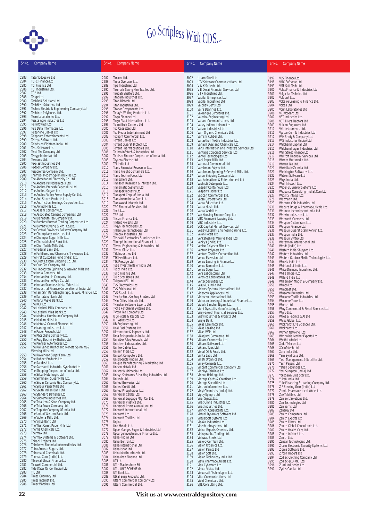

| Sr.No.       | <b>Company Name</b>                                                                      | Sr.No.       | <b>Company Name</b>                                                            | Sr.No.       | <b>Company Name</b>                                                       | Sr.No.       | <b>Company Name</b>                                                    |
|--------------|------------------------------------------------------------------------------------------|--------------|--------------------------------------------------------------------------------|--------------|---------------------------------------------------------------------------|--------------|------------------------------------------------------------------------|
|              | Tata Yodogawa Ltd                                                                        |              |                                                                                |              |                                                                           |              |                                                                        |
| 2883<br>2884 | <b>TCFC Finance Ltd</b>                                                                  | 2987<br>2988 | Timken Ltd.<br>Tinna Overseas Ltd.                                             | 3092<br>3093 | Uttam Steel Ltd.<br>UTV Software Communications Ltd.                      | 3197<br>3198 | VLS Finance Ltd.<br>VMC Software Ltd.                                  |
| 2885<br>2886 | <b>TCI Finance Ltd</b><br>TCI Industries Ltd.                                            | 2989<br>2990 | Tips Industries Ltd<br>Tirumala Seung Han Textiles Ltd.                        | 3094         | V & K Softech Ltd.                                                        | 3199         | VMF Soft Tech Ltd.                                                     |
| 2887         | TCP Ltd.                                                                                 | 2991         | Tirupati Shelters Ltd.                                                         | 3095<br>3096 | V B Desai Financial Services Ltd.<br>VIP Industries Ltd.                  | 3200<br>3201 | Volex Finance & Industries Ltd<br>Volga Air Technics Ltd               |
| 2888<br>2889 | Teage Ltd.<br>TechDNA Solutions Ltd.                                                     | 2992<br>2993 | Titagarh Industries Ltd.<br>Titan Biotech Ltd                                  | 3097<br>3098 | Vadilal Enterprises Ltd<br>Vadilal Industries Ltd                         | 3202<br>3203 | Volplast Ltd.<br>Voltaire Leasing & Finance Ltd.                       |
| 2890         | <b>TechNest Solutions Ltd</b>                                                            | 2994         | Titan Industries Ltd.                                                          | 3099         | Vaibhav Gems Ltd.                                                         | 3204         | Voltas Ltd.                                                            |
| 2891<br>2892 | Techno Electric & Engineering Company Ltd.<br>Techtran Polylenses Ltd.                   | 2995<br>2996 | Titanor Components Ltd.<br>Today's Writing Products Ltd.                       | 3100<br>3101 | Vajra Bearings Ltd.<br>Vakrangee Softwares Ltd.                           | 3205<br>3206 | Vorin Laboratories Ltd<br>VR Woodart Ltd.                              |
| 2893         | Teem Laboratories Ltd.                                                                   | 2997         | Tokyo Finance Ltd                                                              | 3102         | Valecha Engineering Ltd.                                                  | 3207         | VST Industries Ltd.                                                    |
| 2894<br>2895 | Teesta Agro Industries Ltd<br>Tej Infoways Ltd.                                          | 2998<br>2999 | Tokyo Plast International Ltd.<br>Tolani Bulk Carriers Ltd                     | 3103<br>3104 | Valiant Communications Ltd.<br>Valley Indiana Leisure Ltd.                | 3208<br>3209 | VST Tillers Tractors Ltd<br>Vulcan Engineers Ltd                       |
| 2896         | Tele Data Informaters Ltd.                                                               | 3000         | <b>Top Cassettes Ltd</b>                                                       | 3105         | Valson Industries Ltd.                                                    | 3210         | VXL Instruments Ltd.                                                   |
| 2897<br>2898 | Telephone Cables Ltd<br>Telephoto Entertainments Ltd.                                    | 3001<br>3002 | Top Media Entertainment Ltd<br>Toplight Commercial Ltd.                        | 3106<br>3107 | Vam Organic Chemicals Ltd.<br>Vamshi Rubber Ltd.                          | 3211<br>3212 | Vyapar.Com & Industries Ltd<br>W H Brady & Company Ltd.                |
| 2899<br>2900 | Telesys Software Ltd.<br>Television Eighteen India Ltd.                                  | 3003<br>3004 | Torrent Cables Ltd<br>Torrent Gujarat Biotech Ltd                              | 3108         | Vanasthali Textile Industries Ltd.<br>Vanavil Dyes and Chemicals Ltd.     | 3213         | W S Industries (India) Ltd                                             |
| 2901         | Tera Software Ltd.                                                                       | 3005         | Torrent Pharmaceuticals Ltd.                                                   | 3109<br>3110 | Vans Information and Investers Services Ltd.                              | 3214<br>3215 | Walchand Capital Ltd<br>Walchandnagar Industries Ltd.                  |
| 2902<br>2903 | Terai Tea Company Ltd<br>Terrygold (India) Ltd.                                          | 3006<br>3007 | Toubro Infotech & Industries Ltd.<br>Tourism Finance Corporation of India Ltd. | 3111<br>3112 | Vantage Corporate Services Ltd<br>Vantel Technologies Ltd.                | 3216<br>3217 | Wall Street Finance Ltd<br>Wallfort Financial Services Ltd.            |
| 2904         | Texmaco Ltd.                                                                             | 3008         | Toyama Electric Ltd                                                            | 3113         | Vapi Paper Mills Ltd                                                      | 3218         | Warner Multimedia Ltd.                                                 |
| 2905<br>2906 | Texplast Industries Ltd<br>Textool Company Ltd.                                          | 3009<br>3010 | TPI India Ltd<br>Trans Financial Resources Ltd.                                | 3114<br>3115 | Varanasi Commercial Ltd<br>Vardhman Polytex Ltd.                          | 3219<br>3220 | Warren Tea Ltd.<br>Wartsila NSD India Ltd.                             |
| 2907         | Tezpore Tea Company Ltd.                                                                 | 3011         | Trans Freight Containers Ltd.                                                  | 3116         | Vardhman Spinning & General Mills Ltd.                                    | 3221         | Washington Softwares Ltd.                                              |
| 2908<br>2909 | Thambbi Modern Spinning Mills Ltd<br>The Ahmedabad Electricity Co. Ltd.                  | 3012<br>3013 | Trans Techno Foods Ltd.<br>Transchem Ltd.                                      | 3117<br>3118 | Varun Shipping Company Ltd.<br>Vas Animations & Entertainment Ltd         | 3222<br>3223 | Watson Software Ltd<br>Ways India Ltd.                                 |
| 2910<br>2911 | The Andhra Petrochemicals Ltd.<br>The Andhra Pradesh Paper Mills Ltd.                    | 3014         | Transcon Research & Infotech Ltd.                                              | 3119         | Vashisti Detergents Ltd.                                                  | 3224         | Weal Infotech Ltd.                                                     |
| 2912         | The Andhra Sugars Ltd                                                                    | 3015<br>3016 | Transmatic Systems Ltd.<br>Transpek Industry Ltd.                              | 3120<br>3121 | Vasparr Containeurs Ltd<br>Vasparr Fischer Ltd                            | 3225<br>3226 | Webel-SL Energy Systems Ltd<br>Webpulse Consulting (India).Com Ltd     |
| 2913<br>2914 | The Andhra Valley Power Supply Co. Ltd.<br>The Anil Starch Products Ltd.                 | 3017<br>3018 | Transport Corp. of India Ltd<br>Transtream India.Com Ltd.                      | 3122<br>3123 | Vatican Commercial Ltd.                                                   | 3227<br>3228 | Websity Infosys Ltd.<br>Weizmann Ltd.                                  |
| 2915         | The Antifriction Bearings Corporation Ltd.                                               | 3019         | Transworld Infotech Ltd.                                                       | 3124         | Vatsa Corporations Ltd<br>Vatsa Education Ltd.                            | 3229         | Welcome Coir Industries Ltd.                                           |
| 2916<br>2917 | The Arvind Mills Ltd.<br>The Assam Company Ltd.                                          | 3020<br>3021 | TRC Financial Services Ltd<br>Trent Ltd.                                       | 3125<br>3126 | Vatsa Music Ltd.<br>Vatsa World Ltd.                                      | 3230<br>3231 | Welcure Drugs & Pharmaceuticals Ltd.<br>Wellman Incandescent India Ltd |
| 2918         | The Associated Cement Companies Ltd.                                                     | 3022         | TRF Ltd.                                                                       | 3127         | Vax Housing Finance Corp. Ltd                                             | 3232         | Wellwin Industries Ltd.                                                |
| 2919<br>2920 | The Bishnauth Tea Company Ltd.<br>The Bombay Burmah Trading Corporation Ltd.             | 3023<br>3024 | Tricom Finance Ltd.<br>Trident Projects Ltd.                                   | 3128<br>3129 | VBC Finance & Leasing Ltd.<br>VBC Industries Ltd.                         | 3233<br>3234 | Wellworth Overseas Ltd<br>Welspun Cotton Yarn Ltd.                     |
| 2921         | The Bombay Dyeing & Mfg. Co.Ltd.                                                         | 3025         | Trigyn Technologies Ltd                                                        | 3130         | VCK Capital Market Services Ltd.                                          | 3235         | Welspun Finance Ltd.                                                   |
| 2922<br>2923 | The Central Provinces Railway Company Ltd<br>The Champdany Industries Ltd                | 3026<br>3027 | Trillenium Technologies Ltd.<br>Trimbak Industries Ltd.                        | 3131<br>3132 | Veejay Lakshmi Engineering Works Ltd.<br>Velan Hotels Ltd                 | 3236<br>3237 | Welspun Gujarat Stahl Rohren Ltd.<br>Welspun India Ltd.                |
| 2924         | The Dhampur Sugar Mills Ltd.                                                             | 3028         | Trishakti Electronics & Industries Ltd.                                        | 3133         | Venkateshwar Vanijya India Ltd                                            | 3238         | Welspun Syntex Ltd.                                                    |
| 2925<br>2926 | The Dhanalakshmi Bank Ltd.<br>The Dhar Textile Mills Ltd.                                | 3029<br>3030 | Triumph International Finance Ltd.<br>Triveni Engineering & Industries Ltd     | 3134<br>3135 | Venky's (India) Ltd.<br>Venlon Polyester Film Ltd.                        | 3239<br>3240 | Welterman International Ltd<br>Wendt (India) Ltd                       |
| 2927<br>2928 | The Federal Bank Ltd.<br>The Fertilizers and Chemicals Travancore Ltd.                   | 3031<br>3032 | Triveni Glass Ltd.                                                             | 3136         | Ventron Polymers Ltd.                                                     | 3241         | Western India Shipyard Ltd.                                            |
| 2929         | The First Custodian Fund (India) Ltd.                                                    | 3033         | <b>TSL Industries Ltd</b><br>TTK Healthcare Ltd.                               | 3137<br>3138 | Ventura Textiles Corporation Ltd.<br>Venus Eyevision Ltd.                 | 3242<br>3243 | Western Industries Ltd.<br>Western Outdoor Media Technologies Ltd.     |
| 2930<br>2931 | The Great Eastern Shipping Co. Ltd.<br>The Grob Tea Company Ltd.                         | 3034<br>3035 | TTK Prestige Ltd.<br>Tube Investments of India Ltd.                            | 3139<br>3140 | Venus Leasing & Finance Ltd<br>Venus Remedies Ltd.                        | 3244<br>3245 | Wheels India Ltd                                                       |
| 2932         | The Hindoostan Spinning & Weaving Mills Ltd                                              | 3036         | Tudor India Ltd.                                                               | 3141         | Venus Sugar Ltd.                                                          | 3246         | Whirlpool of India Ltd.<br>White Diamond Industries Ltd.               |
| 2933<br>2934 | The India Cements Ltd.<br>The Indian Hotels Company Ltd.                                 | 3037<br>3038 | Tulip Finance Ltd.<br>Tulip Star Hotels Ltd.                                   | 3142<br>3143 | Vera Laboratories Ltd.<br>Veronica Laboratories Ltd.                      | 3247<br>3248 | Widia (India) Ltd.<br>Willard India Ltd                                |
| 2935         | The Indian Hume Pipe Co. Ltd.                                                            | 3039         | Tulsyan NEC Ltd                                                                | 3144         | Vertex Securities Ltd                                                     | 3249         | Williamson Magor & Company Ltd.                                        |
| 2936<br>2937 | The Indian Seamless Metal Tubes Ltd.<br>The Industrial Finance Corporation of India Ltd. | 3040<br>3041 | TVS Electronics Ltd.<br>TVS Srichakra Ltd.                                     | 3145<br>3146 | Vesuvius India Ltd.<br>Vickers Systems International Ltd                  | 3250<br>3251 | Wimco Ltd.<br>Wimplast Ltd.                                            |
| 2938         | The Jam Shri Ranjitsinghji Spg. & Wvg. Mills Co. Ltd                                     | 3042         | TVS-Suzuki Ltd.                                                                | 3147         | Videocon Appliances Ltd.                                                  | 3252         | Winsome Breweries Ltd.                                                 |
| 2939<br>2940 | The Karnataka Bank Ltd<br>The Karur Vysya Bank Ltd                                       | 3043<br>3044 | Twenty-First Century Printers Ltd<br>Twin Cities Infotech Ltd.                 | 3148<br>3149 | Videocon International Ltd.<br>Videocon Leasing & Industrial Finance Ltd. | 3253<br>3254 | Winsome Textile Industries Ltd.<br>Winsome Yarns Ltd                   |
| 2941<br>2942 | The KCP Ltd<br>The Lakshmi Mills Company Ltd.                                            | 3045<br>3046 | Twinstar Software Exports Ltd.<br>Tyche Peripheral Systems Ltd.                | 3150<br>3151 | Videsh Sanchar Nigam Ltd.                                                 | 3255<br>3256 | Wintac Ltd.                                                            |
| 2943         | The Lakshmi Vilas Bank Ltd                                                               | 3047         | Tyroon Tea Company Ltd.                                                        | 3152         | Vidhi Dyestuffs Manufacturing Ltd<br>Vijay Growth Financial Services Ltd. | 3257         | Winy Commercial & Fiscal Services Ltd.<br>Wipro Ltd.                   |
| 2944<br>2945 | The Madras Aluminium Company Ltd.<br>The Modern Mills Ltd.                               | 3048<br>3049 | U G Hotels & Resorts Ltd<br>U P Asbestos Ltd.                                  | 3153<br>3154 | Vijay Industries & Projects Ltd<br>Vijaya Bank                            | 3258<br>3259 | Wires & Fabrics (SA) Ltd<br>Wisec Global Ltd.                          |
| 2946         | The Motor & General Finance Ltd.                                                         | 3050         | <b>UB Engineering Ltd</b>                                                      | 3155         | Vikas Laminator Ltd.                                                      | 3260         | Wockhardt Life Sciences Ltd.                                           |
| 2947<br>2948 | The Narang Industries Ltd.<br>The Paper Products Ltd.                                    | 3051<br>3052 | Ucal Fuel Systems Ltd.<br>Ultramarine & Pigments Ltd.                          | 3156<br>3157 | Vikas Leasing Ltd.<br>Vikas WSP Ltd.                                      | 3261<br>3262 | Wockhardt Ltd.<br>Women Networks Ltd                                   |
| 2949         | The Phosphate Company Ltd.                                                               | 3053         | Uma Petroproducts India Ltd                                                    | 3158         | Vikasjyoti Commerce Ltd.                                                  | 3263         | Worldwide Leather Exports Ltd                                          |
| 2950<br>2951 | The Prag Bosimi Synthetics Ltd.<br>The Premier Automobiles Ltd.                          | 3054<br>3055 | Uni Abex Alloy Products Ltd.<br>Unichem Laboratories Ltd.                      | 3159<br>3160 | Vikram Commercial Ltd<br>Vikram Software Ltd.                             | 3264<br>3265 | Wyeth Lederle Ltd.<br>Xedd Telecom Ltd                                 |
| 2952         | The Rai Saheb Rekhchand Mohota Spinning &<br>Weaving Mills Ltd                           | 3056<br>3057 | Uniflex Cables Ltd.<br>Unimin India Ltd.                                       | 3161         | Vikrant Tyres Ltd.<br>Vimal Oil & Foods Ltd.                              | 3266         | XO Infotech Ltd.<br>Xpro India Ltd.                                    |
| 2953         | The Ravalgaon Sugar Farm Ltd                                                             | 3058         | Uniport Computers Ltd.                                                         | 3162<br>3163 | Vimta Labs Ltd.                                                           | 3267<br>3268 | Yarn Syndicate Ltd.                                                    |
| 2954<br>2955 | The Rubber Products Ltd<br>The Sandesh Ltd.                                              | 3059<br>3060 | Uniproducts (India) Ltd.<br>Unique Manufacturing & Marketing Ltd               | 3164<br>3165 | Vinati Organics Ltd.<br>Vinay Cements Ltd.                                | 3269<br>3270 | Yash Management & Satellite Ltd.<br>Yash Papers Ltd                    |
| 2956         | The Saraswati Industrial Syndicate Ltd.                                                  | 3061         | Unison Metals Ltd                                                              | 3166         | Vincent Commercial Company Ltd.                                           | 3271         | Yatish Securities Ltd.                                                 |
| 2957<br>2958 | The Shipping Corporation of India Ltd.<br>The Silcal Metallurgic Ltd                     | 3062<br>3063 | Unistar Multimedia Ltd.<br>Unisys Softwares & Holding Industries Ltd.          | 3167<br>3168 | Vindhya Telelinks Ltd.<br>Vindus Holdings Ltd.                            | 3272<br>3273 | Yogi Sungwon (India) Ltd.<br>Yokogawa Blue Star Ltd.                   |
| 2959         | The Simbhaoli Sugar Mills Ltd.<br>The Sirdar Carbonic Gas Company Ltd                    | 3064         | Unitech Ltd.                                                                   | 3169         | Vintage Cards & Creations Ltd.                                            | 3274         | Yuken India Ltd                                                        |
| 2960<br>2961 | The Sirpur Paper Mills Ltd                                                               | 3065<br>3066 | United Breweries Ltd.<br>United Credit Ltd.                                    | 3170<br>3171 | Vintage Securities Ltd.<br>Vintron Informaters Ltd.                       | 3275<br>3276 | Yule Financing & Leasing Company Ltd.<br>Z F Steering Gear (India) Ltd |
| 2962<br>2963 | The South Indian Bank Ltd<br>The Standard Batteries Ltd                                  | 3067<br>3068 | United Phosphorous Ltd.<br>Universal Cables Ltd.                               | 3172<br>3173 | Vinyl Chemicals (India) Ltd.<br>Vippy Spinpro Ltd                         | 3277<br>3278 | Zandu Pharmaceutical Works Ltd.                                        |
| 2964         | The Supreme Industries Ltd.                                                              | 3069         | Universal Luggage Mfg. Co. Ltd.                                                | 3174         | Viral Syntex Ltd.                                                         | 3279         | Zee Telefilms Ltd.<br>Zen Soft Solutions Ltd.                          |
| 2965<br>2966 | The Tata Iron & Steel Company Ltd.<br>The Tata Power Company Ltd.                        | 3070<br>3071 | Universal Plastics Ltd.<br>Universal Prime Aluminium Ltd                       | 3175<br>3176 | Virat Crane Industries Ltd.<br>Virat Industries Ltd.                      | 3280<br>3281 | Zen Technologies Ltd.<br>Zen Yarns Ltd.                                |
| 2967         | The Tinplate Company Of India Ltd                                                        | 3072         | Uniworth International Ltd                                                     | 3177         | Virinchi Consultants Ltd.                                                 | 3282         | Zenergy Ltd                                                            |
| 2968<br>2969 | The United Western Bank Ltd.<br>The Victoria Mills Ltd.                                  | 3073<br>3074 | Uniworth Ltd<br>Uniworth Textiles Ltd                                          | 3178<br>3179 | Virtual Dynamics Software Ltd.<br>VirtualSoft Systems Ltd                 | 3283<br>3284 | Zenith Computers Ltd.<br>Zenith Exports Ltd                            |
| 2970         | The Vysya Bank Ltd.                                                                      | 3075         | Unjha                                                                          | 3180         | Visaka Industries Ltd.                                                    | 3285         | Zenith Fibres Ltd.                                                     |
| 2971<br>2972 | The West Coast Paper Mills Ltd.<br>Themis Chemicals Ltd.                                 | 3076<br>3077 | Uno Metals Ltd.<br>Upper Ganges Sugar & Industries Ltd.                        | 3181<br>3182 | Visesh Infosystems Ltd<br>Vishal Exports Overseas Ltd.                    | 3286<br>3287 | Zenith Global Consultants Ltd.<br>Zenith Health Care Ltd.              |
| 2973<br>2974 | Thermax Ltd.<br>Thermax Systems & Software Ltd.                                          | 3078         | Upsurge Investment & Finance Ltd.                                              | 3183         | Vishvprabha Trading Ltd.                                                  | 3288         | Zenith Infotech Ltd.                                                   |
| 2975         | Thirani Projects Ltd.                                                                    | 3079<br>3080 | Usha (India) Ltd<br>Usha Beltron Ltd.                                          | 3184<br>3185 | Vishwas Steels Ltd.<br>Visie Cyber Tech Ltd.                              | 3289<br>3290 | Zenith Ltd.<br>Zensar Technologies Ltd.                                |
| 2976<br>2977 | Thirdwave Financial Intermediaries Ltd.<br>Thiru Arooran Sugars Ltd.                     | 3081<br>3082 | Usha International Ltd.<br>Usha Ispat Ltd                                      | 3186<br>3187 | Vision Organics Ltd.<br>Vision Paints Ltd                                 | 3291<br>3292 | Zicom Electronic Security Systems Ltd.<br>Zigma Software Ltd.          |
| 2978         | Thirumalai Chemicals Ltd.                                                                | 3083         | Usha Martin Infotech Ltd.                                                      | 3188         | Vision Soft Ltd.                                                          | 3293         | Zircon Traders Ltd                                                     |
| 2979<br>2980 | Thomas Cook (India) Ltd.<br>Tibrewal Global Finance Ltd                                  | 3084<br>3085 | Ushakiran Finance Ltd.<br>UT Ltd.                                              | 3189<br>3190 | Vision Technology India Ltd.<br>Vista Pharmaceuticals Ltd.                | 3294<br>3295 | Zodiac Clothing Company Ltd.<br>Zodiac-JRD-MKJ Ltd.                    |
| 2981         | Tickwell Commercial Ltd.                                                                 | 3086         | UTI - Mastershare 86                                                           | 3191         | Visu Cybertech Ltd.                                                       | 3296         | Zuari Industries Ltd.                                                  |
| 2982<br>2983 | Tide Water Oil Co. (India) Ltd<br>TIL Ltd.                                               | 3087<br>3088 | UTI - UNIT SCHEME 64<br>UTI Bank Ltd.                                          | 3192<br>3193 | Visual Vistas Ltd.<br>Visualsoft Technologies Ltd.                        | 3297         | Zydus Cadila Ltd                                                       |
| 2984         | Times Guaranty Ltd<br>Times Internet Ltd.                                                | 3089         | Utkal Soap Products Ltd.                                                       | 3194         | Vital Communications Ltd.                                                 |              |                                                                        |
| 2985<br>2986 | Timex Watches Ltd.                                                                       | 3090<br>3091 | Uttam Commercial Company Ltd.<br>Uttam Commercial Ltd.                         | 3195<br>3196 | Vivid Chemicals Ltd.<br>VJIL Consulting Ltd.                              |              |                                                                        |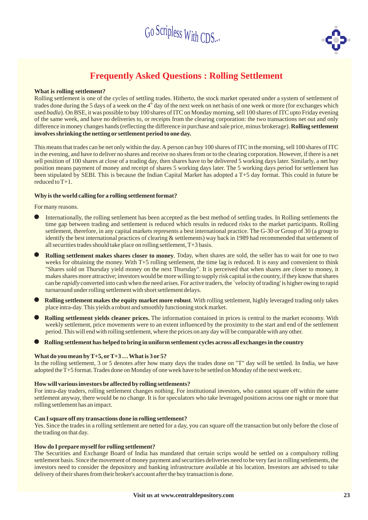

# **Frequently Asked Questions : Rolling Settlement**

#### **What is rolling settlement?**

difference in money changes hands (reflecting the difference in purchase and sale price, minus brokerage). **Rolling settlement involves shrinking the netting or settlement period to one day.** Rolling settlement is one of the cycles of settling trades. Hitherto, the stock market operated under a system of settlement of trades done during the 5 days of a week on the 4<sup>th</sup> day of the next week on net basis of one week or more (for exchanges which used badla). On BSE, it was possible to buy 100 shares of ITC on Monday morning, sell 100 shares of ITC upto Friday evening of the same week, and have no deliveries to, or receipts from the clearing corporation: the two transactions net out and only

This means that trades can be net only within the day.A person can buy 100 shares of ITC in the morning, sell 100 shares of ITC in the evening, and have to deliver no shares and receive no shares from or to the clearing corporation. However, if there is a net sell position of 100 shares at close of a trading day, then shares have to be delivered 5 working days later. Similarly, a net buy position means payment of money and receipt of shares 5 working days later. The 5 working days period for settlement has been stipulated by SEBI. This is because the Indian Capital Market has adopted a T+5 day format. This could in future be reduced to T+1.

#### **Why is the world calling for a rolling settlement format?**

For many reasons.<br>
International

- Internationally, the rolling settlement has been accepted as the best method of settling trades. In Rolling settlements the time gap between trading and settlement is reduced which results in reduced risks to the market participants. Rolling settlement, therefore, in any capital markets represents a best international practice. The G-30 or Group of 30 (a group to identify the best international practices of clearing & settlements) way back in 1989 had recommended that settlement of all securities trades should take place on rolling settlement, T+3 basis.
- **Rolling settlement makes shares closer to money** Today, when shares are sold, the seller has to wait for one to two *.* weeks for obtaining the money. With T+5 rolling settlement, the time lag is reduced. It is easy and convenient to think "Shares sold on Thursday yield money on the next Thursday". It is perceived that when shares are closer to money, it makes shares more attractive; investors would be more willing to supply risk capital in the country, if they know that shares can be *rapidly* converted into cash when the need arises. For active traders, the `velocity of trading' is higher owing to rapid turnaround under rolling settlement with short settlement delays. |<br>| |<br>|
- Rolling settlement makes the equity market more robust. With rolling settlement, highly leveraged trading only takes place intra-day. This yields a robust and smoothly functioning stock market. |<br>|
- **Rolling settlement yields cleaner prices.** The information contained in prices is central to the market economy. With weekly settlement, price movements were to an extent influenced by the proximity to the start and end of the settlement period. This will end with rolling settlement, where the prices on any day will be comparable with any other.
- **Rolling settlement has helped to bring in uniform settlement cycles across all exchanges in the country**<br>■ **Rolling settlement has helped to bring in uniform settlement cycles across all exchanges in the country**

### **What do you mean byT+5, orT+3 …What is 3 or 5?**

In the rolling settlement, 3 or 5 denotes after how many days the trades done on "T" day will be settled. In India, we have adopted the T+5 format. Trades done on Monday of one week have to be settled on Monday of the next week etc.

### **How will various investors be affected by rolling settlements?**

For intra-day traders, rolling settlement changes nothing. For institutional investors, who cannot square off within the same settlement anyway, there would be no change. It is for speculators who take leveraged positions across one night or more that rolling settlement has an impact.

#### **Can I square off my transactions done in rolling settlement?**

Yes. Since the trades in a rolling settlement are netted for a day, you can square off the transaction but only before the close of the trading on that day.

### **How do I prepare myself for rolling settlement?**

The Securities and Exchange Board of India has mandated that certain scrips would be settled on a compulsory rolling settlement basis. Since the movement of money payment and securities deliveries need to be very fast in rolling settlements, the investors need to consider the depository and banking infrastructure available at his location. Investors are advised to take delivery of their shares from their broker's account after the buy transaction is done.